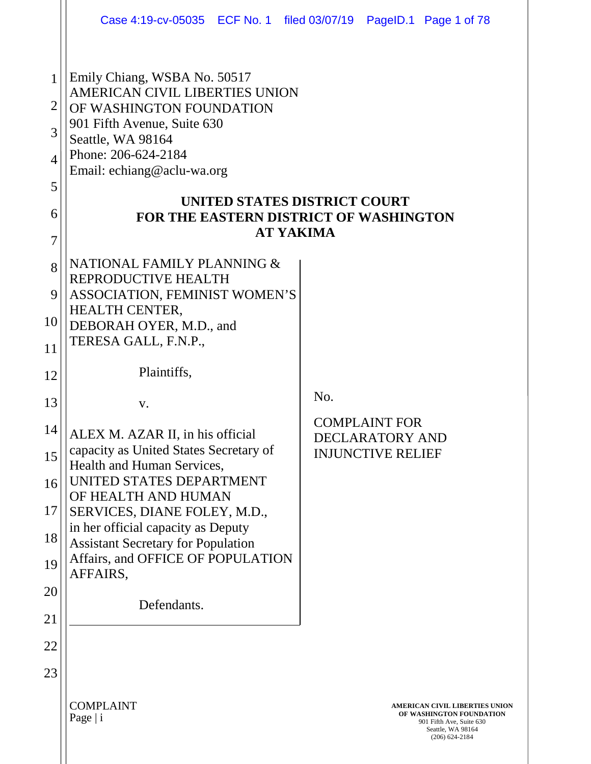|                                                                |                                                                                                                                                                                                                                                                   | Case 4:19-cv-05035 ECF No. 1 filed 03/07/19 PageID.1 Page 1 of 78                                                               |
|----------------------------------------------------------------|-------------------------------------------------------------------------------------------------------------------------------------------------------------------------------------------------------------------------------------------------------------------|---------------------------------------------------------------------------------------------------------------------------------|
| 1<br>$\overline{2}$<br>3<br>$\overline{4}$<br>5<br>6<br>7<br>8 | Emily Chiang, WSBA No. 50517<br>AMERICAN CIVIL LIBERTIES UNION<br>OF WASHINGTON FOUNDATION<br>901 Fifth Avenue, Suite 630<br>Seattle, WA 98164<br>Phone: 206-624-2184<br>Email: echiang@aclu-wa.org<br>UNITED STATES DISTRICT COURT<br>NATIONAL FAMILY PLANNING & | FOR THE EASTERN DISTRICT OF WASHINGTON<br><b>AT YAKIMA</b>                                                                      |
| 9                                                              | REPRODUCTIVE HEALTH<br>ASSOCIATION, FEMINIST WOMEN'S                                                                                                                                                                                                              |                                                                                                                                 |
| 10                                                             | <b>HEALTH CENTER,</b><br>DEBORAH OYER, M.D., and                                                                                                                                                                                                                  |                                                                                                                                 |
| 11                                                             | TERESA GALL, F.N.P.,                                                                                                                                                                                                                                              |                                                                                                                                 |
| 12                                                             | Plaintiffs,                                                                                                                                                                                                                                                       |                                                                                                                                 |
| 13                                                             | V.                                                                                                                                                                                                                                                                | No.                                                                                                                             |
| 14                                                             | ALEX M. AZAR II, in his official                                                                                                                                                                                                                                  | <b>COMPLAINT FOR</b><br><b>DECLARATORY AND</b>                                                                                  |
| 15                                                             | capacity as United States Secretary of<br>Health and Human Services,<br>UNITED STATES DEPARTMENT                                                                                                                                                                  | <b>INJUNCTIVE RELIEF</b>                                                                                                        |
| 16                                                             | OF HEALTH AND HUMAN                                                                                                                                                                                                                                               |                                                                                                                                 |
| 17<br>18                                                       | SERVICES, DIANE FOLEY, M.D.,<br>in her official capacity as Deputy                                                                                                                                                                                                |                                                                                                                                 |
| 19                                                             | <b>Assistant Secretary for Population</b><br>Affairs, and OFFICE OF POPULATION                                                                                                                                                                                    |                                                                                                                                 |
| 20                                                             | AFFAIRS,                                                                                                                                                                                                                                                          |                                                                                                                                 |
| 21                                                             | Defendants.                                                                                                                                                                                                                                                       |                                                                                                                                 |
| 22                                                             |                                                                                                                                                                                                                                                                   |                                                                                                                                 |
| 23                                                             |                                                                                                                                                                                                                                                                   |                                                                                                                                 |
|                                                                | <b>COMPLAINT</b><br>Page $ i$                                                                                                                                                                                                                                     | AMERICAN CIVIL LIBERTIES UNION<br>OF WASHINGTON FOUNDATION<br>901 Fifth Ave, Suite 630<br>Seattle, WA 98164<br>$(206)$ 624-2184 |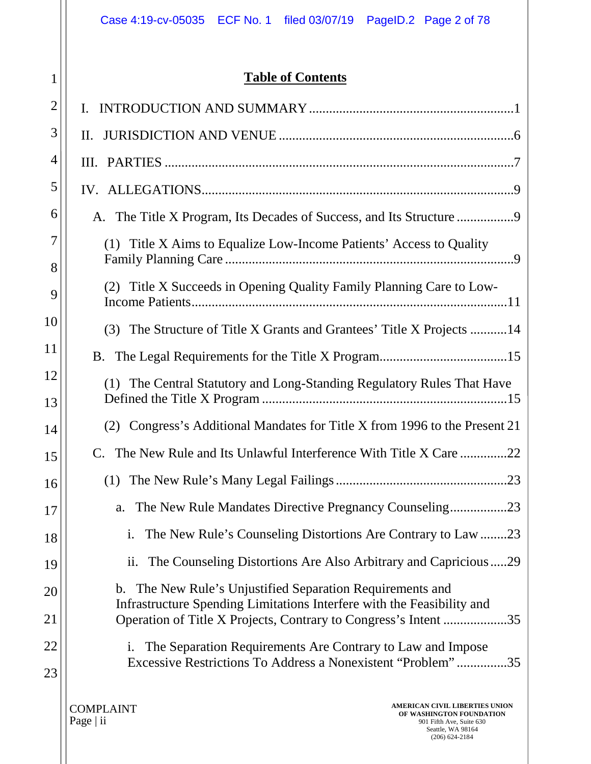|          | Case 4:19-cv-05035 ECF No. 1 filed 03/07/19 PageID.2 Page 2 of 78                                                                                     |  |  |
|----------|-------------------------------------------------------------------------------------------------------------------------------------------------------|--|--|
| 1        | <b>Table of Contents</b>                                                                                                                              |  |  |
| 2        | L.                                                                                                                                                    |  |  |
| 3        | II.                                                                                                                                                   |  |  |
| 4        |                                                                                                                                                       |  |  |
| 5        |                                                                                                                                                       |  |  |
| 6        |                                                                                                                                                       |  |  |
| 7        | (1) Title X Aims to Equalize Low-Income Patients' Access to Quality                                                                                   |  |  |
| 8        |                                                                                                                                                       |  |  |
| 9        | Title X Succeeds in Opening Quality Family Planning Care to Low-<br>(2)                                                                               |  |  |
| 10       | The Structure of Title X Grants and Grantees' Title X Projects 14<br>(3)                                                                              |  |  |
| 11       |                                                                                                                                                       |  |  |
| 12<br>13 | (1) The Central Statutory and Long-Standing Regulatory Rules That Have                                                                                |  |  |
| 14       | Congress's Additional Mandates for Title X from 1996 to the Present 21<br>(2)                                                                         |  |  |
| 15       | C. The New Rule and Its Unlawful Interference With Title X Care 22                                                                                    |  |  |
| 16       | (1)                                                                                                                                                   |  |  |
| 17       | a.                                                                                                                                                    |  |  |
| 18       | The New Rule's Counseling Distortions Are Contrary to Law23<br>i.                                                                                     |  |  |
| 19       | The Counseling Distortions Are Also Arbitrary and Capricious29<br>$\overline{\mathbf{11}}$ .                                                          |  |  |
| 20       | b. The New Rule's Unjustified Separation Requirements and                                                                                             |  |  |
| 21       | Infrastructure Spending Limitations Interfere with the Feasibility and<br>Operation of Title X Projects, Contrary to Congress's Intent<br>.35         |  |  |
| 22<br>23 | i. The Separation Requirements Are Contrary to Law and Impose<br>Excessive Restrictions To Address a Nonexistent "Problem"<br>.35                     |  |  |
|          | <b>AMERICAN CIVIL LIBERTIES UNION</b><br><b>COMPLAINT</b><br>OF WASHINGTON FOUNDATION<br>Page $ $ ii<br>901 Fifth Ave, Suite 630<br>Seattle, WA 98164 |  |  |

Seattle, WA 98164 (206) 624-2184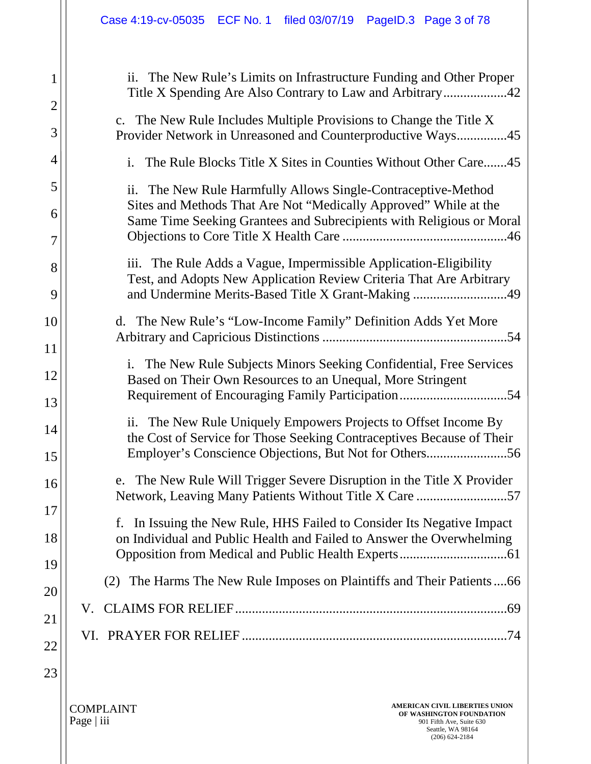| The New Rule's Limits on Infrastructure Funding and Other Proper<br>ii.<br>Title X Spending Are Also Contrary to Law and Arbitrary42                                                                         |
|--------------------------------------------------------------------------------------------------------------------------------------------------------------------------------------------------------------|
| c. The New Rule Includes Multiple Provisions to Change the Title X<br>Provider Network in Unreasoned and Counterproductive Ways45                                                                            |
| The Rule Blocks Title X Sites in Counties Without Other Care45<br>$\mathbf{i}$ .                                                                                                                             |
| ii.<br>The New Rule Harmfully Allows Single-Contraceptive-Method<br>Sites and Methods That Are Not "Medically Approved" While at the<br>Same Time Seeking Grantees and Subrecipients with Religious or Moral |
| iii. The Rule Adds a Vague, Impermissible Application-Eligibility<br>Test, and Adopts New Application Review Criteria That Are Arbitrary<br>and Undermine Merits-Based Title X Grant-Making 49               |
| d. The New Rule's "Low-Income Family" Definition Adds Yet More                                                                                                                                               |
| i. The New Rule Subjects Minors Seeking Confidential, Free Services<br>Based on Their Own Resources to an Unequal, More Stringent<br>Requirement of Encouraging Family Participation54                       |
| ii. The New Rule Uniquely Empowers Projects to Offset Income By<br>the Cost of Service for Those Seeking Contraceptives Because of Their<br>Employer's Conscience Objections, But Not for Others56           |
| e. The New Rule Will Trigger Severe Disruption in the Title X Provider                                                                                                                                       |
| In Issuing the New Rule, HHS Failed to Consider Its Negative Impact<br>f.<br>on Individual and Public Health and Failed to Answer the Overwhelming                                                           |
| The Harms The New Rule Imposes on Plaintiffs and Their Patients66<br>(2)                                                                                                                                     |
| V.                                                                                                                                                                                                           |
|                                                                                                                                                                                                              |
|                                                                                                                                                                                                              |

COMPLAINT Page | iii

1

2

3

4

5

6

7

8

9

10

11

12

13

14

15

16

17

18

19

20

21

22

23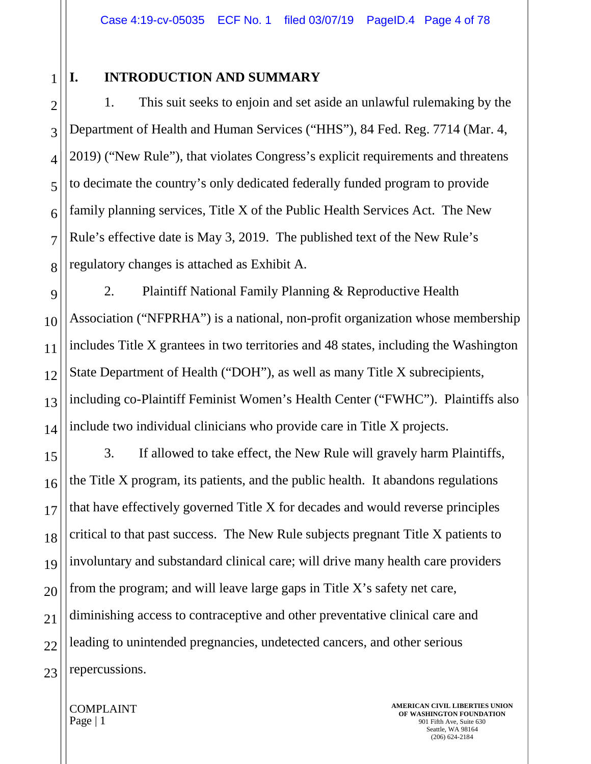# 1

2

3

4

5

6

7

8

### **I. INTRODUCTION AND SUMMARY**

1. This suit seeks to enjoin and set aside an unlawful rulemaking by the Department of Health and Human Services ("HHS"), 84 Fed. Reg. 7714 (Mar. 4, 2019) ("New Rule"), that violates Congress's explicit requirements and threatens to decimate the country's only dedicated federally funded program to provide family planning services, Title X of the Public Health Services Act. The New Rule's effective date is May 3, 2019. The published text of the New Rule's regulatory changes is attached as Exhibit A.

9 10 11 12 13 14 2. Plaintiff National Family Planning & Reproductive Health Association ("NFPRHA") is a national, non-profit organization whose membership includes Title X grantees in two territories and 48 states, including the Washington State Department of Health ("DOH"), as well as many Title X subrecipients, including co-Plaintiff Feminist Women's Health Center ("FWHC"). Plaintiffs also include two individual clinicians who provide care in Title X projects.

15 16 17 18 19 20 21 22 23 3. If allowed to take effect, the New Rule will gravely harm Plaintiffs, the Title X program, its patients, and the public health. It abandons regulations that have effectively governed Title X for decades and would reverse principles critical to that past success. The New Rule subjects pregnant Title X patients to involuntary and substandard clinical care; will drive many health care providers from the program; and will leave large gaps in Title X's safety net care, diminishing access to contraceptive and other preventative clinical care and leading to unintended pregnancies, undetected cancers, and other serious repercussions.

COMPLAINT Page | 1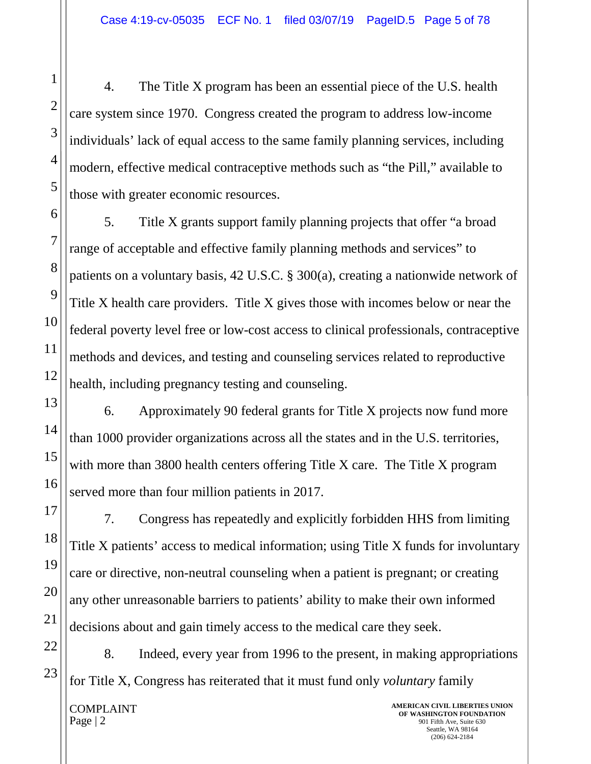4. The Title X program has been an essential piece of the U.S. health care system since 1970. Congress created the program to address low-income individuals' lack of equal access to the same family planning services, including modern, effective medical contraceptive methods such as "the Pill," available to those with greater economic resources.

5. Title X grants support family planning projects that offer "a broad range of acceptable and effective family planning methods and services" to patients on a voluntary basis, 42 U.S.C. § 300(a), creating a nationwide network of Title X health care providers. Title X gives those with incomes below or near the federal poverty level free or low-cost access to clinical professionals, contraceptive methods and devices, and testing and counseling services related to reproductive health, including pregnancy testing and counseling.

6. Approximately 90 federal grants for Title X projects now fund more than 1000 provider organizations across all the states and in the U.S. territories, with more than 3800 health centers offering Title X care. The Title X program served more than four million patients in 2017.

7. Congress has repeatedly and explicitly forbidden HHS from limiting Title X patients' access to medical information; using Title X funds for involuntary care or directive, non-neutral counseling when a patient is pregnant; or creating any other unreasonable barriers to patients' ability to make their own informed decisions about and gain timely access to the medical care they seek.

8. Indeed, every year from 1996 to the present, in making appropriations for Title X, Congress has reiterated that it must fund only *voluntary* family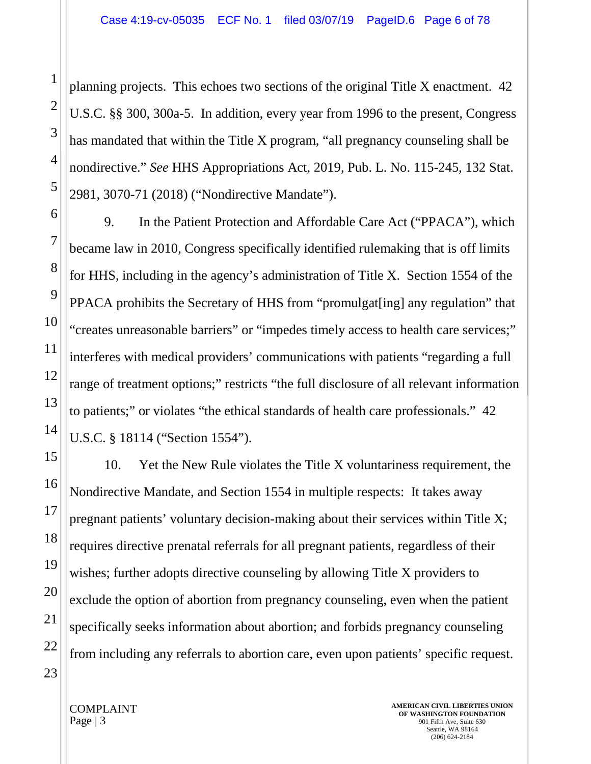planning projects. This echoes two sections of the original Title X enactment. 42 U.S.C. §§ 300, 300a-5. In addition, every year from 1996 to the present, Congress has mandated that within the Title X program, "all pregnancy counseling shall be nondirective." *See* HHS Appropriations Act, 2019, Pub. L. No. 115-245, 132 Stat. 2981, 3070-71 (2018) ("Nondirective Mandate").

9. In the Patient Protection and Affordable Care Act ("PPACA"), which became law in 2010, Congress specifically identified rulemaking that is off limits for HHS, including in the agency's administration of Title X. Section 1554 of the PPACA prohibits the Secretary of HHS from "promulgat[ing] any regulation" that "creates unreasonable barriers" or "impedes timely access to health care services;" interferes with medical providers' communications with patients "regarding a full range of treatment options;" restricts "the full disclosure of all relevant information to patients;" or violates "the ethical standards of health care professionals." 42 U.S.C. § 18114 ("Section 1554").

10. Yet the New Rule violates the Title X voluntariness requirement, the Nondirective Mandate, and Section 1554 in multiple respects: It takes away pregnant patients' voluntary decision-making about their services within Title X; requires directive prenatal referrals for all pregnant patients, regardless of their wishes; further adopts directive counseling by allowing Title X providers to exclude the option of abortion from pregnancy counseling, even when the patient specifically seeks information about abortion; and forbids pregnancy counseling from including any referrals to abortion care, even upon patients' specific request.

1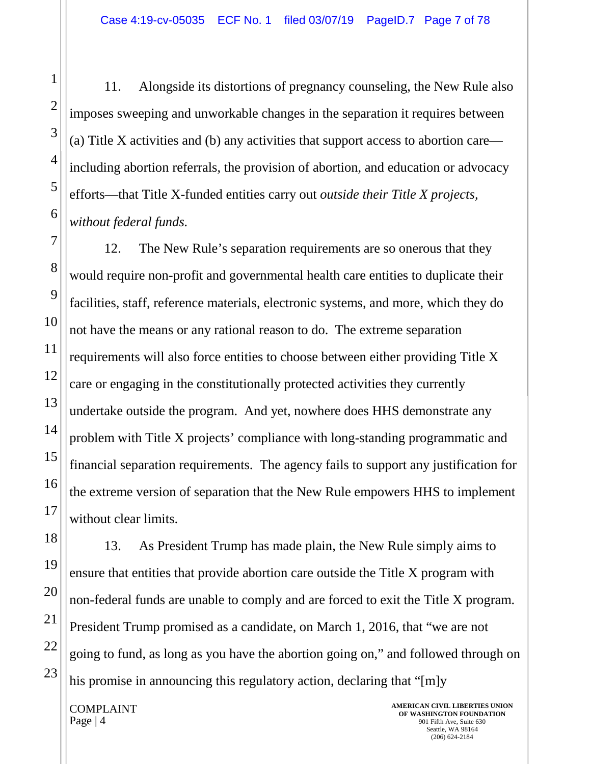11. Alongside its distortions of pregnancy counseling, the New Rule also imposes sweeping and unworkable changes in the separation it requires between (a) Title X activities and (b) any activities that support access to abortion care including abortion referrals, the provision of abortion, and education or advocacy efforts—that Title X-funded entities carry out *outside their Title X projects, without federal funds.*

12. The New Rule's separation requirements are so onerous that they would require non-profit and governmental health care entities to duplicate their facilities, staff, reference materials, electronic systems, and more, which they do not have the means or any rational reason to do. The extreme separation requirements will also force entities to choose between either providing Title X care or engaging in the constitutionally protected activities they currently undertake outside the program. And yet, nowhere does HHS demonstrate any problem with Title X projects' compliance with long-standing programmatic and financial separation requirements. The agency fails to support any justification for the extreme version of separation that the New Rule empowers HHS to implement without clear limits.

13. As President Trump has made plain, the New Rule simply aims to ensure that entities that provide abortion care outside the Title X program with non-federal funds are unable to comply and are forced to exit the Title X program. President Trump promised as a candidate, on March 1, 2016, that "we are not going to fund, as long as you have the abortion going on," and followed through on his promise in announcing this regulatory action, declaring that "[m]y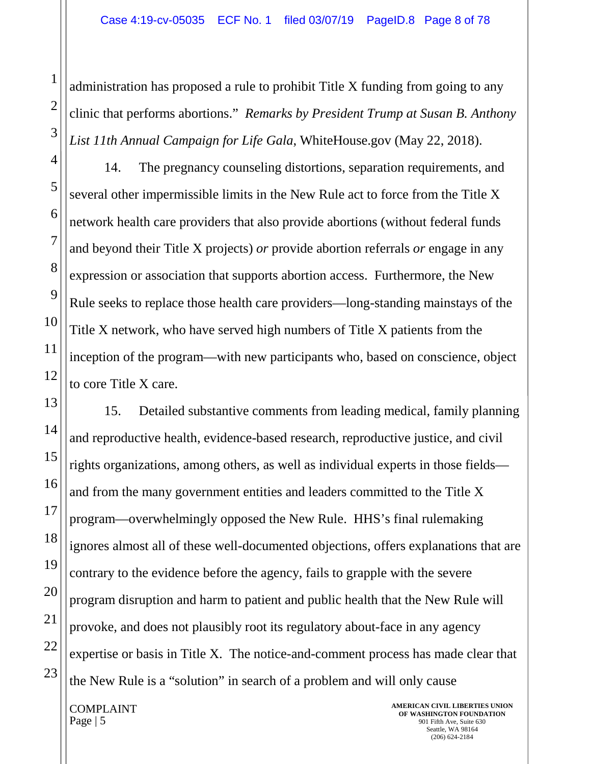administration has proposed a rule to prohibit Title X funding from going to any clinic that performs abortions." *Remarks by President Trump at Susan B. Anthony List 11th Annual Campaign for Life Gala*, WhiteHouse.gov (May 22, 2018).

14. The pregnancy counseling distortions, separation requirements, and several other impermissible limits in the New Rule act to force from the Title X network health care providers that also provide abortions (without federal funds and beyond their Title X projects) *or* provide abortion referrals *or* engage in any expression or association that supports abortion access. Furthermore, the New Rule seeks to replace those health care providers—long-standing mainstays of the Title X network, who have served high numbers of Title X patients from the inception of the program—with new participants who, based on conscience, object to core Title X care.

15. Detailed substantive comments from leading medical, family planning and reproductive health, evidence-based research, reproductive justice, and civil rights organizations, among others, as well as individual experts in those fields and from the many government entities and leaders committed to the Title X program—overwhelmingly opposed the New Rule. HHS's final rulemaking ignores almost all of these well-documented objections, offers explanations that are contrary to the evidence before the agency, fails to grapple with the severe program disruption and harm to patient and public health that the New Rule will provoke, and does not plausibly root its regulatory about-face in any agency expertise or basis in Title X. The notice-and-comment process has made clear that the New Rule is a "solution" in search of a problem and will only cause

COMPLAINT Page | 5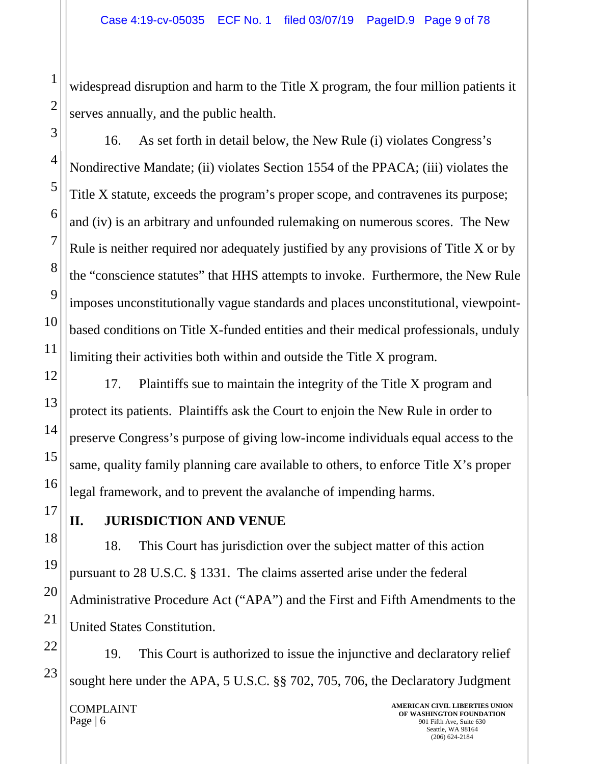widespread disruption and harm to the Title X program, the four million patients it serves annually, and the public health.

16. As set forth in detail below, the New Rule (i) violates Congress's Nondirective Mandate; (ii) violates Section 1554 of the PPACA; (iii) violates the Title X statute, exceeds the program's proper scope, and contravenes its purpose; and (iv) is an arbitrary and unfounded rulemaking on numerous scores. The New Rule is neither required nor adequately justified by any provisions of Title X or by the "conscience statutes" that HHS attempts to invoke. Furthermore, the New Rule imposes unconstitutionally vague standards and places unconstitutional, viewpointbased conditions on Title X-funded entities and their medical professionals, unduly limiting their activities both within and outside the Title X program.

17. Plaintiffs sue to maintain the integrity of the Title X program and protect its patients. Plaintiffs ask the Court to enjoin the New Rule in order to preserve Congress's purpose of giving low-income individuals equal access to the same, quality family planning care available to others, to enforce Title X's proper legal framework, and to prevent the avalanche of impending harms.

**II. JURISDICTION AND VENUE**

18. This Court has jurisdiction over the subject matter of this action pursuant to 28 U.S.C. § 1331. The claims asserted arise under the federal Administrative Procedure Act ("APA") and the First and Fifth Amendments to the United States Constitution.

COMPLAINT Page | 6 **AMERICAN CIVIL LIBERTIES UNION OF WASHINGTON FOUNDATION** 901 Fifth Ave, Suite 630 Seattle, WA 98164 19. This Court is authorized to issue the injunctive and declaratory relief sought here under the APA, 5 U.S.C. §§ 702, 705, 706, the Declaratory Judgment

(206) 624-2184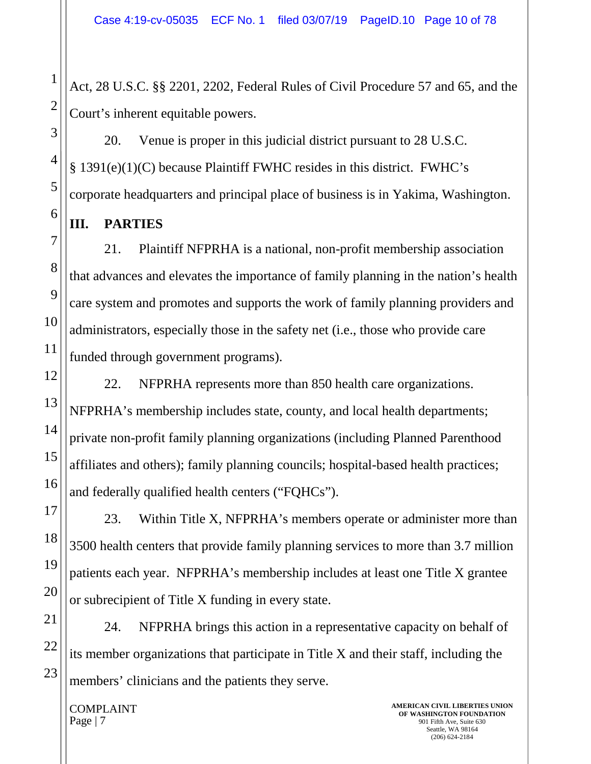Act, 28 U.S.C. §§ 2201, 2202, Federal Rules of Civil Procedure 57 and 65, and the Court's inherent equitable powers.

20. Venue is proper in this judicial district pursuant to 28 U.S.C. § 1391(e)(1)(C) because Plaintiff FWHC resides in this district. FWHC's corporate headquarters and principal place of business is in Yakima, Washington.

**III. PARTIES**

21. Plaintiff NFPRHA is a national, non-profit membership association that advances and elevates the importance of family planning in the nation's health care system and promotes and supports the work of family planning providers and administrators, especially those in the safety net (i.e., those who provide care funded through government programs).

22. NFPRHA represents more than 850 health care organizations. NFPRHA's membership includes state, county, and local health departments; private non-profit family planning organizations (including Planned Parenthood affiliates and others); family planning councils; hospital-based health practices; and federally qualified health centers ("FQHCs").

23. Within Title X, NFPRHA's members operate or administer more than 3500 health centers that provide family planning services to more than 3.7 million patients each year. NFPRHA's membership includes at least one Title X grantee or subrecipient of Title X funding in every state.

24. NFPRHA brings this action in a representative capacity on behalf of its member organizations that participate in Title X and their staff, including the members' clinicians and the patients they serve.

COMPLAINT Page | 7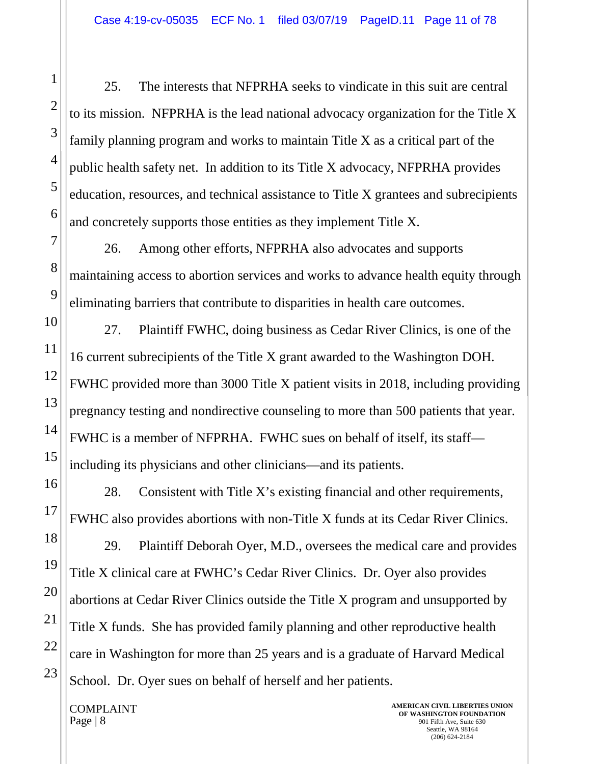25. The interests that NFPRHA seeks to vindicate in this suit are central to its mission. NFPRHA is the lead national advocacy organization for the Title X family planning program and works to maintain Title X as a critical part of the public health safety net. In addition to its Title X advocacy, NFPRHA provides education, resources, and technical assistance to Title X grantees and subrecipients and concretely supports those entities as they implement Title X.

26. Among other efforts, NFPRHA also advocates and supports maintaining access to abortion services and works to advance health equity through eliminating barriers that contribute to disparities in health care outcomes.

27. Plaintiff FWHC, doing business as Cedar River Clinics, is one of the 16 current subrecipients of the Title X grant awarded to the Washington DOH. FWHC provided more than 3000 Title X patient visits in 2018, including providing pregnancy testing and nondirective counseling to more than 500 patients that year. FWHC is a member of NFPRHA. FWHC sues on behalf of itself, its staff including its physicians and other clinicians—and its patients.

28. Consistent with Title X's existing financial and other requirements, FWHC also provides abortions with non-Title X funds at its Cedar River Clinics.

29. Plaintiff Deborah Oyer, M.D., oversees the medical care and provides Title X clinical care at FWHC's Cedar River Clinics. Dr. Oyer also provides abortions at Cedar River Clinics outside the Title X program and unsupported by Title X funds. She has provided family planning and other reproductive health care in Washington for more than 25 years and is a graduate of Harvard Medical School. Dr. Oyer sues on behalf of herself and her patients.

COMPLAINT Page | 8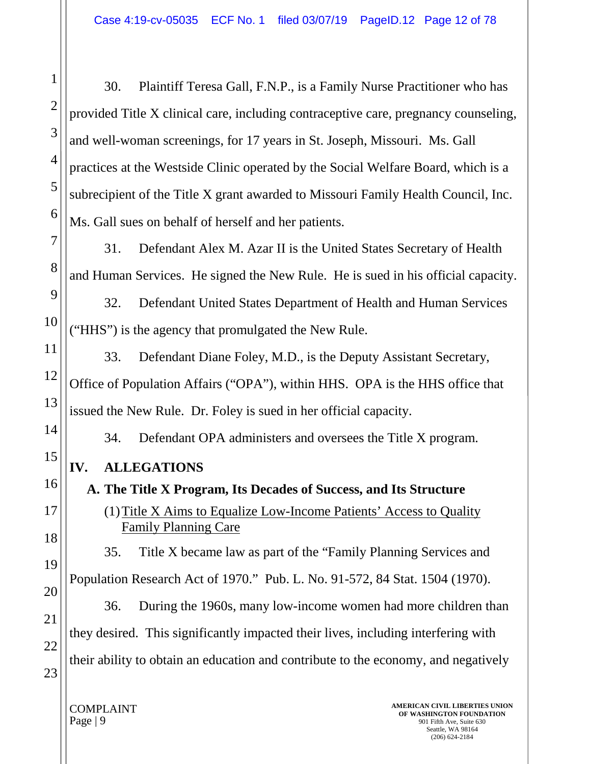30. Plaintiff Teresa Gall, F.N.P., is a Family Nurse Practitioner who has provided Title X clinical care, including contraceptive care, pregnancy counseling, and well-woman screenings, for 17 years in St. Joseph, Missouri. Ms. Gall practices at the Westside Clinic operated by the Social Welfare Board, which is a subrecipient of the Title X grant awarded to Missouri Family Health Council, Inc. Ms. Gall sues on behalf of herself and her patients.

31. Defendant Alex M. Azar II is the United States Secretary of Health and Human Services. He signed the New Rule. He is sued in his official capacity.

32. Defendant United States Department of Health and Human Services ("HHS") is the agency that promulgated the New Rule.

33. Defendant Diane Foley, M.D., is the Deputy Assistant Secretary, Office of Population Affairs ("OPA"), within HHS. OPA is the HHS office that issued the New Rule. Dr. Foley is sued in her official capacity.

34. Defendant OPA administers and oversees the Title X program.

## **IV. ALLEGATIONS**

**A. The Title X Program, Its Decades of Success, and Its Structure** (1)Title X Aims to Equalize Low-Income Patients' Access to Quality Family Planning Care

35. Title X became law as part of the "Family Planning Services and Population Research Act of 1970." Pub. L. No. 91-572, 84 Stat. 1504 (1970).

36. During the 1960s, many low-income women had more children than they desired. This significantly impacted their lives, including interfering with their ability to obtain an education and contribute to the economy, and negatively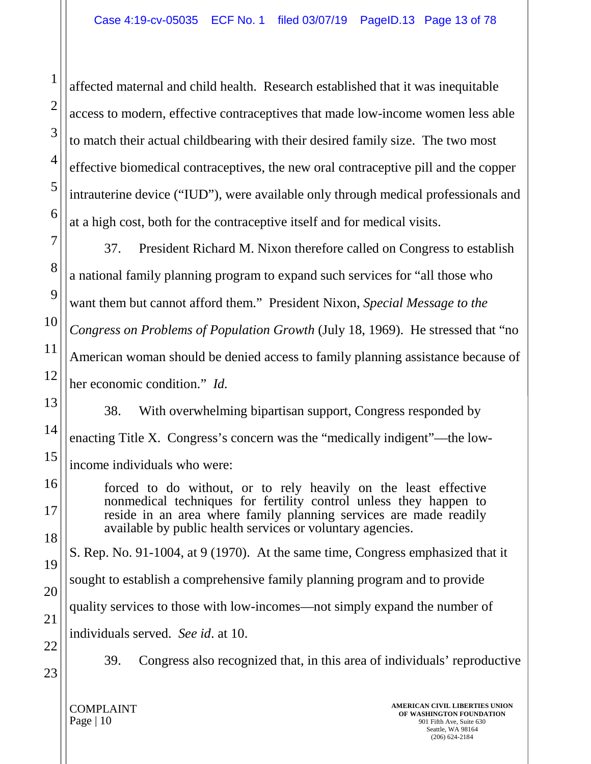affected maternal and child health. Research established that it was inequitable access to modern, effective contraceptives that made low-income women less able to match their actual childbearing with their desired family size. The two most effective biomedical contraceptives, the new oral contraceptive pill and the copper intrauterine device ("IUD"), were available only through medical professionals and at a high cost, both for the contraceptive itself and for medical visits.

37. President Richard M. Nixon therefore called on Congress to establish a national family planning program to expand such services for "all those who want them but cannot afford them." President Nixon, *Special Message to the Congress on Problems of Population Growth* (July 18, 1969). He stressed that "no American woman should be denied access to family planning assistance because of her economic condition." *Id.*

38. With overwhelming bipartisan support, Congress responded by enacting Title X. Congress's concern was the "medically indigent"—the lowincome individuals who were:

forced to do without, or to rely heavily on the least effective nonmedical techniques for fertility control unless they happen to reside in an area where family planning services are made readily available by public health services or voluntary agencies.

S. Rep. No. 91-1004, at 9 (1970). At the same time, Congress emphasized that it sought to establish a comprehensive family planning program and to provide quality services to those with low-incomes—not simply expand the number of individuals served. *See id*. at 10.

22

23

21

1

2

3

4

5

6

7

8

9

10

11

12

13

14

15

16

17

18

19

20

39. Congress also recognized that, in this area of individuals' reproductive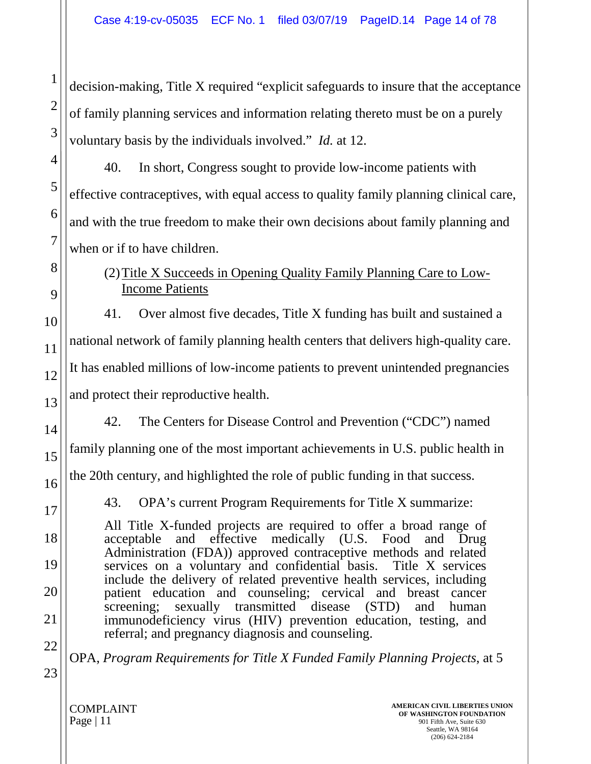decision-making, Title X required "explicit safeguards to insure that the acceptance of family planning services and information relating thereto must be on a purely voluntary basis by the individuals involved." *Id.* at 12.

40. In short, Congress sought to provide low-income patients with effective contraceptives, with equal access to quality family planning clinical care, and with the true freedom to make their own decisions about family planning and when or if to have children.

### (2)Title X Succeeds in Opening Quality Family Planning Care to Low-Income Patients

41. Over almost five decades, Title X funding has built and sustained a national network of family planning health centers that delivers high-quality care. It has enabled millions of low-income patients to prevent unintended pregnancies and protect their reproductive health.

42. The Centers for Disease Control and Prevention ("CDC") named

family planning one of the most important achievements in U.S. public health in

the 20th century, and highlighted the role of public funding in that success.

43. OPA's current Program Requirements for Title X summarize:

All Title X-funded projects are required to offer a broad range of acceptable and effective medically (U.S. Food and Drug Administration (FDA)) approved contraceptive methods and related services on a voluntary and confidential basis. Title X services include the delivery of related preventive health services, including patient education and counseling; cervical and breast cancer<br>screening; sexually transmitted disease (STD) and human screening; sexually transmitted disease (STD) immunodeficiency virus (HIV) prevention education, testing, and referral; and pregnancy diagnosis and counseling.

OPA, *Program Requirements for Title X Funded Family Planning Projects*, at 5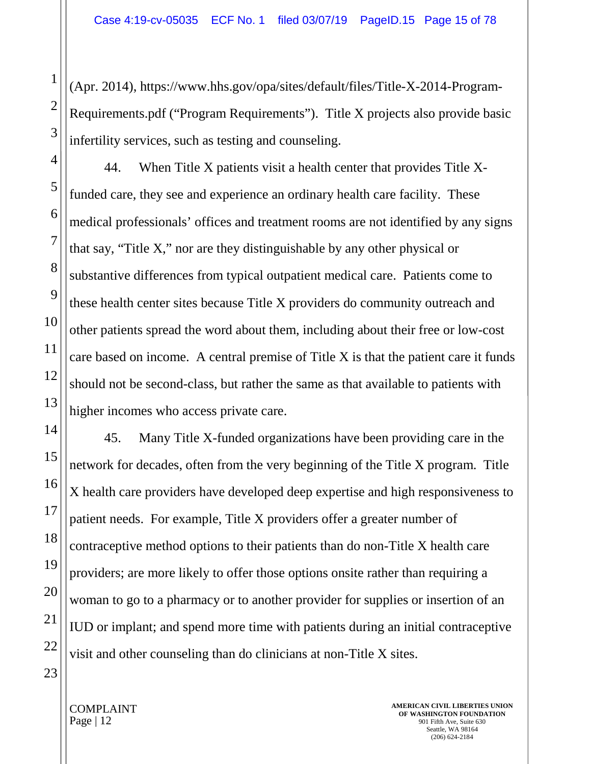(Apr. 2014), https://www.hhs.gov/opa/sites/default/files/Title-X-2014-Program-Requirements.pdf ("Program Requirements"). Title X projects also provide basic infertility services, such as testing and counseling.

44. When Title X patients visit a health center that provides Title Xfunded care, they see and experience an ordinary health care facility. These medical professionals' offices and treatment rooms are not identified by any signs that say, "Title X," nor are they distinguishable by any other physical or substantive differences from typical outpatient medical care. Patients come to these health center sites because Title X providers do community outreach and other patients spread the word about them, including about their free or low-cost care based on income. A central premise of Title X is that the patient care it funds should not be second-class, but rather the same as that available to patients with higher incomes who access private care.

45. Many Title X-funded organizations have been providing care in the network for decades, often from the very beginning of the Title X program. Title X health care providers have developed deep expertise and high responsiveness to patient needs. For example, Title X providers offer a greater number of contraceptive method options to their patients than do non-Title X health care providers; are more likely to offer those options onsite rather than requiring a woman to go to a pharmacy or to another provider for supplies or insertion of an IUD or implant; and spend more time with patients during an initial contraceptive visit and other counseling than do clinicians at non-Title X sites.

1

2

3

4

5

6

7

8

9

10

11

12

13

14

15

16

17

18

19

20

21

22

23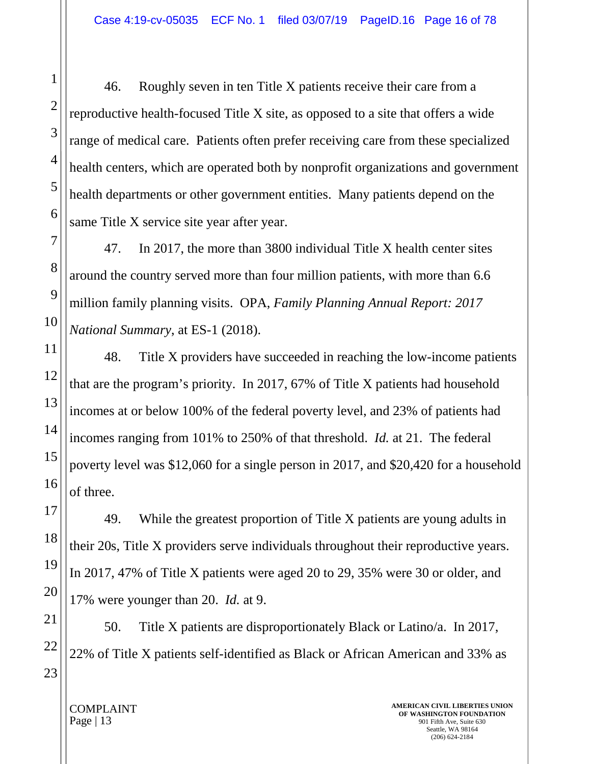46. Roughly seven in ten Title X patients receive their care from a reproductive health-focused Title X site, as opposed to a site that offers a wide range of medical care. Patients often prefer receiving care from these specialized health centers, which are operated both by nonprofit organizations and government health departments or other government entities. Many patients depend on the same Title X service site year after year.

47. In 2017, the more than 3800 individual Title X health center sites around the country served more than four million patients, with more than 6.6 million family planning visits. OPA, *Family Planning Annual Report: 2017 National Summary*, at ES-1 (2018).

48. Title X providers have succeeded in reaching the low-income patients that are the program's priority. In 2017, 67% of Title X patients had household incomes at or below 100% of the federal poverty level, and 23% of patients had incomes ranging from 101% to 250% of that threshold. *Id.* at 21. The federal poverty level was \$12,060 for a single person in 2017, and \$20,420 for a household of three.

49. While the greatest proportion of Title X patients are young adults in their 20s, Title X providers serve individuals throughout their reproductive years. In 2017, 47% of Title X patients were aged 20 to 29, 35% were 30 or older, and 17% were younger than 20. *Id.* at 9.

50. Title X patients are disproportionately Black or Latino/a. In 2017, 22% of Title X patients self-identified as Black or African American and 33% as

1

2

3

4

5

6

7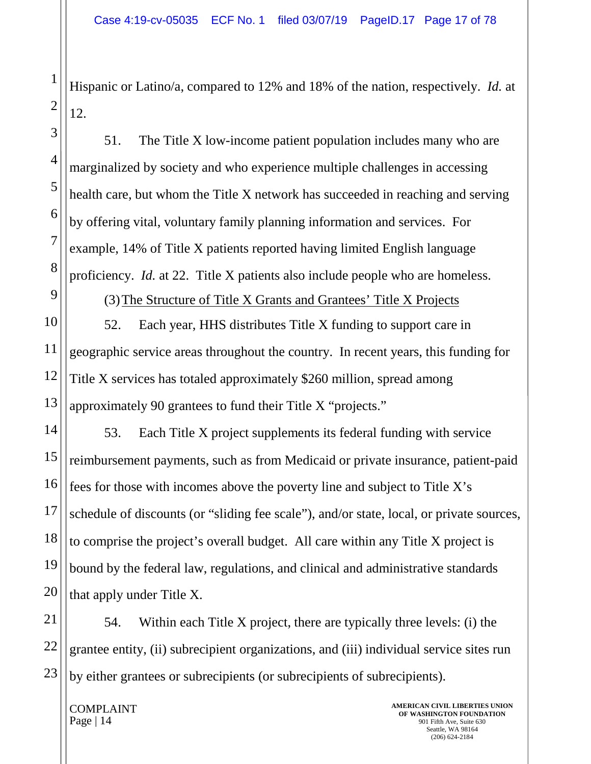Hispanic or Latino/a, compared to 12% and 18% of the nation, respectively. *Id.* at 12.

51. The Title X low-income patient population includes many who are marginalized by society and who experience multiple challenges in accessing health care, but whom the Title X network has succeeded in reaching and serving by offering vital, voluntary family planning information and services. For example, 14% of Title X patients reported having limited English language proficiency. *Id.* at 22. Title X patients also include people who are homeless.

(3)The Structure of Title X Grants and Grantees' Title X Projects

12 13 52. Each year, HHS distributes Title X funding to support care in geographic service areas throughout the country. In recent years, this funding for Title X services has totaled approximately \$260 million, spread among approximately 90 grantees to fund their Title X "projects."

53. Each Title X project supplements its federal funding with service reimbursement payments, such as from Medicaid or private insurance, patient-paid fees for those with incomes above the poverty line and subject to Title X's schedule of discounts (or "sliding fee scale"), and/or state, local, or private sources, to comprise the project's overall budget. All care within any Title X project is bound by the federal law, regulations, and clinical and administrative standards that apply under Title X.

21 22 23 54. Within each Title X project, there are typically three levels: (i) the grantee entity, (ii) subrecipient organizations, and (iii) individual service sites run by either grantees or subrecipients (or subrecipients of subrecipients).

COMPLAINT Page  $|14$ 

1

2

3

4

5

6

7

8

9

10

11

14

15

16

17

18

19

20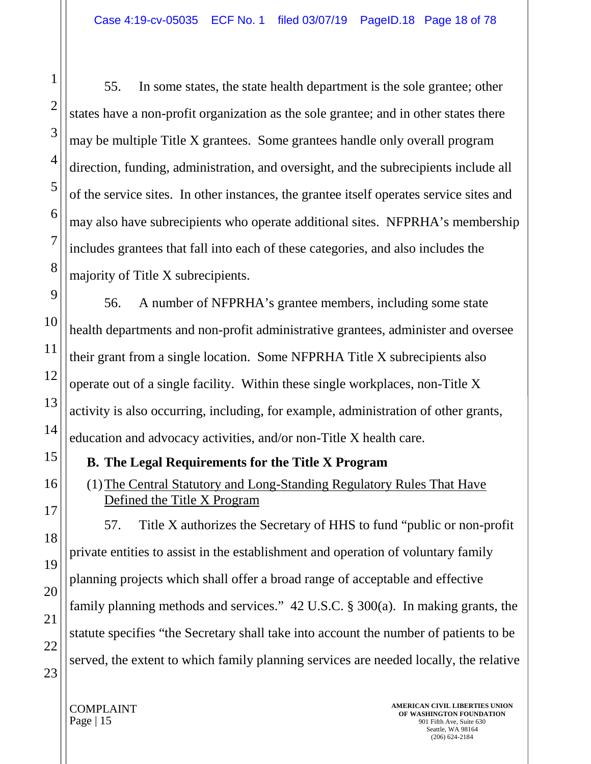55. In some states, the state health department is the sole grantee; other states have a non-profit organization as the sole grantee; and in other states there may be multiple Title X grantees. Some grantees handle only overall program direction, funding, administration, and oversight, and the subrecipients include all of the service sites. In other instances, the grantee itself operates service sites and may also have subrecipients who operate additional sites. NFPRHA's membership includes grantees that fall into each of these categories, and also includes the majority of Title X subrecipients.

56. A number of NFPRHA's grantee members, including some state health departments and non-profit administrative grantees, administer and oversee their grant from a single location. Some NFPRHA Title X subrecipients also operate out of a single facility. Within these single workplaces, non-Title X activity is also occurring, including, for example, administration of other grants, education and advocacy activities, and/or non-Title X health care.

## **B. The Legal Requirements for the Title X Program**

(1)The Central Statutory and Long-Standing Regulatory Rules That Have Defined the Title X Program

57. Title X authorizes the Secretary of HHS to fund "public or non-profit private entities to assist in the establishment and operation of voluntary family planning projects which shall offer a broad range of acceptable and effective family planning methods and services." 42 U.S.C. § 300(a). In making grants, the statute specifies "the Secretary shall take into account the number of patients to be served, the extent to which family planning services are needed locally, the relative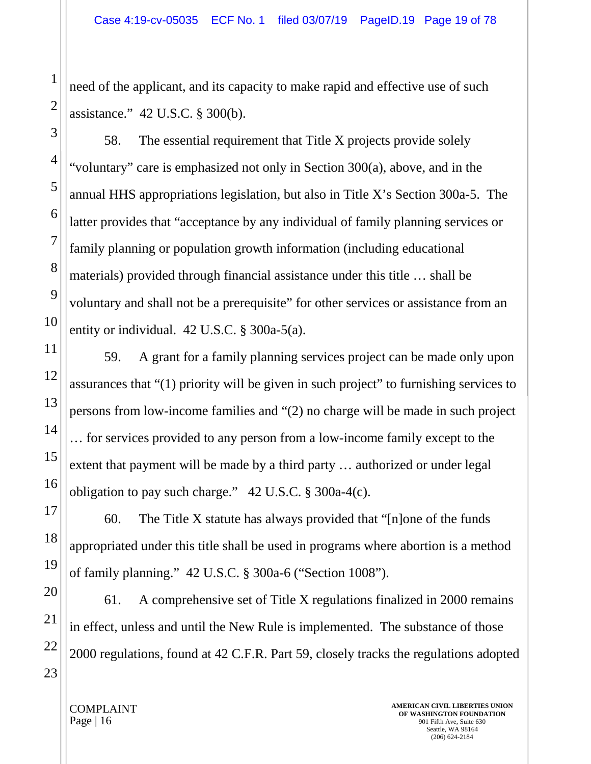need of the applicant, and its capacity to make rapid and effective use of such assistance." 42 U.S.C. § 300(b).

58. The essential requirement that Title X projects provide solely "voluntary" care is emphasized not only in Section 300(a), above, and in the annual HHS appropriations legislation, but also in Title X's Section 300a-5. The latter provides that "acceptance by any individual of family planning services or family planning or population growth information (including educational materials) provided through financial assistance under this title … shall be voluntary and shall not be a prerequisite" for other services or assistance from an entity or individual. 42 U.S.C. § 300a-5(a).

59. A grant for a family planning services project can be made only upon assurances that "(1) priority will be given in such project" to furnishing services to persons from low-income families and "(2) no charge will be made in such project … for services provided to any person from a low-income family except to the extent that payment will be made by a third party … authorized or under legal obligation to pay such charge."  $42 \text{ U.S.C.}$  § 300a-4(c).

60. The Title X statute has always provided that "[n]one of the funds appropriated under this title shall be used in programs where abortion is a method of family planning." 42 U.S.C. § 300a-6 ("Section 1008").

61. A comprehensive set of Title X regulations finalized in 2000 remains in effect, unless and until the New Rule is implemented. The substance of those 2000 regulations, found at 42 C.F.R. Part 59, closely tracks the regulations adopted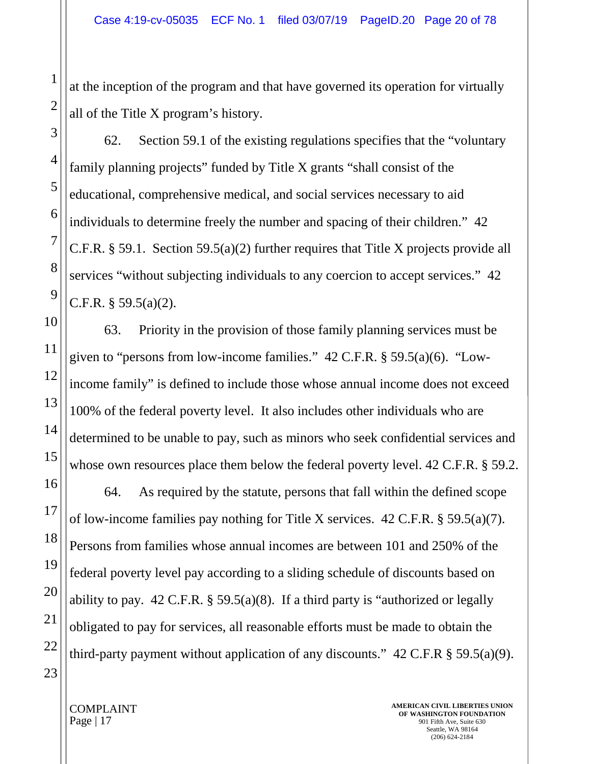at the inception of the program and that have governed its operation for virtually all of the Title X program's history.

62. Section 59.1 of the existing regulations specifies that the "voluntary family planning projects" funded by Title X grants "shall consist of the educational, comprehensive medical, and social services necessary to aid individuals to determine freely the number and spacing of their children." 42 C.F.R. § 59.1. Section 59.5(a)(2) further requires that Title X projects provide all services "without subjecting individuals to any coercion to accept services." 42 C.F.R.  $\S$  59.5(a)(2).

63. Priority in the provision of those family planning services must be given to "persons from low-income families."  $42$  C.F.R. § 59.5(a)(6). "Lowincome family" is defined to include those whose annual income does not exceed 100% of the federal poverty level. It also includes other individuals who are determined to be unable to pay, such as minors who seek confidential services and whose own resources place them below the federal poverty level. 42 C.F.R. § 59.2.

64. As required by the statute, persons that fall within the defined scope of low-income families pay nothing for Title X services. 42 C.F.R. § 59.5(a)(7). Persons from families whose annual incomes are between 101 and 250% of the federal poverty level pay according to a sliding schedule of discounts based on ability to pay. 42 C.F.R.  $\S$  59.5(a)(8). If a third party is "authorized or legally obligated to pay for services, all reasonable efforts must be made to obtain the third-party payment without application of any discounts."  $42 \text{ C.F.R } \S 59.5(a)(9)$ .

1

2

3

4

5

6

7

8

9

10

11

12

13

14

15

16

17

18

19

20

21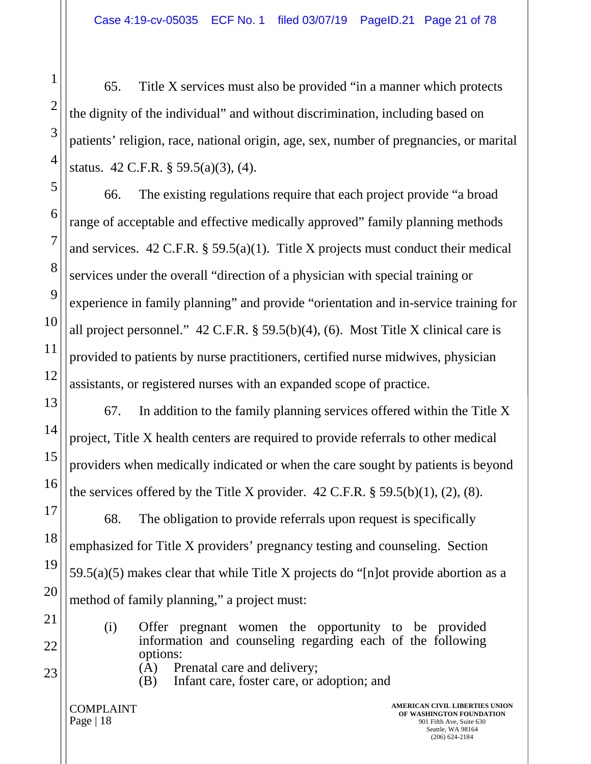65. Title X services must also be provided "in a manner which protects the dignity of the individual" and without discrimination, including based on patients' religion, race, national origin, age, sex, number of pregnancies, or marital status. 42 C.F.R. § 59.5(a)(3), (4).

66. The existing regulations require that each project provide "a broad range of acceptable and effective medically approved" family planning methods and services. 42 C.F.R. § 59.5(a)(1). Title X projects must conduct their medical services under the overall "direction of a physician with special training or experience in family planning" and provide "orientation and in-service training for all project personnel."  $42$  C.F.R. § 59.5(b)(4), (6). Most Title X clinical care is provided to patients by nurse practitioners, certified nurse midwives, physician assistants, or registered nurses with an expanded scope of practice.

67. In addition to the family planning services offered within the Title X project, Title X health centers are required to provide referrals to other medical providers when medically indicated or when the care sought by patients is beyond the services offered by the Title X provider.  $42$  C.F.R.  $\S 59.5(b)(1)$ ,  $(2)$ ,  $(8)$ .

68. The obligation to provide referrals upon request is specifically emphasized for Title X providers' pregnancy testing and counseling. Section 59.5(a)(5) makes clear that while Title X projects do "[n]ot provide abortion as a method of family planning," a project must:

- (i) Offer pregnant women the opportunity to be provided information and counseling regarding each of the following options: (A) Prenatal care and delivery;
- 
- (B) Infant care, foster care, or adoption; and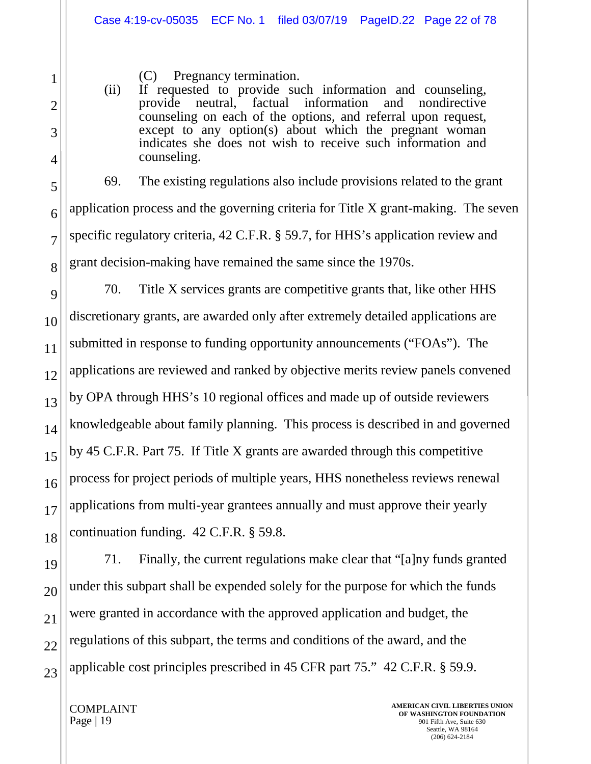(C) Pregnancy termination.

(ii) If requested to provide such information and counseling, provide neutral, factual information and nondirective counseling on each of the options, and referral upon request, except to any option(s) about which the pregnant woman indicates she does not wish to receive such information and counseling.

69. The existing regulations also include provisions related to the grant application process and the governing criteria for Title X grant-making. The seven specific regulatory criteria, 42 C.F.R. § 59.7, for HHS's application review and grant decision-making have remained the same since the 1970s.

70. Title X services grants are competitive grants that, like other HHS discretionary grants, are awarded only after extremely detailed applications are submitted in response to funding opportunity announcements ("FOAs"). The applications are reviewed and ranked by objective merits review panels convened by OPA through HHS's 10 regional offices and made up of outside reviewers knowledgeable about family planning. This process is described in and governed by 45 C.F.R. Part 75. If Title X grants are awarded through this competitive process for project periods of multiple years, HHS nonetheless reviews renewal applications from multi-year grantees annually and must approve their yearly continuation funding. 42 C.F.R. § 59.8.

71. Finally, the current regulations make clear that "[a]ny funds granted under this subpart shall be expended solely for the purpose for which the funds were granted in accordance with the approved application and budget, the regulations of this subpart, the terms and conditions of the award, and the applicable cost principles prescribed in 45 CFR part 75." 42 C.F.R. § 59.9.

COMPLAINT Page  $|19|$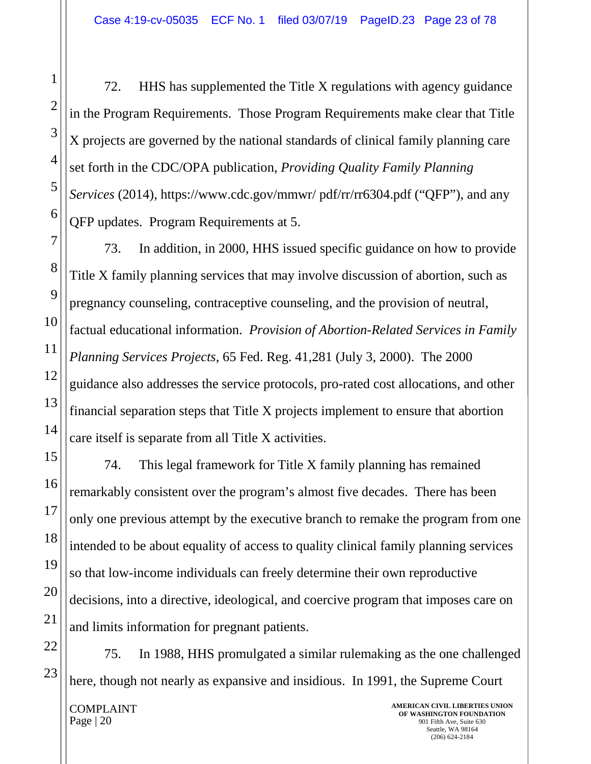72. HHS has supplemented the Title X regulations with agency guidance in the Program Requirements. Those Program Requirements make clear that Title X projects are governed by the national standards of clinical family planning care set forth in the CDC/OPA publication, *Providing Quality Family Planning Services* (2014), [https://www.cdc.gov/mmwr/ pdf/rr/rr6304.](https://www.cdc.gov/mmwr/%20pdf/rr/rr6304)pdf ("QFP"), and any QFP updates. Program Requirements at 5.

73. In addition, in 2000, HHS issued specific guidance on how to provide Title X family planning services that may involve discussion of abortion, such as pregnancy counseling, contraceptive counseling, and the provision of neutral, factual educational information. *Provision of Abortion-Related Services in Family Planning Services Projects*, 65 Fed. Reg. 41,281 (July 3, 2000). The 2000 guidance also addresses the service protocols, pro-rated cost allocations, and other financial separation steps that Title X projects implement to ensure that abortion care itself is separate from all Title X activities.

74. This legal framework for Title X family planning has remained remarkably consistent over the program's almost five decades. There has been only one previous attempt by the executive branch to remake the program from one intended to be about equality of access to quality clinical family planning services so that low-income individuals can freely determine their own reproductive decisions, into a directive, ideological, and coercive program that imposes care on and limits information for pregnant patients.

75. In 1988, HHS promulgated a similar rulemaking as the one challenged here, though not nearly as expansive and insidious. In 1991, the Supreme Court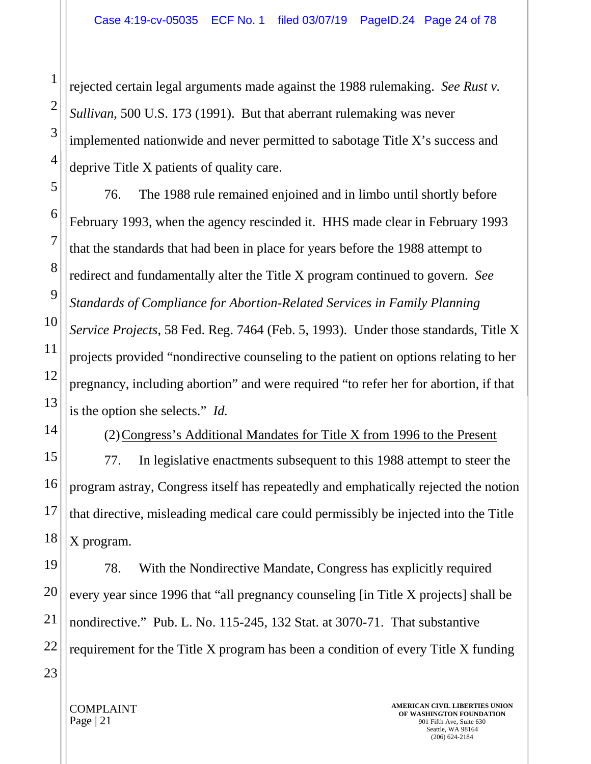rejected certain legal arguments made against the 1988 rulemaking. *See Rust v. Sullivan*, 500 U.S. 173 (1991). But that aberrant rulemaking was never implemented nationwide and never permitted to sabotage Title X's success and deprive Title X patients of quality care.

76. The 1988 rule remained enjoined and in limbo until shortly before February 1993, when the agency rescinded it. HHS made clear in February 1993 that the standards that had been in place for years before the 1988 attempt to redirect and fundamentally alter the Title X program continued to govern. *See Standards of Compliance for Abortion-Related Services in Family Planning Service Projects*, 58 Fed. Reg. 7464 (Feb. 5, 1993). Under those standards, Title X projects provided "nondirective counseling to the patient on options relating to her pregnancy, including abortion" and were required "to refer her for abortion, if that is the option she selects." *Id.*

(2)Congress's Additional Mandates for Title X from 1996 to the Present

77. In legislative enactments subsequent to this 1988 attempt to steer the program astray, Congress itself has repeatedly and emphatically rejected the notion that directive, misleading medical care could permissibly be injected into the Title X program.

78. With the Nondirective Mandate, Congress has explicitly required every year since 1996 that "all pregnancy counseling [in Title X projects] shall be nondirective." Pub. L. No. 115-245, 132 Stat. at 3070-71. That substantive requirement for the Title X program has been a condition of every Title X funding

COMPLAINT Page | 21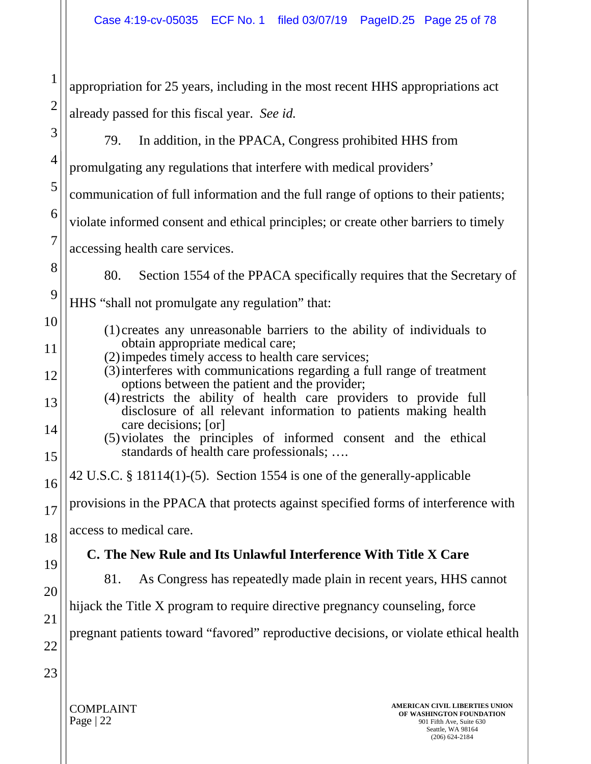| $\mathbf{1}$   | appropriation for 25 years, including in the most recent HHS appropriations act                                                              |  |
|----------------|----------------------------------------------------------------------------------------------------------------------------------------------|--|
| $\overline{2}$ | already passed for this fiscal year. See id.                                                                                                 |  |
| 3              | 79.<br>In addition, in the PPACA, Congress prohibited HHS from                                                                               |  |
| $\overline{4}$ | promulgating any regulations that interfere with medical providers'                                                                          |  |
| 5              | communication of full information and the full range of options to their patients;                                                           |  |
| 6              | violate informed consent and ethical principles; or create other barriers to timely                                                          |  |
| $\overline{7}$ | accessing health care services.                                                                                                              |  |
| 8              | 80.<br>Section 1554 of the PPACA specifically requires that the Secretary of                                                                 |  |
| 9              | HHS "shall not promulgate any regulation" that:                                                                                              |  |
| 10             | (1) creates any unreasonable barriers to the ability of individuals to                                                                       |  |
| 11             | obtain appropriate medical care;<br>(2) impedes timely access to health care services;                                                       |  |
| 12             | (3) interferes with communications regarding a full range of treatment<br>options between the patient and the provider;                      |  |
| 13             | (4) restricts the ability of health care providers to provide full<br>disclosure of all relevant information to patients making health       |  |
| 14             | care decisions; [or]<br>(5) violates the principles of informed consent and the ethical                                                      |  |
| 15             | standards of health care professionals;                                                                                                      |  |
| 16             | 42 U.S.C. § 18114(1)-(5). Section 1554 is one of the generally-applicable                                                                    |  |
| 17             | provisions in the PPACA that protects against specified forms of interference with                                                           |  |
| 18             | access to medical care.                                                                                                                      |  |
| 19             | C. The New Rule and Its Unlawful Interference With Title X Care<br>As Congress has repeatedly made plain in recent years, HHS cannot<br>81.  |  |
| 20             |                                                                                                                                              |  |
| 21             | hijack the Title X program to require directive pregnancy counseling, force                                                                  |  |
| 22             | pregnant patients toward "favored" reproductive decisions, or violate ethical health                                                         |  |
| 23             |                                                                                                                                              |  |
|                | AMERICAN CIVIL LIBERTIES UNION<br><b>COMPLAINT</b><br>OF WASHINGTON FOUNDATION<br>Page   22<br>901 Fifth Ave, Suite 630<br>Seattle, WA 98164 |  |

(206) 624-2184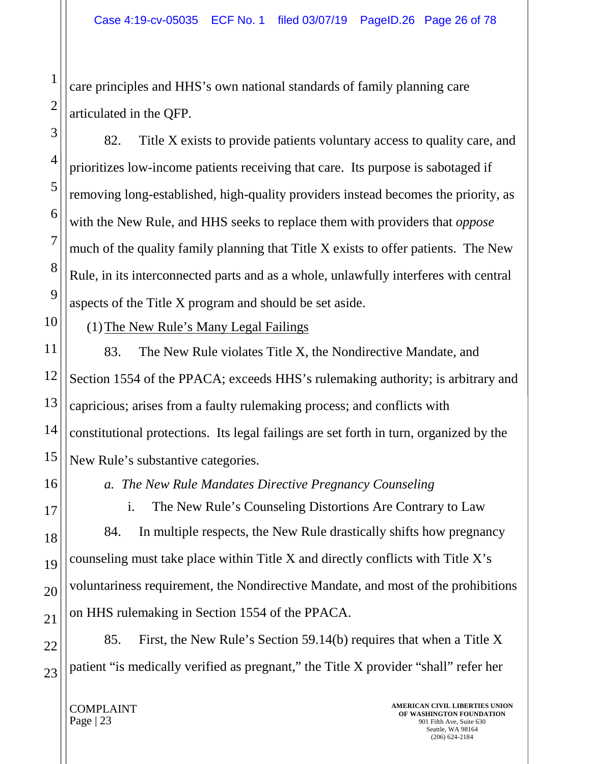care principles and HHS's own national standards of family planning care articulated in the QFP.

82. Title X exists to provide patients voluntary access to quality care, and prioritizes low-income patients receiving that care. Its purpose is sabotaged if removing long-established, high-quality providers instead becomes the priority, as with the New Rule, and HHS seeks to replace them with providers that *oppose* much of the quality family planning that Title X exists to offer patients. The New Rule, in its interconnected parts and as a whole, unlawfully interferes with central aspects of the Title X program and should be set aside.

(1)The New Rule's Many Legal Failings

83. The New Rule violates Title X, the Nondirective Mandate, and Section 1554 of the PPACA; exceeds HHS's rulemaking authority; is arbitrary and capricious; arises from a faulty rulemaking process; and conflicts with constitutional protections. Its legal failings are set forth in turn, organized by the New Rule's substantive categories.

*a. The New Rule Mandates Directive Pregnancy Counseling*

i. The New Rule's Counseling Distortions Are Contrary to Law

84. In multiple respects, the New Rule drastically shifts how pregnancy counseling must take place within Title X and directly conflicts with Title X's voluntariness requirement, the Nondirective Mandate, and most of the prohibitions on HHS rulemaking in Section 1554 of the PPACA.

85. First, the New Rule's Section 59.14(b) requires that when a Title X patient "is medically verified as pregnant," the Title X provider "shall" refer her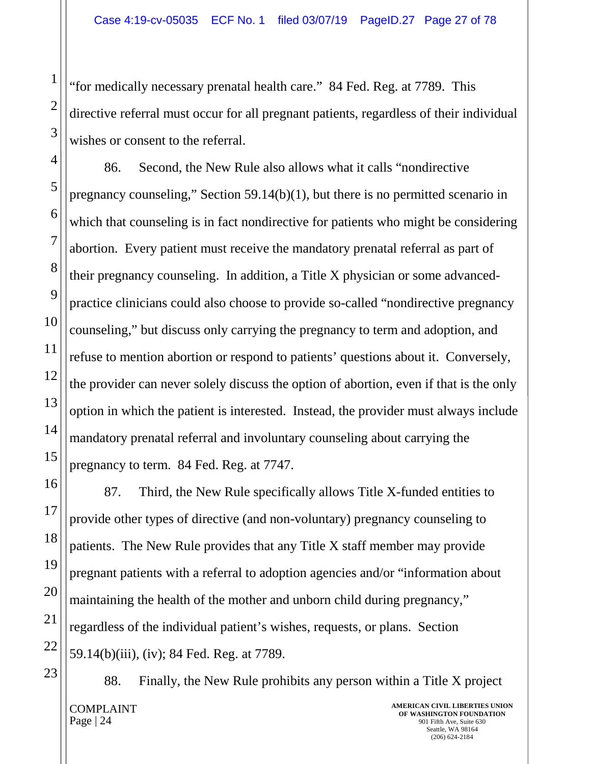"for medically necessary prenatal health care." 84 Fed. Reg. at 7789. This directive referral must occur for all pregnant patients, regardless of their individual wishes or consent to the referral.

86. Second, the New Rule also allows what it calls "nondirective pregnancy counseling," Section 59.14(b)(1), but there is no permitted scenario in which that counseling is in fact nondirective for patients who might be considering abortion. Every patient must receive the mandatory prenatal referral as part of their pregnancy counseling. In addition, a Title X physician or some advancedpractice clinicians could also choose to provide so-called "nondirective pregnancy counseling," but discuss only carrying the pregnancy to term and adoption, and refuse to mention abortion or respond to patients' questions about it. Conversely, the provider can never solely discuss the option of abortion, even if that is the only option in which the patient is interested. Instead, the provider must always include mandatory prenatal referral and involuntary counseling about carrying the pregnancy to term. 84 Fed. Reg. at 7747.

87. Third, the New Rule specifically allows Title X-funded entities to provide other types of directive (and non-voluntary) pregnancy counseling to patients. The New Rule provides that any Title X staff member may provide pregnant patients with a referral to adoption agencies and/or "information about maintaining the health of the mother and unborn child during pregnancy," regardless of the individual patient's wishes, requests, or plans. Section 59.14(b)(iii), (iv); 84 Fed. Reg. at 7789.

COMPLAINT Page | 24 **AMERICAN CIVIL LIBERTIES UNION OF WASHINGTON FOUNDATION** 901 Fifth Ave, Suite 630 88. Finally, the New Rule prohibits any person within a Title X project

Seattle, WA 98164 (206) 624-2184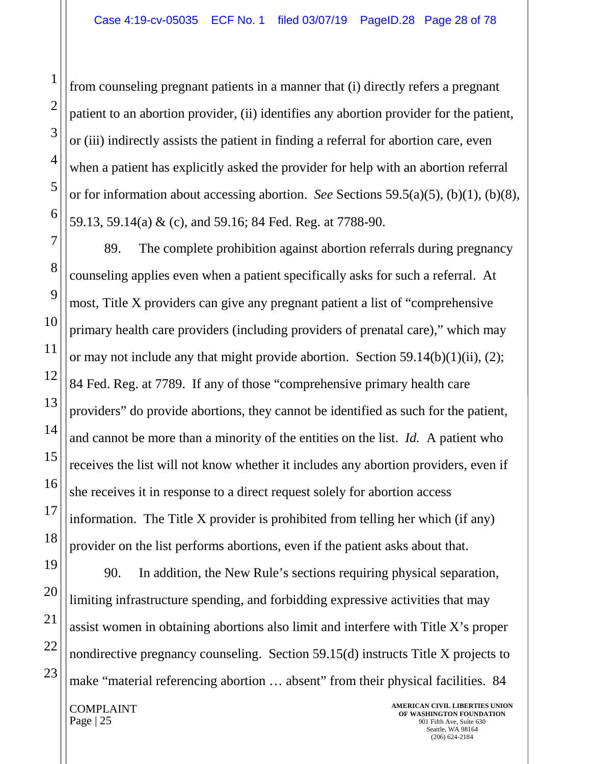from counseling pregnant patients in a manner that (i) directly refers a pregnant patient to an abortion provider, (ii) identifies any abortion provider for the patient, or (iii) indirectly assists the patient in finding a referral for abortion care, even when a patient has explicitly asked the provider for help with an abortion referral or for information about accessing abortion. *See* Sections 59.5(a)(5), (b)(1), (b)(8), 59.13, 59.14(a) & (c), and 59.16; 84 Fed. Reg. at 7788-90.

89. The complete prohibition against abortion referrals during pregnancy counseling applies even when a patient specifically asks for such a referral. At most, Title X providers can give any pregnant patient a list of "comprehensive primary health care providers (including providers of prenatal care)," which may or may not include any that might provide abortion. Section 59.14(b)(1)(ii), (2); 84 Fed. Reg. at 7789. If any of those "comprehensive primary health care providers" do provide abortions, they cannot be identified as such for the patient, and cannot be more than a minority of the entities on the list. *Id.* A patient who receives the list will not know whether it includes any abortion providers, even if she receives it in response to a direct request solely for abortion access information. The Title X provider is prohibited from telling her which (if any) provider on the list performs abortions, even if the patient asks about that.

90. In addition, the New Rule's sections requiring physical separation, limiting infrastructure spending, and forbidding expressive activities that may assist women in obtaining abortions also limit and interfere with Title X's proper nondirective pregnancy counseling. Section 59.15(d) instructs Title X projects to make "material referencing abortion ... absent" from their physical facilities. 84

COMPLAINT Page  $|25|$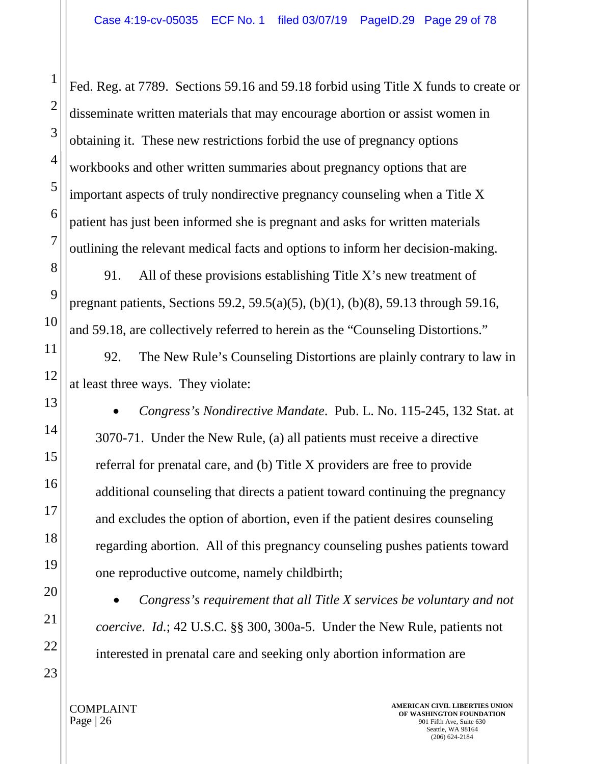Fed. Reg. at 7789. Sections 59.16 and 59.18 forbid using Title X funds to create or disseminate written materials that may encourage abortion or assist women in obtaining it. These new restrictions forbid the use of pregnancy options workbooks and other written summaries about pregnancy options that are important aspects of truly nondirective pregnancy counseling when a Title X patient has just been informed she is pregnant and asks for written materials outlining the relevant medical facts and options to inform her decision-making.

91. All of these provisions establishing Title X's new treatment of pregnant patients, Sections 59.2, 59.5(a)(5), (b)(1), (b)(8), 59.13 through 59.16, and 59.18, are collectively referred to herein as the "Counseling Distortions."

92. The New Rule's Counseling Distortions are plainly contrary to law in at least three ways. They violate:

• *Congress's Nondirective Mandate*. Pub. L. No. 115-245, 132 Stat. at 3070-71. Under the New Rule, (a) all patients must receive a directive referral for prenatal care, and (b) Title X providers are free to provide additional counseling that directs a patient toward continuing the pregnancy and excludes the option of abortion, even if the patient desires counseling regarding abortion. All of this pregnancy counseling pushes patients toward one reproductive outcome, namely childbirth;

• *Congress's requirement that all Title X services be voluntary and not coercive*. *Id.*; 42 U.S.C. §§ 300, 300a-5. Under the New Rule, patients not interested in prenatal care and seeking only abortion information are

1

2

3

4

5

6

7

COMPLAINT Page | 26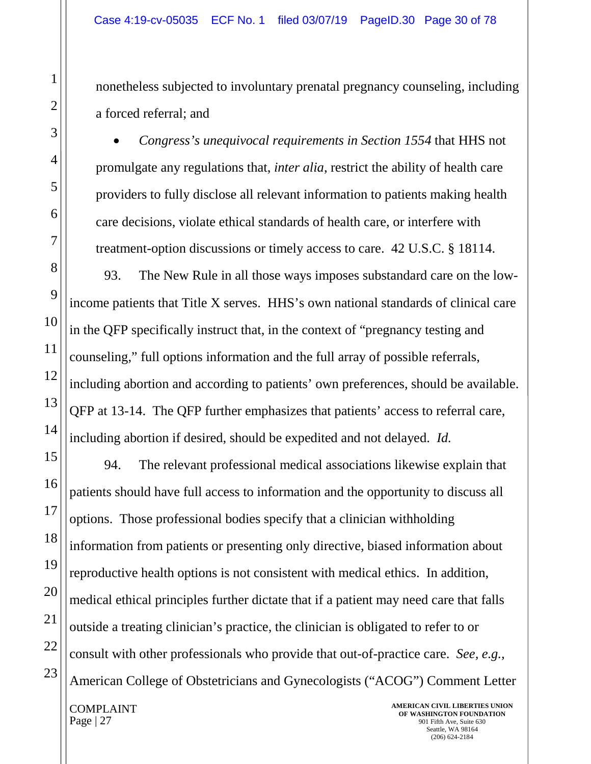nonetheless subjected to involuntary prenatal pregnancy counseling, including a forced referral; and

• *Congress's unequivocal requirements in Section 1554* that HHS not promulgate any regulations that, *inter alia*, restrict the ability of health care providers to fully disclose all relevant information to patients making health care decisions, violate ethical standards of health care, or interfere with treatment-option discussions or timely access to care. 42 U.S.C. § 18114.

93. The New Rule in all those ways imposes substandard care on the lowincome patients that Title X serves. HHS's own national standards of clinical care in the QFP specifically instruct that, in the context of "pregnancy testing and counseling," full options information and the full array of possible referrals, including abortion and according to patients' own preferences, should be available. QFP at 13-14. The QFP further emphasizes that patients' access to referral care, including abortion if desired, should be expedited and not delayed. *Id.*

94. The relevant professional medical associations likewise explain that patients should have full access to information and the opportunity to discuss all options. Those professional bodies specify that a clinician withholding information from patients or presenting only directive, biased information about reproductive health options is not consistent with medical ethics. In addition, medical ethical principles further dictate that if a patient may need care that falls outside a treating clinician's practice, the clinician is obligated to refer to or consult with other professionals who provide that out-of-practice care. *See, e.g.,*  American College of Obstetricians and Gynecologists ("ACOG") Comment Letter

COMPLAINT Page | 27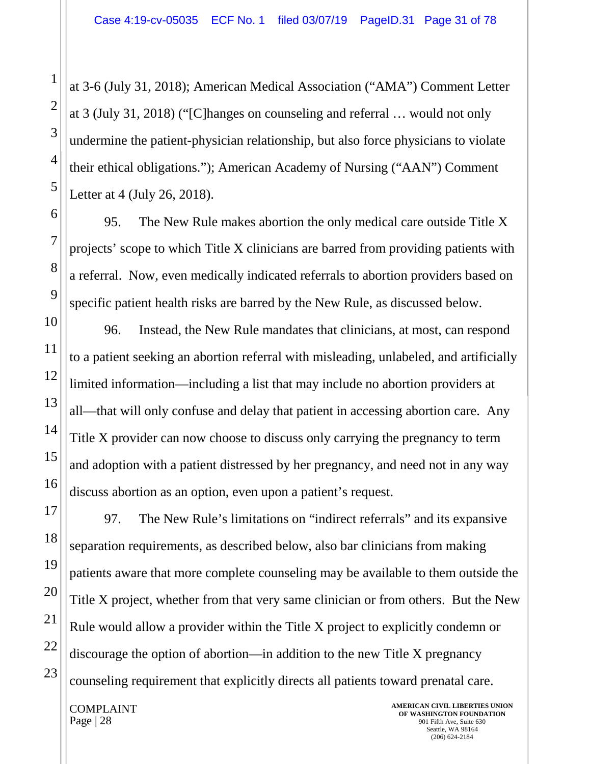at 3-6 (July 31, 2018); American Medical Association ("AMA") Comment Letter at 3 (July 31, 2018) ("[C]hanges on counseling and referral … would not only undermine the patient-physician relationship, but also force physicians to violate their ethical obligations."); American Academy of Nursing ("AAN") Comment Letter at 4 (July 26, 2018).

95. The New Rule makes abortion the only medical care outside Title X projects' scope to which Title X clinicians are barred from providing patients with a referral. Now, even medically indicated referrals to abortion providers based on specific patient health risks are barred by the New Rule, as discussed below.

96. Instead, the New Rule mandates that clinicians, at most, can respond to a patient seeking an abortion referral with misleading, unlabeled, and artificially limited information—including a list that may include no abortion providers at all—that will only confuse and delay that patient in accessing abortion care. Any Title X provider can now choose to discuss only carrying the pregnancy to term and adoption with a patient distressed by her pregnancy, and need not in any way discuss abortion as an option, even upon a patient's request.

97. The New Rule's limitations on "indirect referrals" and its expansive separation requirements, as described below, also bar clinicians from making patients aware that more complete counseling may be available to them outside the Title X project, whether from that very same clinician or from others. But the New Rule would allow a provider within the Title X project to explicitly condemn or discourage the option of abortion—in addition to the new Title X pregnancy counseling requirement that explicitly directs all patients toward prenatal care.

COMPLAINT Page | 28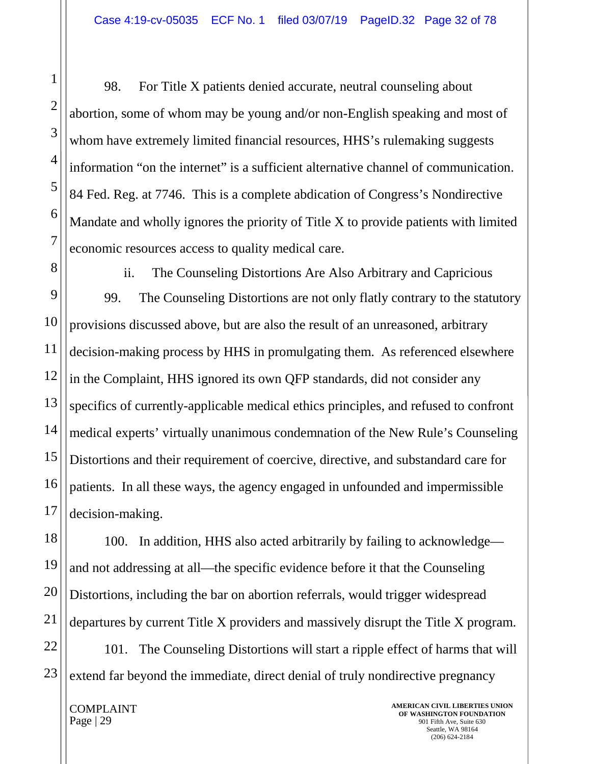98. For Title X patients denied accurate, neutral counseling about abortion, some of whom may be young and/or non-English speaking and most of whom have extremely limited financial resources, HHS's rulemaking suggests information "on the internet" is a sufficient alternative channel of communication. 84 Fed. Reg. at 7746. This is a complete abdication of Congress's Nondirective Mandate and wholly ignores the priority of Title X to provide patients with limited economic resources access to quality medical care.

ii. The Counseling Distortions Are Also Arbitrary and Capricious 99. The Counseling Distortions are not only flatly contrary to the statutory provisions discussed above, but are also the result of an unreasoned, arbitrary decision-making process by HHS in promulgating them. As referenced elsewhere in the Complaint, HHS ignored its own QFP standards, did not consider any specifics of currently-applicable medical ethics principles, and refused to confront medical experts' virtually unanimous condemnation of the New Rule's Counseling Distortions and their requirement of coercive, directive, and substandard care for patients. In all these ways, the agency engaged in unfounded and impermissible decision-making.

100. In addition, HHS also acted arbitrarily by failing to acknowledge and not addressing at all—the specific evidence before it that the Counseling Distortions, including the bar on abortion referrals, would trigger widespread departures by current Title X providers and massively disrupt the Title X program.

101. The Counseling Distortions will start a ripple effect of harms that will extend far beyond the immediate, direct denial of truly nondirective pregnancy

COMPLAINT Page | 29

**AMERICAN CIVIL LIBERTIES UNION OF WASHINGTON FOUNDATION** 901 Fifth Ave, Suite 630 Seattle, WA 98164 (206) 624-2184

1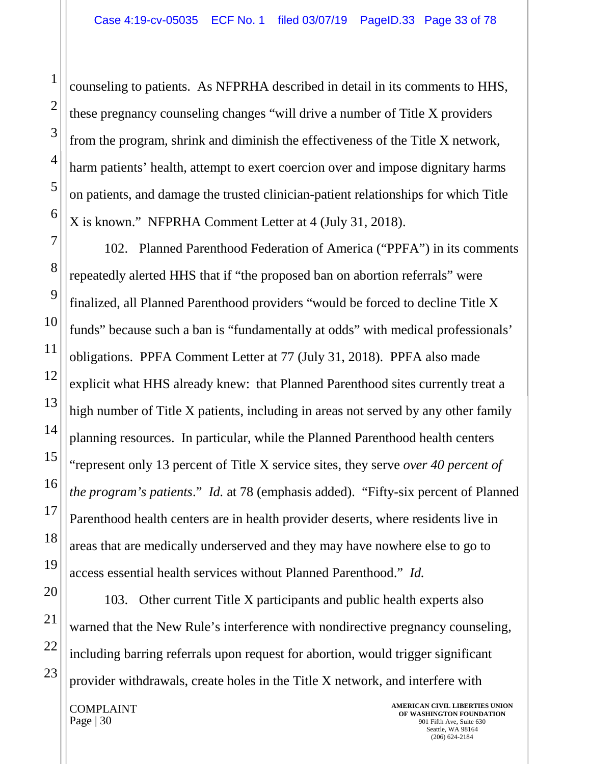counseling to patients. As NFPRHA described in detail in its comments to HHS, these pregnancy counseling changes "will drive a number of Title X providers from the program, shrink and diminish the effectiveness of the Title X network, harm patients' health, attempt to exert coercion over and impose dignitary harms on patients, and damage the trusted clinician-patient relationships for which Title X is known." NFPRHA Comment Letter at 4 (July 31, 2018).

102. Planned Parenthood Federation of America ("PPFA") in its comments repeatedly alerted HHS that if "the proposed ban on abortion referrals" were finalized, all Planned Parenthood providers "would be forced to decline Title X funds" because such a ban is "fundamentally at odds" with medical professionals' obligations. PPFA Comment Letter at 77 (July 31, 2018). PPFA also made explicit what HHS already knew: that Planned Parenthood sites currently treat a high number of Title X patients, including in areas not served by any other family planning resources. In particular, while the Planned Parenthood health centers "represent only 13 percent of Title X service sites, they serve *over 40 percent of the program's patients*." *Id.* at 78 (emphasis added). "Fifty-six percent of Planned Parenthood health centers are in health provider deserts, where residents live in areas that are medically underserved and they may have nowhere else to go to access essential health services without Planned Parenthood." *Id.*

103. Other current Title X participants and public health experts also warned that the New Rule's interference with nondirective pregnancy counseling, including barring referrals upon request for abortion, would trigger significant provider withdrawals, create holes in the Title X network, and interfere with

COMPLAINT Page  $|30|$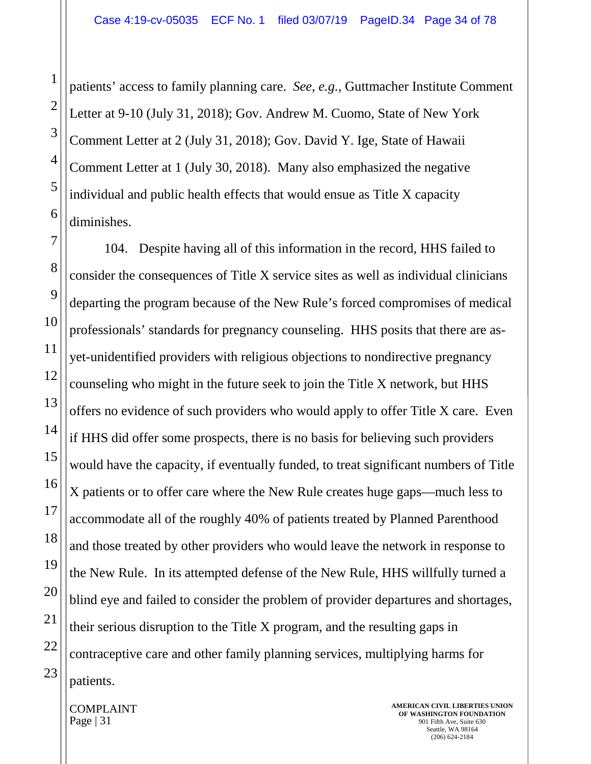patients' access to family planning care. *See, e.g.,* Guttmacher Institute Comment Letter at 9-10 (July 31, 2018); Gov. Andrew M. Cuomo, State of New York Comment Letter at 2 (July 31, 2018); Gov. David Y. Ige, State of Hawaii Comment Letter at 1 (July 30, 2018). Many also emphasized the negative individual and public health effects that would ensue as Title X capacity diminishes.

104. Despite having all of this information in the record, HHS failed to consider the consequences of Title X service sites as well as individual clinicians departing the program because of the New Rule's forced compromises of medical professionals' standards for pregnancy counseling. HHS posits that there are asyet-unidentified providers with religious objections to nondirective pregnancy counseling who might in the future seek to join the Title X network, but HHS offers no evidence of such providers who would apply to offer Title X care. Even if HHS did offer some prospects, there is no basis for believing such providers would have the capacity, if eventually funded, to treat significant numbers of Title X patients or to offer care where the New Rule creates huge gaps—much less to accommodate all of the roughly 40% of patients treated by Planned Parenthood and those treated by other providers who would leave the network in response to the New Rule. In its attempted defense of the New Rule, HHS willfully turned a blind eye and failed to consider the problem of provider departures and shortages, their serious disruption to the Title X program, and the resulting gaps in contraceptive care and other family planning services, multiplying harms for patients.

COMPLAINT Page  $|31|$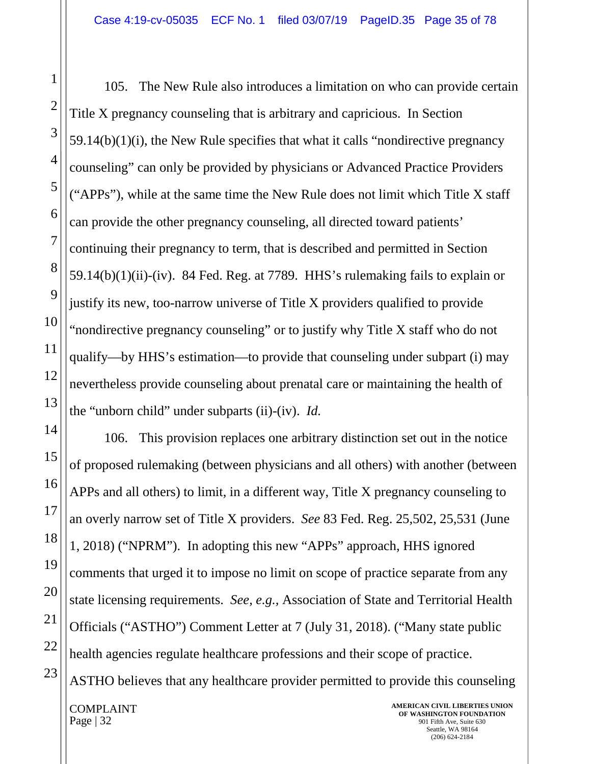105. The New Rule also introduces a limitation on who can provide certain Title X pregnancy counseling that is arbitrary and capricious. In Section 59.14(b)(1)(i), the New Rule specifies that what it calls "nondirective pregnancy counseling" can only be provided by physicians or Advanced Practice Providers ("APPs"), while at the same time the New Rule does not limit which Title X staff can provide the other pregnancy counseling, all directed toward patients' continuing their pregnancy to term, that is described and permitted in Section  $59.14(b)(1)(ii)$ -(iv). 84 Fed. Reg. at 7789. HHS's rulemaking fails to explain or justify its new, too-narrow universe of Title X providers qualified to provide "nondirective pregnancy counseling" or to justify why Title X staff who do not qualify—by HHS's estimation—to provide that counseling under subpart (i) may nevertheless provide counseling about prenatal care or maintaining the health of the "unborn child" under subparts (ii)-(iv). *Id.*

106. This provision replaces one arbitrary distinction set out in the notice of proposed rulemaking (between physicians and all others) with another (between APPs and all others) to limit, in a different way, Title X pregnancy counseling to an overly narrow set of Title X providers. *See* 83 Fed. Reg. 25,502, 25,531 (June 1, 2018) ("NPRM"). In adopting this new "APPs" approach, HHS ignored comments that urged it to impose no limit on scope of practice separate from any state licensing requirements. *See, e.g.,* Association of State and Territorial Health Officials ("ASTHO") Comment Letter at 7 (July 31, 2018). ("Many state public health agencies regulate healthcare professions and their scope of practice. ASTHO believes that any healthcare provider permitted to provide this counseling

COMPLAINT Page | 32

1

2

3

4

5

6

7

8

9

10

11

12

13

14

15

16

17

18

19

20

21

22

23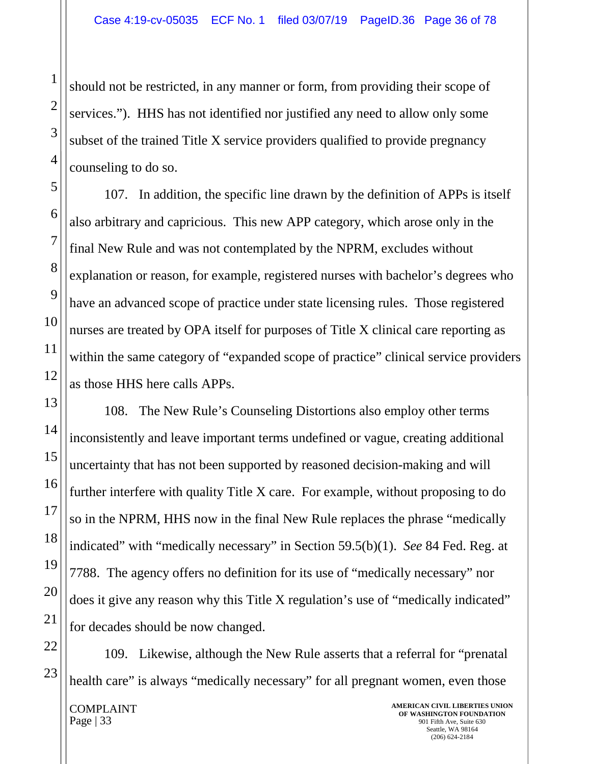should not be restricted, in any manner or form, from providing their scope of services."). HHS has not identified nor justified any need to allow only some subset of the trained Title X service providers qualified to provide pregnancy counseling to do so.

107. In addition, the specific line drawn by the definition of APPs is itself also arbitrary and capricious. This new APP category, which arose only in the final New Rule and was not contemplated by the NPRM, excludes without explanation or reason, for example, registered nurses with bachelor's degrees who have an advanced scope of practice under state licensing rules. Those registered nurses are treated by OPA itself for purposes of Title X clinical care reporting as within the same category of "expanded scope of practice" clinical service providers as those HHS here calls APPs.

108. The New Rule's Counseling Distortions also employ other terms inconsistently and leave important terms undefined or vague, creating additional uncertainty that has not been supported by reasoned decision-making and will further interfere with quality Title X care. For example, without proposing to do so in the NPRM, HHS now in the final New Rule replaces the phrase "medically indicated" with "medically necessary" in Section 59.5(b)(1). *See* 84 Fed. Reg. at 7788. The agency offers no definition for its use of "medically necessary" nor does it give any reason why this Title X regulation's use of "medically indicated" for decades should be now changed.

109. Likewise, although the New Rule asserts that a referral for "prenatal health care" is always "medically necessary" for all pregnant women, even those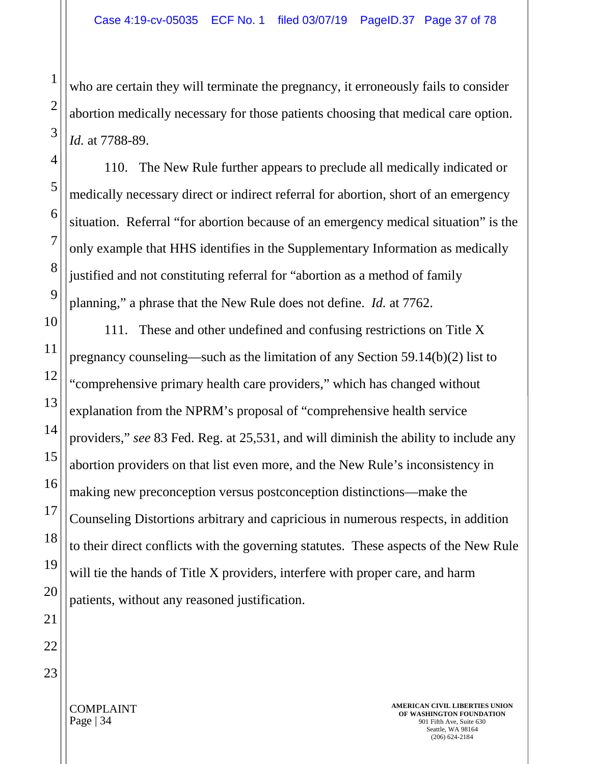who are certain they will terminate the pregnancy, it erroneously fails to consider abortion medically necessary for those patients choosing that medical care option. *Id.* at 7788-89.

110. The New Rule further appears to preclude all medically indicated or medically necessary direct or indirect referral for abortion, short of an emergency situation. Referral "for abortion because of an emergency medical situation" is the only example that HHS identifies in the Supplementary Information as medically justified and not constituting referral for "abortion as a method of family planning," a phrase that the New Rule does not define. *Id.* at 7762.

111. These and other undefined and confusing restrictions on Title X pregnancy counseling—such as the limitation of any Section 59.14(b)(2) list to "comprehensive primary health care providers," which has changed without explanation from the NPRM's proposal of "comprehensive health service providers," *see* 83 Fed. Reg. at 25,531, and will diminish the ability to include any abortion providers on that list even more, and the New Rule's inconsistency in making new preconception versus postconception distinctions—make the Counseling Distortions arbitrary and capricious in numerous respects, in addition to their direct conflicts with the governing statutes. These aspects of the New Rule will tie the hands of Title X providers, interfere with proper care, and harm patients, without any reasoned justification.

1

2

3

4

5

6

7

8

9

10

11

12

13

14

15

16

17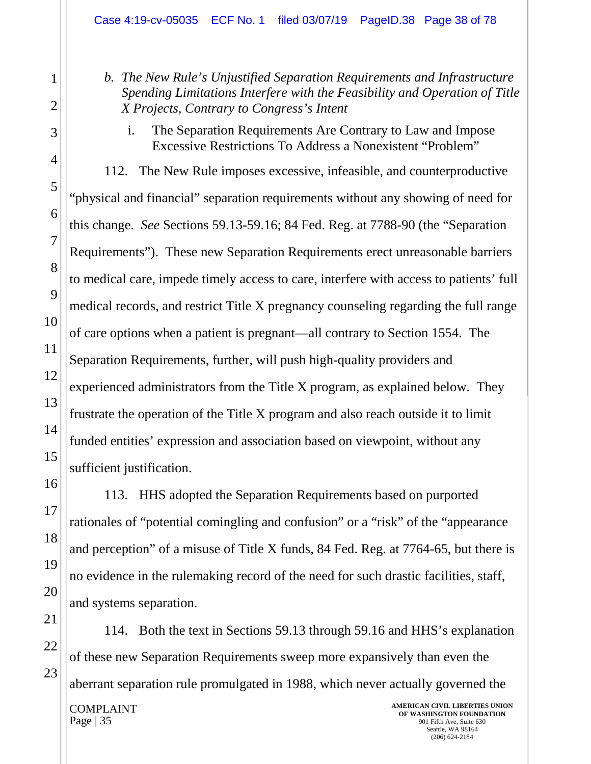*b. The New Rule's Unjustified Separation Requirements and Infrastructure Spending Limitations Interfere with the Feasibility and Operation of Title X Projects, Contrary to Congress's Intent*

i. The Separation Requirements Are Contrary to Law and Impose Excessive Restrictions To Address a Nonexistent "Problem"

112. The New Rule imposes excessive, infeasible, and counterproductive "physical and financial" separation requirements without any showing of need for this change. *See* Sections 59.13-59.16; 84 Fed. Reg. at 7788-90 (the "Separation Requirements"). These new Separation Requirements erect unreasonable barriers to medical care, impede timely access to care, interfere with access to patients' full medical records, and restrict Title X pregnancy counseling regarding the full range of care options when a patient is pregnant—all contrary to Section 1554. The Separation Requirements, further, will push high-quality providers and experienced administrators from the Title X program, as explained below. They frustrate the operation of the Title X program and also reach outside it to limit funded entities' expression and association based on viewpoint, without any sufficient justification.

113. HHS adopted the Separation Requirements based on purported rationales of "potential comingling and confusion" or a "risk" of the "appearance and perception" of a misuse of Title X funds, 84 Fed. Reg. at 7764-65, but there is no evidence in the rulemaking record of the need for such drastic facilities, staff, and systems separation.

COMPLAINT Page | 35 **AMERICAN CIVIL LIBERTIES UNION OF WASHINGTON FOUNDATION** 901 Fifth Ave, Suite 630 114. Both the text in Sections 59.13 through 59.16 and HHS's explanation of these new Separation Requirements sweep more expansively than even the aberrant separation rule promulgated in 1988, which never actually governed the

Seattle, WA 98164 (206) 624-2184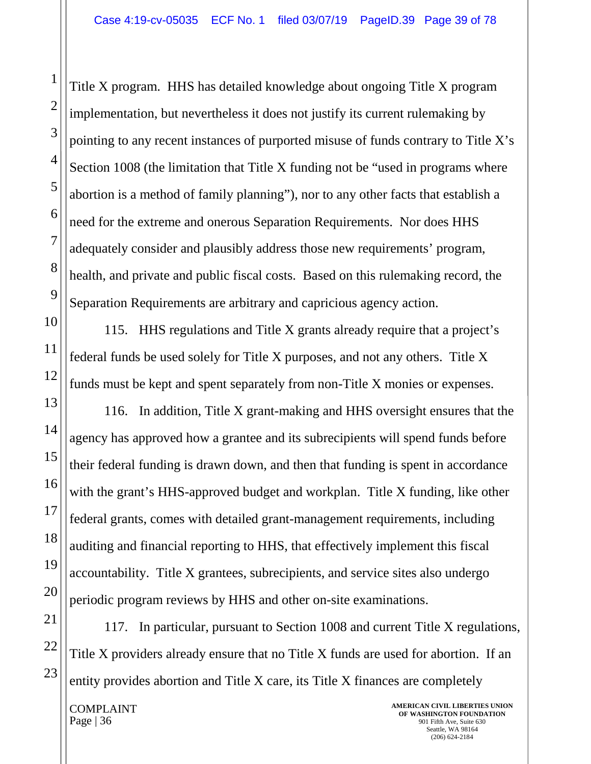Title X program. HHS has detailed knowledge about ongoing Title X program implementation, but nevertheless it does not justify its current rulemaking by pointing to any recent instances of purported misuse of funds contrary to Title X's Section 1008 (the limitation that Title X funding not be "used in programs where abortion is a method of family planning"), nor to any other facts that establish a need for the extreme and onerous Separation Requirements. Nor does HHS adequately consider and plausibly address those new requirements' program, health, and private and public fiscal costs. Based on this rulemaking record, the Separation Requirements are arbitrary and capricious agency action.

115. HHS regulations and Title X grants already require that a project's federal funds be used solely for Title X purposes, and not any others. Title X funds must be kept and spent separately from non-Title X monies or expenses.

116. In addition, Title X grant-making and HHS oversight ensures that the agency has approved how a grantee and its subrecipients will spend funds before their federal funding is drawn down, and then that funding is spent in accordance with the grant's HHS-approved budget and workplan. Title X funding, like other federal grants, comes with detailed grant-management requirements, including auditing and financial reporting to HHS, that effectively implement this fiscal accountability. Title X grantees, subrecipients, and service sites also undergo periodic program reviews by HHS and other on-site examinations.

117. In particular, pursuant to Section 1008 and current Title X regulations, Title X providers already ensure that no Title X funds are used for abortion. If an entity provides abortion and Title X care, its Title X finances are completely

COMPLAINT Page  $|36$ 

**AMERICAN CIVIL LIBERTIES UNION OF WASHINGTON FOUNDATION** 901 Fifth Ave, Suite 630 Seattle, WA 98164 (206) 624-2184

1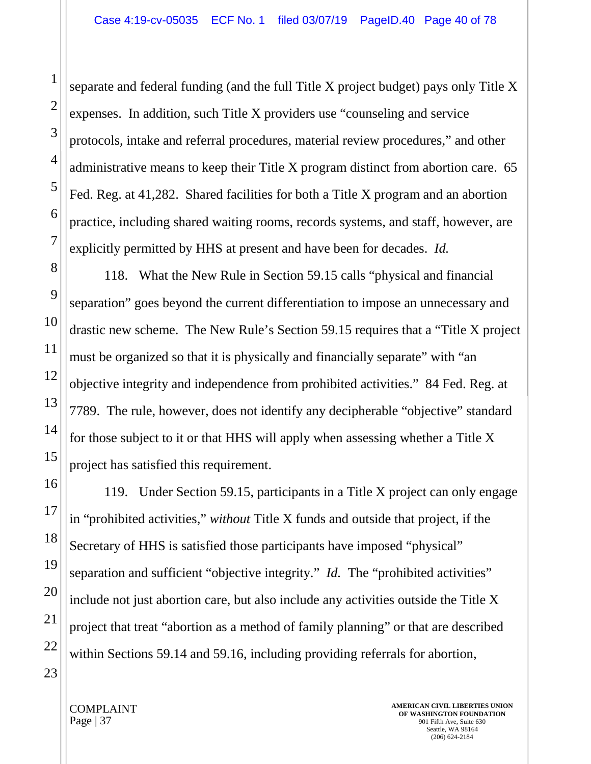separate and federal funding (and the full Title X project budget) pays only Title X expenses. In addition, such Title X providers use "counseling and service protocols, intake and referral procedures, material review procedures," and other administrative means to keep their Title X program distinct from abortion care. 65 Fed. Reg. at 41,282. Shared facilities for both a Title X program and an abortion practice, including shared waiting rooms, records systems, and staff, however, are explicitly permitted by HHS at present and have been for decades. *Id.*

118. What the New Rule in Section 59.15 calls "physical and financial separation" goes beyond the current differentiation to impose an unnecessary and drastic new scheme. The New Rule's Section 59.15 requires that a "Title X project must be organized so that it is physically and financially separate" with "an objective integrity and independence from prohibited activities." 84 Fed. Reg. at 7789. The rule, however, does not identify any decipherable "objective" standard for those subject to it or that HHS will apply when assessing whether a Title X project has satisfied this requirement.

119. Under Section 59.15, participants in a Title X project can only engage in "prohibited activities," *without* Title X funds and outside that project, if the Secretary of HHS is satisfied those participants have imposed "physical" separation and sufficient "objective integrity." *Id.* The "prohibited activities" include not just abortion care, but also include any activities outside the Title X project that treat "abortion as a method of family planning" or that are described within Sections 59.14 and 59.16, including providing referrals for abortion,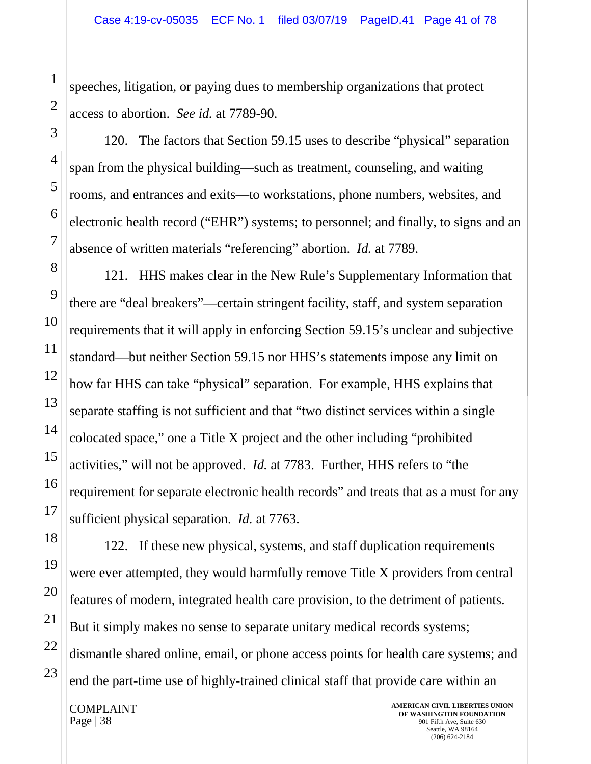speeches, litigation, or paying dues to membership organizations that protect access to abortion. *See id.* at 7789-90.

120. The factors that Section 59.15 uses to describe "physical" separation span from the physical building—such as treatment, counseling, and waiting rooms, and entrances and exits—to workstations, phone numbers, websites, and electronic health record ("EHR") systems; to personnel; and finally, to signs and an absence of written materials "referencing" abortion. *Id.* at 7789.

121. HHS makes clear in the New Rule's Supplementary Information that there are "deal breakers"—certain stringent facility, staff, and system separation requirements that it will apply in enforcing Section 59.15's unclear and subjective standard—but neither Section 59.15 nor HHS's statements impose any limit on how far HHS can take "physical" separation. For example, HHS explains that separate staffing is not sufficient and that "two distinct services within a single colocated space," one a Title X project and the other including "prohibited activities," will not be approved. *Id.* at 7783. Further, HHS refers to "the requirement for separate electronic health records" and treats that as a must for any sufficient physical separation. *Id.* at 7763.

122. If these new physical, systems, and staff duplication requirements were ever attempted, they would harmfully remove Title X providers from central features of modern, integrated health care provision, to the detriment of patients. But it simply makes no sense to separate unitary medical records systems; dismantle shared online, email, or phone access points for health care systems; and end the part-time use of highly-trained clinical staff that provide care within an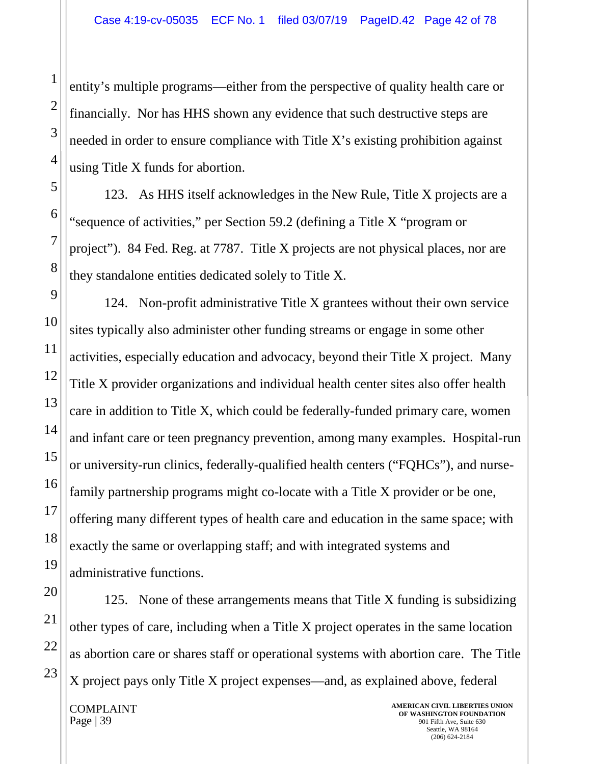entity's multiple programs—either from the perspective of quality health care or financially. Nor has HHS shown any evidence that such destructive steps are needed in order to ensure compliance with Title X's existing prohibition against using Title X funds for abortion.

123. As HHS itself acknowledges in the New Rule, Title X projects are a "sequence of activities," per Section 59.2 (defining a Title X "program or project"). 84 Fed. Reg. at 7787. Title X projects are not physical places, nor are they standalone entities dedicated solely to Title X.

124. Non-profit administrative Title X grantees without their own service sites typically also administer other funding streams or engage in some other activities, especially education and advocacy, beyond their Title X project. Many Title X provider organizations and individual health center sites also offer health care in addition to Title X, which could be federally-funded primary care, women and infant care or teen pregnancy prevention, among many examples. Hospital-run or university-run clinics, federally-qualified health centers ("FQHCs"), and nursefamily partnership programs might co-locate with a Title X provider or be one, offering many different types of health care and education in the same space; with exactly the same or overlapping staff; and with integrated systems and administrative functions.

125. None of these arrangements means that Title X funding is subsidizing other types of care, including when a Title X project operates in the same location as abortion care or shares staff or operational systems with abortion care. The Title X project pays only Title X project expenses—and, as explained above, federal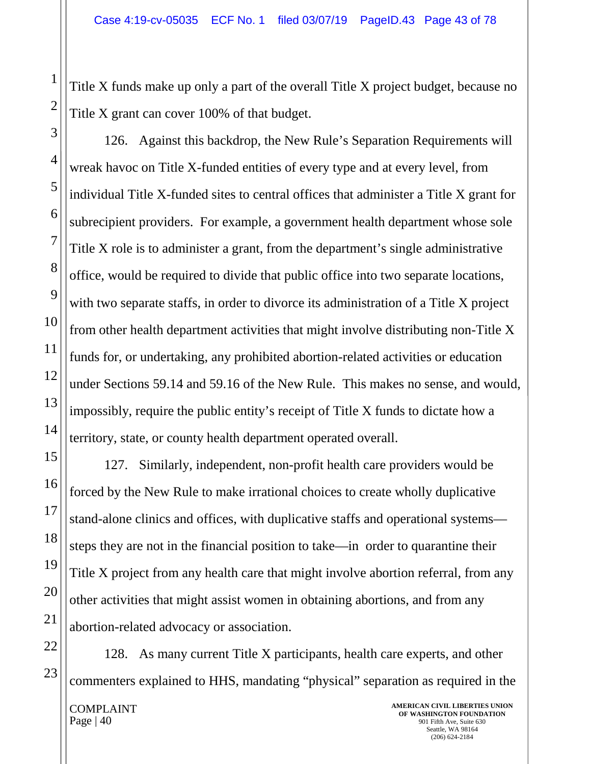Title X funds make up only a part of the overall Title X project budget, because no Title X grant can cover 100% of that budget.

126. Against this backdrop, the New Rule's Separation Requirements will wreak havoc on Title X-funded entities of every type and at every level, from individual Title X-funded sites to central offices that administer a Title X grant for subrecipient providers. For example, a government health department whose sole Title X role is to administer a grant, from the department's single administrative office, would be required to divide that public office into two separate locations, with two separate staffs, in order to divorce its administration of a Title X project from other health department activities that might involve distributing non-Title X funds for, or undertaking, any prohibited abortion-related activities or education under Sections 59.14 and 59.16 of the New Rule. This makes no sense, and would, impossibly, require the public entity's receipt of Title X funds to dictate how a territory, state, or county health department operated overall.

127. Similarly, independent, non-profit health care providers would be forced by the New Rule to make irrational choices to create wholly duplicative stand-alone clinics and offices, with duplicative staffs and operational systems steps they are not in the financial position to take—in order to quarantine their Title X project from any health care that might involve abortion referral, from any other activities that might assist women in obtaining abortions, and from any abortion-related advocacy or association.

128. As many current Title X participants, health care experts, and other commenters explained to HHS, mandating "physical" separation as required in the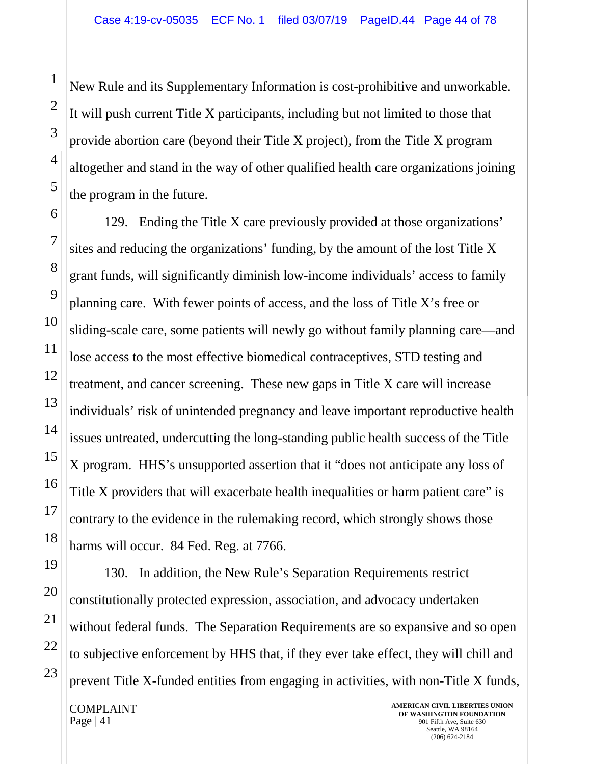New Rule and its Supplementary Information is cost-prohibitive and unworkable. It will push current Title X participants, including but not limited to those that provide abortion care (beyond their Title X project), from the Title X program altogether and stand in the way of other qualified health care organizations joining the program in the future.

129. Ending the Title X care previously provided at those organizations' sites and reducing the organizations' funding, by the amount of the lost Title X grant funds, will significantly diminish low-income individuals' access to family planning care. With fewer points of access, and the loss of Title X's free or sliding-scale care, some patients will newly go without family planning care—and lose access to the most effective biomedical contraceptives, STD testing and treatment, and cancer screening. These new gaps in Title X care will increase individuals' risk of unintended pregnancy and leave important reproductive health issues untreated, undercutting the long-standing public health success of the Title X program. HHS's unsupported assertion that it "does not anticipate any loss of Title X providers that will exacerbate health inequalities or harm patient care" is contrary to the evidence in the rulemaking record, which strongly shows those harms will occur. 84 Fed. Reg. at 7766.

130. In addition, the New Rule's Separation Requirements restrict constitutionally protected expression, association, and advocacy undertaken without federal funds. The Separation Requirements are so expansive and so open to subjective enforcement by HHS that, if they ever take effect, they will chill and prevent Title X-funded entities from engaging in activities, with non-Title X funds,

COMPLAINT Page  $|41$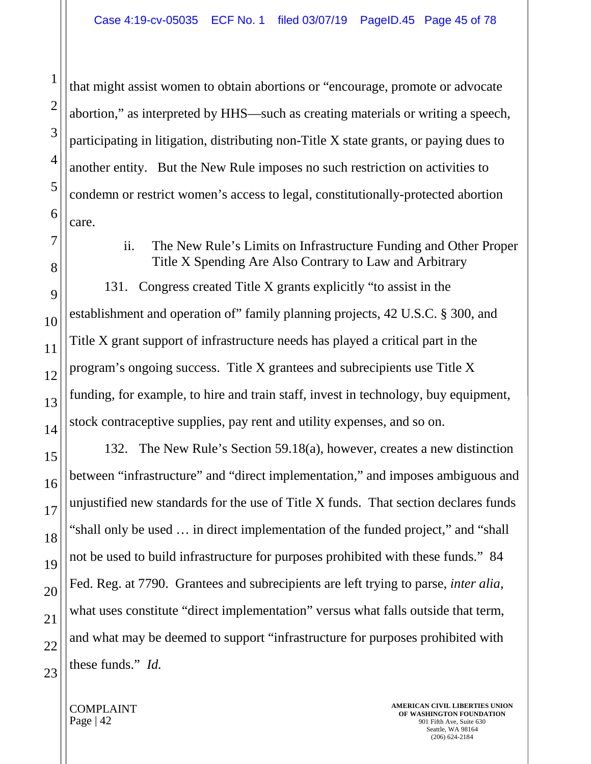that might assist women to obtain abortions or "encourage, promote or advocate abortion," as interpreted by HHS—such as creating materials or writing a speech, participating in litigation, distributing non-Title X state grants, or paying dues to another entity. But the New Rule imposes no such restriction on activities to condemn or restrict women's access to legal, constitutionally-protected abortion care.

## ii. The New Rule's Limits on Infrastructure Funding and Other Proper Title X Spending Are Also Contrary to Law and Arbitrary

131. Congress created Title X grants explicitly "to assist in the establishment and operation of" family planning projects, 42 U.S.C. § 300, and Title X grant support of infrastructure needs has played a critical part in the program's ongoing success. Title X grantees and subrecipients use Title X funding, for example, to hire and train staff, invest in technology, buy equipment, stock contraceptive supplies, pay rent and utility expenses, and so on.

132. The New Rule's Section 59.18(a), however, creates a new distinction between "infrastructure" and "direct implementation," and imposes ambiguous and unjustified new standards for the use of Title X funds. That section declares funds "shall only be used … in direct implementation of the funded project," and "shall not be used to build infrastructure for purposes prohibited with these funds." 84 Fed. Reg. at 7790. Grantees and subrecipients are left trying to parse, *inter alia*, what uses constitute "direct implementation" versus what falls outside that term, and what may be deemed to support "infrastructure for purposes prohibited with these funds." *Id.*

COMPLAINT Page | 42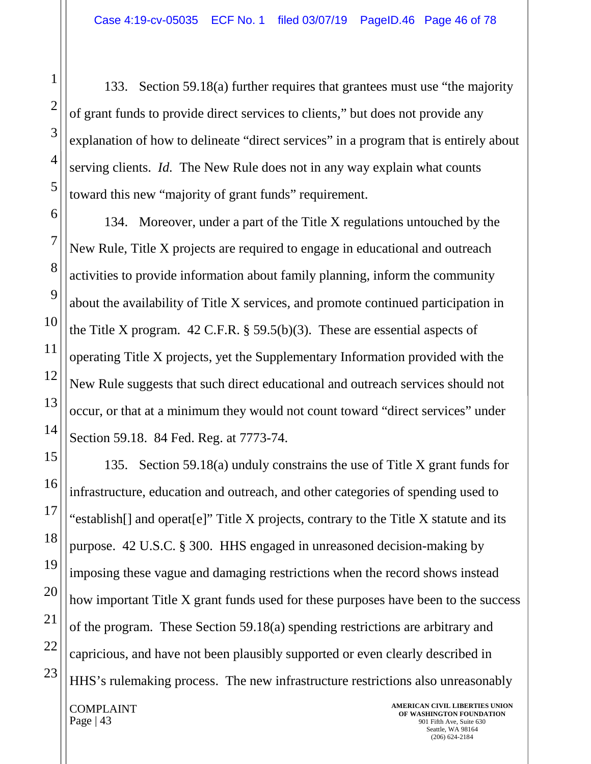133. Section 59.18(a) further requires that grantees must use "the majority of grant funds to provide direct services to clients," but does not provide any explanation of how to delineate "direct services" in a program that is entirely about serving clients. *Id.* The New Rule does not in any way explain what counts toward this new "majority of grant funds" requirement.

134. Moreover, under a part of the Title X regulations untouched by the New Rule, Title X projects are required to engage in educational and outreach activities to provide information about family planning, inform the community about the availability of Title X services, and promote continued participation in the Title X program.  $42$  C.F.R. § 59.5(b)(3). These are essential aspects of operating Title X projects, yet the Supplementary Information provided with the New Rule suggests that such direct educational and outreach services should not occur, or that at a minimum they would not count toward "direct services" under Section 59.18. 84 Fed. Reg. at 7773-74.

135. Section 59.18(a) unduly constrains the use of Title X grant funds for infrastructure, education and outreach, and other categories of spending used to "establish[] and operat[e]" Title X projects, contrary to the Title X statute and its purpose. 42 U.S.C. § 300. HHS engaged in unreasoned decision-making by imposing these vague and damaging restrictions when the record shows instead how important Title X grant funds used for these purposes have been to the success of the program. These Section 59.18(a) spending restrictions are arbitrary and capricious, and have not been plausibly supported or even clearly described in HHS's rulemaking process. The new infrastructure restrictions also unreasonably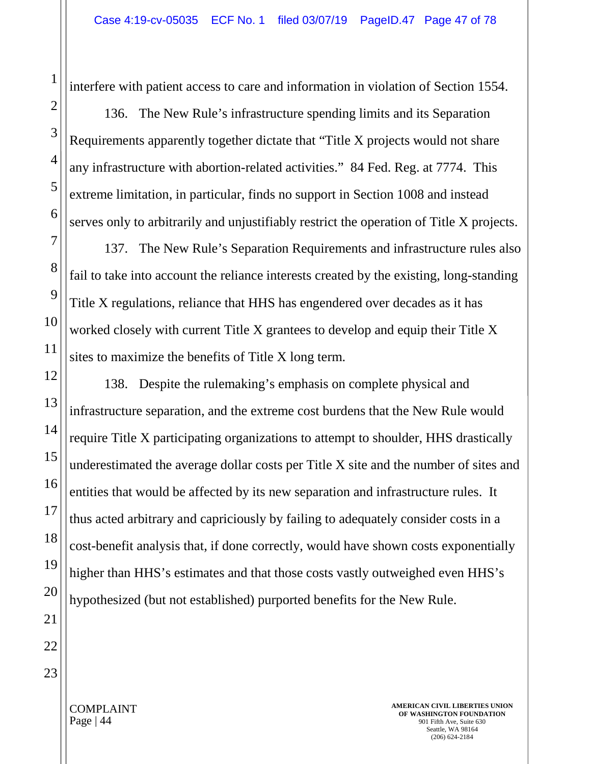interfere with patient access to care and information in violation of Section 1554.

136. The New Rule's infrastructure spending limits and its Separation Requirements apparently together dictate that "Title X projects would not share any infrastructure with abortion-related activities." 84 Fed. Reg. at 7774. This extreme limitation, in particular, finds no support in Section 1008 and instead serves only to arbitrarily and unjustifiably restrict the operation of Title X projects.

137. The New Rule's Separation Requirements and infrastructure rules also fail to take into account the reliance interests created by the existing, long-standing Title X regulations, reliance that HHS has engendered over decades as it has worked closely with current Title X grantees to develop and equip their Title X sites to maximize the benefits of Title X long term.

138. Despite the rulemaking's emphasis on complete physical and infrastructure separation, and the extreme cost burdens that the New Rule would require Title X participating organizations to attempt to shoulder, HHS drastically underestimated the average dollar costs per Title X site and the number of sites and entities that would be affected by its new separation and infrastructure rules. It thus acted arbitrary and capriciously by failing to adequately consider costs in a cost-benefit analysis that, if done correctly, would have shown costs exponentially higher than HHS's estimates and that those costs vastly outweighed even HHS's hypothesized (but not established) purported benefits for the New Rule.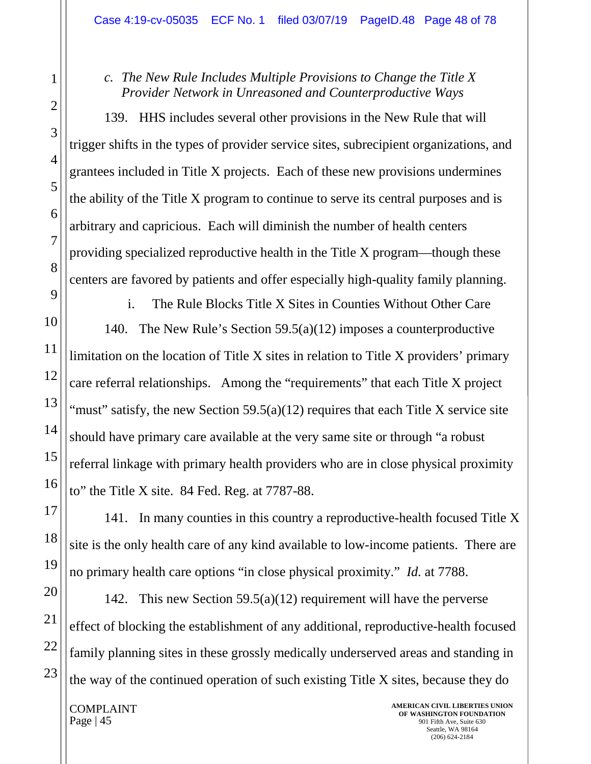## *c. The New Rule Includes Multiple Provisions to Change the Title X Provider Network in Unreasoned and Counterproductive Ways*

139. HHS includes several other provisions in the New Rule that will trigger shifts in the types of provider service sites, subrecipient organizations, and grantees included in Title X projects. Each of these new provisions undermines the ability of the Title X program to continue to serve its central purposes and is arbitrary and capricious. Each will diminish the number of health centers providing specialized reproductive health in the Title X program—though these centers are favored by patients and offer especially high-quality family planning.

i. The Rule Blocks Title X Sites in Counties Without Other Care 140. The New Rule's Section 59.5(a)(12) imposes a counterproductive limitation on the location of Title X sites in relation to Title X providers' primary care referral relationships. Among the "requirements" that each Title X project "must" satisfy, the new Section 59.5(a)(12) requires that each Title X service site should have primary care available at the very same site or through "a robust referral linkage with primary health providers who are in close physical proximity to" the Title X site. 84 Fed. Reg. at 7787-88.

141. In many counties in this country a reproductive-health focused Title X site is the only health care of any kind available to low-income patients. There are no primary health care options "in close physical proximity." *Id.* at 7788.

142. This new Section  $59.5(a)(12)$  requirement will have the perverse effect of blocking the establishment of any additional, reproductive-health focused family planning sites in these grossly medically underserved areas and standing in the way of the continued operation of such existing Title X sites, because they do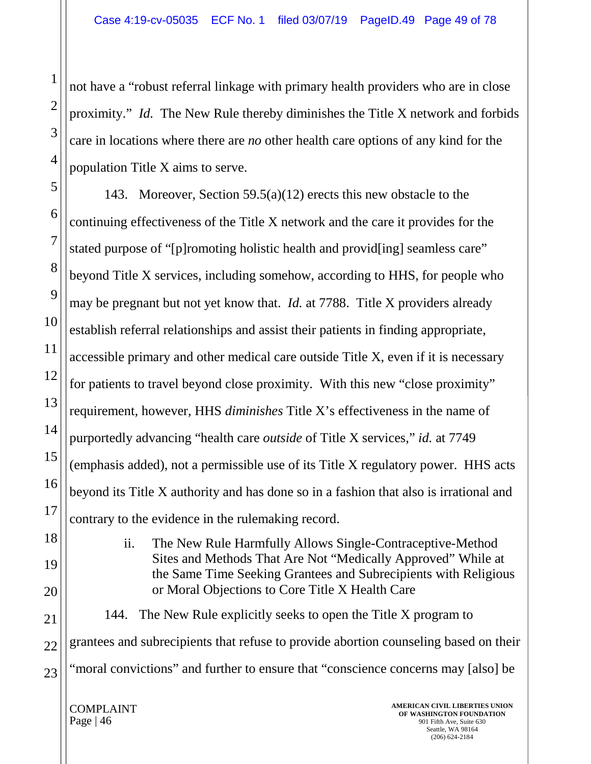not have a "robust referral linkage with primary health providers who are in close proximity." *Id.* The New Rule thereby diminishes the Title X network and forbids care in locations where there are *no* other health care options of any kind for the population Title X aims to serve.

143. Moreover, Section 59.5(a)(12) erects this new obstacle to the continuing effectiveness of the Title X network and the care it provides for the stated purpose of "[p]romoting holistic health and provid[ing] seamless care" beyond Title X services, including somehow, according to HHS, for people who may be pregnant but not yet know that. *Id.* at 7788. Title X providers already establish referral relationships and assist their patients in finding appropriate, accessible primary and other medical care outside Title X, even if it is necessary for patients to travel beyond close proximity. With this new "close proximity" requirement, however, HHS *diminishes* Title X's effectiveness in the name of purportedly advancing "health care *outside* of Title X services," *id.* at 7749 (emphasis added), not a permissible use of its Title X regulatory power. HHS acts beyond its Title X authority and has done so in a fashion that also is irrational and contrary to the evidence in the rulemaking record.

> ii. The New Rule Harmfully Allows Single-Contraceptive-Method Sites and Methods That Are Not "Medically Approved" While at the Same Time Seeking Grantees and Subrecipients with Religious or Moral Objections to Core Title X Health Care

144. The New Rule explicitly seeks to open the Title X program to grantees and subrecipients that refuse to provide abortion counseling based on their "moral convictions" and further to ensure that "conscience concerns may [also] be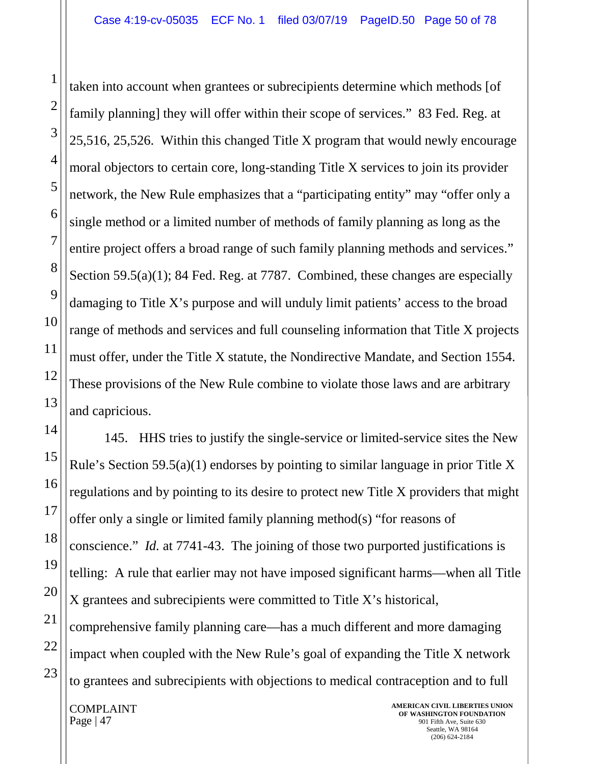taken into account when grantees or subrecipients determine which methods [of family planning] they will offer within their scope of services." 83 Fed. Reg. at 25,516, 25,526. Within this changed Title X program that would newly encourage moral objectors to certain core, long-standing Title X services to join its provider network, the New Rule emphasizes that a "participating entity" may "offer only a single method or a limited number of methods of family planning as long as the entire project offers a broad range of such family planning methods and services." Section 59.5(a)(1); 84 Fed. Reg. at 7787. Combined, these changes are especially damaging to Title X's purpose and will unduly limit patients' access to the broad range of methods and services and full counseling information that Title X projects must offer, under the Title X statute, the Nondirective Mandate, and Section 1554. These provisions of the New Rule combine to violate those laws and are arbitrary and capricious.

145. HHS tries to justify the single-service or limited-service sites the New Rule's Section 59.5(a)(1) endorses by pointing to similar language in prior Title X regulations and by pointing to its desire to protect new Title X providers that might offer only a single or limited family planning method(s) "for reasons of conscience." *Id.* at 7741-43. The joining of those two purported justifications is telling: A rule that earlier may not have imposed significant harms—when all Title X grantees and subrecipients were committed to Title X's historical, comprehensive family planning care—has a much different and more damaging impact when coupled with the New Rule's goal of expanding the Title X network to grantees and subrecipients with objections to medical contraception and to full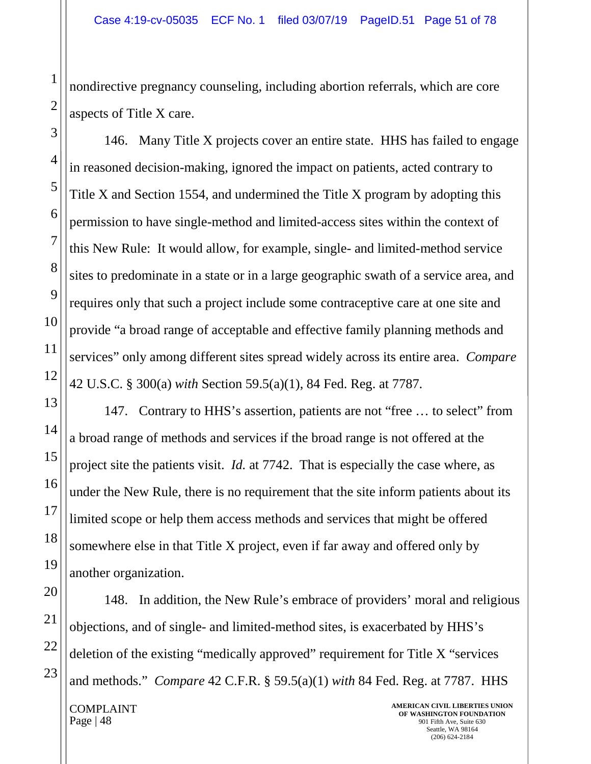nondirective pregnancy counseling, including abortion referrals, which are core aspects of Title X care.

146. Many Title X projects cover an entire state. HHS has failed to engage in reasoned decision-making, ignored the impact on patients, acted contrary to Title X and Section 1554, and undermined the Title X program by adopting this permission to have single-method and limited-access sites within the context of this New Rule: It would allow, for example, single- and limited-method service sites to predominate in a state or in a large geographic swath of a service area, and requires only that such a project include some contraceptive care at one site and provide "a broad range of acceptable and effective family planning methods and services" only among different sites spread widely across its entire area. *Compare*  42 U.S.C. § 300(a) *with* Section 59.5(a)(1), 84 Fed. Reg. at 7787.

147. Contrary to HHS's assertion, patients are not "free … to select" from a broad range of methods and services if the broad range is not offered at the project site the patients visit. *Id.* at 7742. That is especially the case where, as under the New Rule, there is no requirement that the site inform patients about its limited scope or help them access methods and services that might be offered somewhere else in that Title X project, even if far away and offered only by another organization.

148. In addition, the New Rule's embrace of providers' moral and religious objections, and of single- and limited-method sites, is exacerbated by HHS's deletion of the existing "medically approved" requirement for Title X "services and methods." *Compare* 42 C.F.R. § 59.5(a)(1) *with* 84 Fed. Reg. at 7787. HHS

COMPLAINT Page  $|48$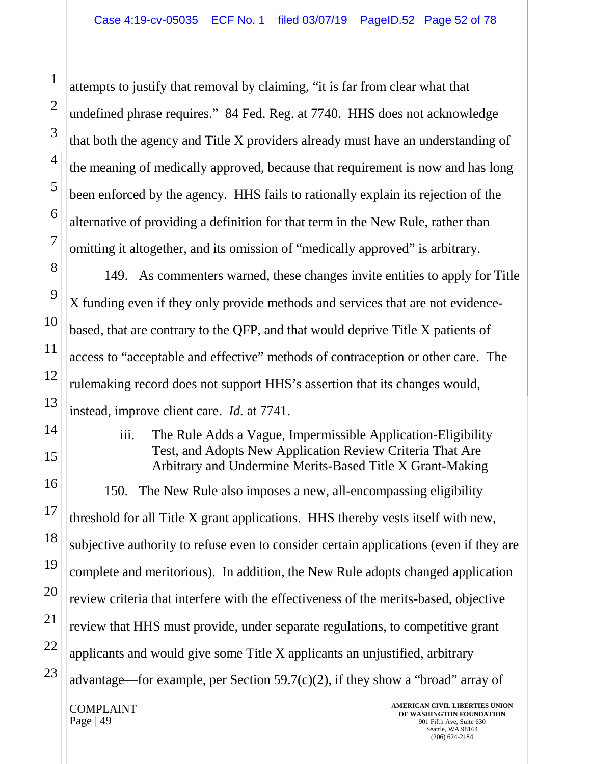attempts to justify that removal by claiming, "it is far from clear what that undefined phrase requires." 84 Fed. Reg. at 7740. HHS does not acknowledge that both the agency and Title X providers already must have an understanding of the meaning of medically approved, because that requirement is now and has long been enforced by the agency. HHS fails to rationally explain its rejection of the alternative of providing a definition for that term in the New Rule, rather than omitting it altogether, and its omission of "medically approved" is arbitrary.

149. As commenters warned, these changes invite entities to apply for Title X funding even if they only provide methods and services that are not evidencebased, that are contrary to the QFP, and that would deprive Title X patients of access to "acceptable and effective" methods of contraception or other care. The rulemaking record does not support HHS's assertion that its changes would, instead, improve client care. *Id.* at 7741.

> iii. The Rule Adds a Vague, Impermissible Application-Eligibility Test, and Adopts New Application Review Criteria That Are Arbitrary and Undermine Merits-Based Title X Grant-Making

COMPLAINT **AMERICAN CIVIL LIBERTIES UNION**  150. The New Rule also imposes a new, all-encompassing eligibility threshold for all Title X grant applications. HHS thereby vests itself with new, subjective authority to refuse even to consider certain applications (even if they are complete and meritorious). In addition, the New Rule adopts changed application review criteria that interfere with the effectiveness of the merits-based, objective review that HHS must provide, under separate regulations, to competitive grant applicants and would give some Title X applicants an unjustified, arbitrary advantage—for example, per Section  $59.7(c)(2)$ , if they show a "broad" array of

Page  $|49|$ 

**OF WASHINGTON FOUNDATION** 901 Fifth Ave, Suite 630 Seattle, WA 98164 (206) 624-2184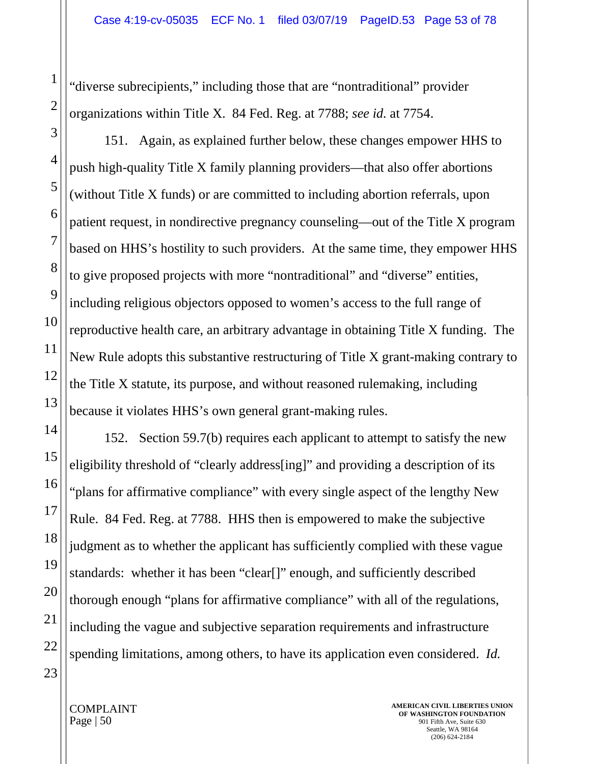"diverse subrecipients," including those that are "nontraditional" provider organizations within Title X. 84 Fed. Reg. at 7788; *see id.* at 7754.

151. Again, as explained further below, these changes empower HHS to push high-quality Title X family planning providers—that also offer abortions (without Title X funds) or are committed to including abortion referrals, upon patient request, in nondirective pregnancy counseling—out of the Title X program based on HHS's hostility to such providers. At the same time, they empower HHS to give proposed projects with more "nontraditional" and "diverse" entities, including religious objectors opposed to women's access to the full range of reproductive health care, an arbitrary advantage in obtaining Title X funding. The New Rule adopts this substantive restructuring of Title X grant-making contrary to the Title X statute, its purpose, and without reasoned rulemaking, including because it violates HHS's own general grant-making rules.

152. Section 59.7(b) requires each applicant to attempt to satisfy the new eligibility threshold of "clearly address[ing]" and providing a description of its "plans for affirmative compliance" with every single aspect of the lengthy New Rule. 84 Fed. Reg. at 7788. HHS then is empowered to make the subjective judgment as to whether the applicant has sufficiently complied with these vague standards: whether it has been "clear[]" enough, and sufficiently described thorough enough "plans for affirmative compliance" with all of the regulations, including the vague and subjective separation requirements and infrastructure spending limitations, among others, to have its application even considered. *Id.*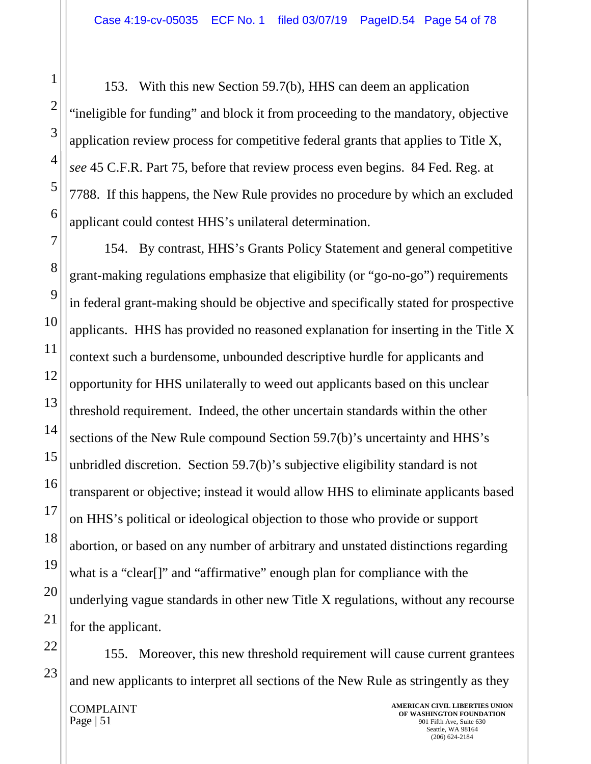153. With this new Section 59.7(b), HHS can deem an application "ineligible for funding" and block it from proceeding to the mandatory, objective application review process for competitive federal grants that applies to Title X, *see* 45 C.F.R. Part 75, before that review process even begins. 84 Fed. Reg. at 7788. If this happens, the New Rule provides no procedure by which an excluded applicant could contest HHS's unilateral determination.

154. By contrast, HHS's Grants Policy Statement and general competitive grant-making regulations emphasize that eligibility (or "go-no-go") requirements in federal grant-making should be objective and specifically stated for prospective applicants. HHS has provided no reasoned explanation for inserting in the Title X context such a burdensome, unbounded descriptive hurdle for applicants and opportunity for HHS unilaterally to weed out applicants based on this unclear threshold requirement. Indeed, the other uncertain standards within the other sections of the New Rule compound Section 59.7(b)'s uncertainty and HHS's unbridled discretion. Section 59.7(b)'s subjective eligibility standard is not transparent or objective; instead it would allow HHS to eliminate applicants based on HHS's political or ideological objection to those who provide or support abortion, or based on any number of arbitrary and unstated distinctions regarding what is a "clear[]" and "affirmative" enough plan for compliance with the underlying vague standards in other new Title X regulations, without any recourse for the applicant.

155. Moreover, this new threshold requirement will cause current grantees and new applicants to interpret all sections of the New Rule as stringently as they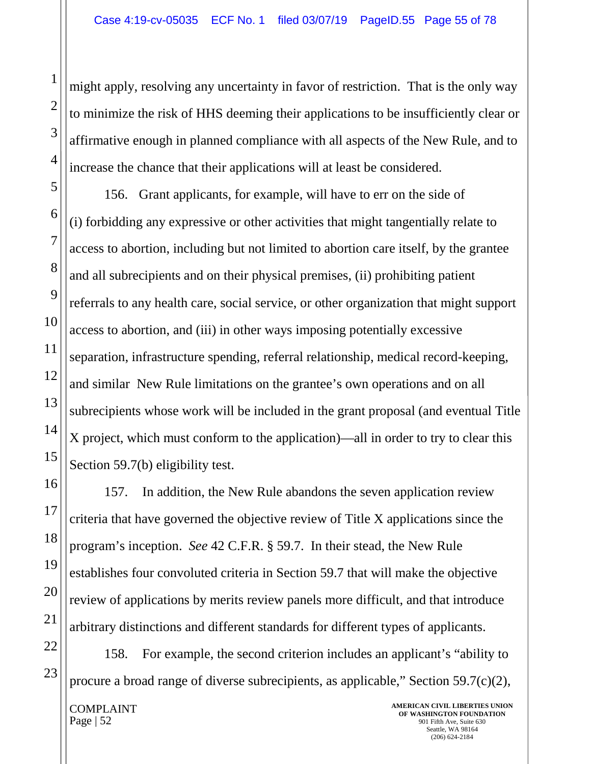might apply, resolving any uncertainty in favor of restriction. That is the only way to minimize the risk of HHS deeming their applications to be insufficiently clear or affirmative enough in planned compliance with all aspects of the New Rule, and to increase the chance that their applications will at least be considered.

156. Grant applicants, for example, will have to err on the side of (i) forbidding any expressive or other activities that might tangentially relate to access to abortion, including but not limited to abortion care itself, by the grantee and all subrecipients and on their physical premises, (ii) prohibiting patient referrals to any health care, social service, or other organization that might support access to abortion, and (iii) in other ways imposing potentially excessive separation, infrastructure spending, referral relationship, medical record-keeping, and similar New Rule limitations on the grantee's own operations and on all subrecipients whose work will be included in the grant proposal (and eventual Title X project, which must conform to the application)—all in order to try to clear this Section 59.7(b) eligibility test.

157. In addition, the New Rule abandons the seven application review criteria that have governed the objective review of Title X applications since the program's inception. *See* 42 C.F.R. § 59.7. In their stead, the New Rule establishes four convoluted criteria in Section 59.7 that will make the objective review of applications by merits review panels more difficult, and that introduce arbitrary distinctions and different standards for different types of applicants.

158. For example, the second criterion includes an applicant's "ability to procure a broad range of diverse subrecipients, as applicable," Section 59.7(c)(2),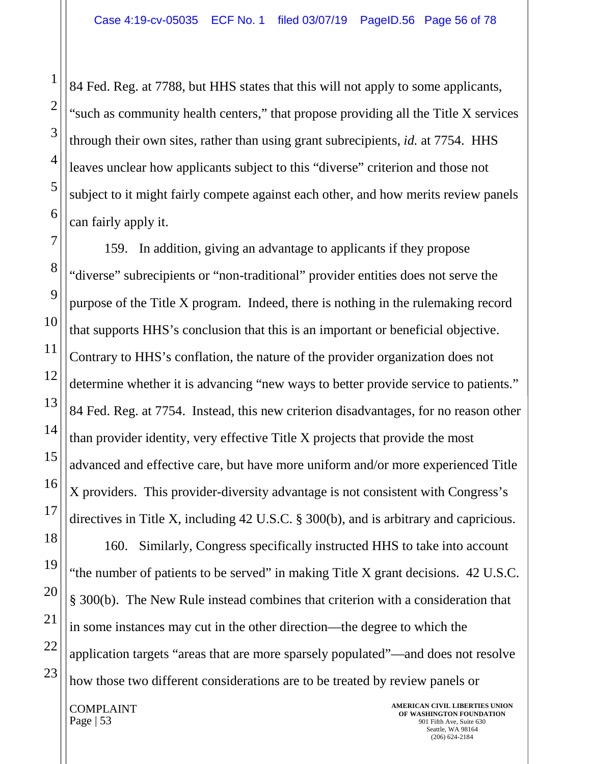84 Fed. Reg. at 7788, but HHS states that this will not apply to some applicants, "such as community health centers," that propose providing all the Title X services through their own sites, rather than using grant subrecipients, *id.* at 7754. HHS leaves unclear how applicants subject to this "diverse" criterion and those not subject to it might fairly compete against each other, and how merits review panels can fairly apply it.

159. In addition, giving an advantage to applicants if they propose "diverse" subrecipients or "non-traditional" provider entities does not serve the purpose of the Title X program. Indeed, there is nothing in the rulemaking record that supports HHS's conclusion that this is an important or beneficial objective. Contrary to HHS's conflation, the nature of the provider organization does not determine whether it is advancing "new ways to better provide service to patients." 84 Fed. Reg. at 7754. Instead, this new criterion disadvantages, for no reason other than provider identity, very effective Title X projects that provide the most advanced and effective care, but have more uniform and/or more experienced Title X providers. This provider-diversity advantage is not consistent with Congress's directives in Title X, including 42 U.S.C. § 300(b), and is arbitrary and capricious.

160. Similarly, Congress specifically instructed HHS to take into account "the number of patients to be served" in making Title X grant decisions. 42 U.S.C. § 300(b). The New Rule instead combines that criterion with a consideration that in some instances may cut in the other direction—the degree to which the application targets "areas that are more sparsely populated"—and does not resolve how those two different considerations are to be treated by review panels or

COMPLAINT Page  $\vert 53 \vert$ 

1

2

3

4

5

6

7

8

9

10

11

12

13

14

15

16

17

18

19

20

21

22

23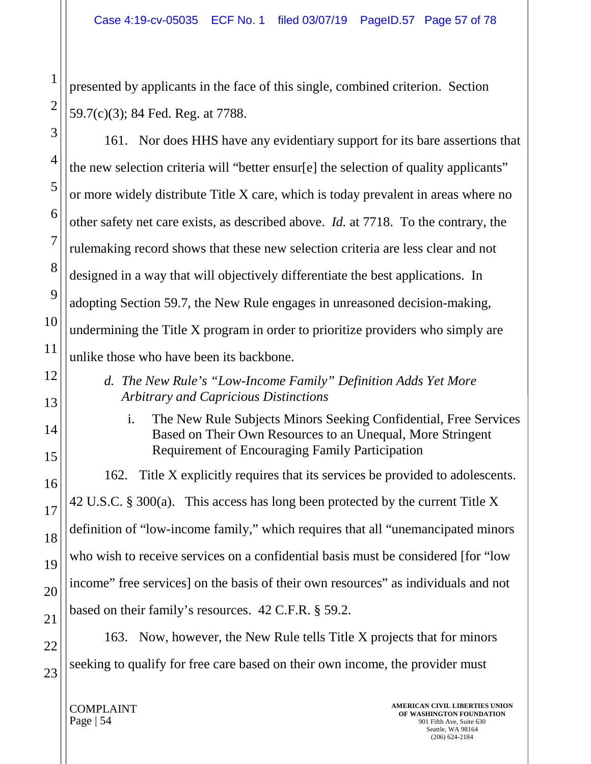presented by applicants in the face of this single, combined criterion. Section 59.7(c)(3); 84 Fed. Reg. at 7788.

161. Nor does HHS have any evidentiary support for its bare assertions that the new selection criteria will "better ensur[e] the selection of quality applicants" or more widely distribute Title X care, which is today prevalent in areas where no other safety net care exists, as described above. *Id.* at 7718. To the contrary, the rulemaking record shows that these new selection criteria are less clear and not designed in a way that will objectively differentiate the best applications. In adopting Section 59.7, the New Rule engages in unreasoned decision-making, undermining the Title X program in order to prioritize providers who simply are unlike those who have been its backbone.

- *d. The New Rule's "Low-Income Family" Definition Adds Yet More Arbitrary and Capricious Distinctions*
	- i. The New Rule Subjects Minors Seeking Confidential, Free Services Based on Their Own Resources to an Unequal, More Stringent Requirement of Encouraging Family Participation

162. Title X explicitly requires that its services be provided to adolescents. 42 U.S.C. § 300(a). This access has long been protected by the current Title X definition of "low-income family," which requires that all "unemancipated minors who wish to receive services on a confidential basis must be considered [for "low income" free services] on the basis of their own resources" as individuals and not based on their family's resources. 42 C.F.R. § 59.2.

163. Now, however, the New Rule tells Title X projects that for minors seeking to qualify for free care based on their own income, the provider must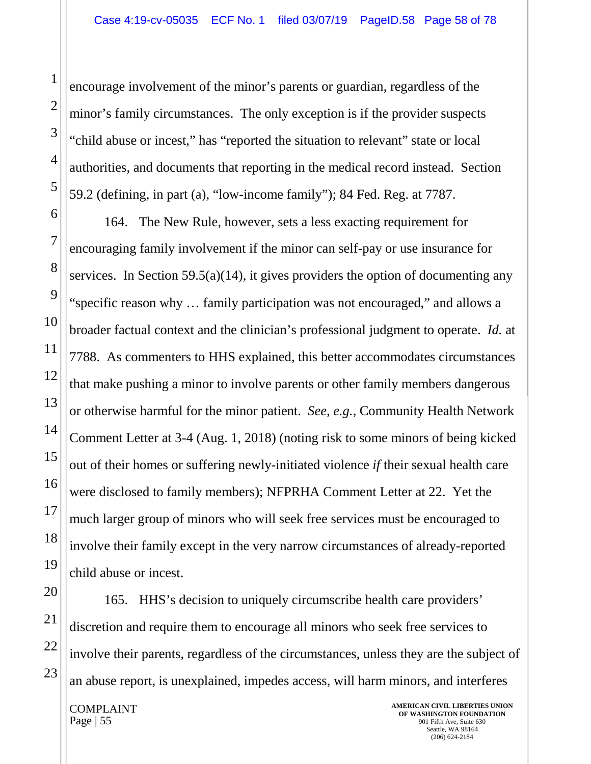encourage involvement of the minor's parents or guardian, regardless of the minor's family circumstances. The only exception is if the provider suspects "child abuse or incest," has "reported the situation to relevant" state or local authorities, and documents that reporting in the medical record instead. Section 59.2 (defining, in part (a), "low-income family"); 84 Fed. Reg. at 7787.

164. The New Rule, however, sets a less exacting requirement for encouraging family involvement if the minor can self-pay or use insurance for services. In Section 59.5(a)(14), it gives providers the option of documenting any "specific reason why … family participation was not encouraged," and allows a broader factual context and the clinician's professional judgment to operate. *Id.* at 7788. As commenters to HHS explained, this better accommodates circumstances that make pushing a minor to involve parents or other family members dangerous or otherwise harmful for the minor patient. *See, e.g.*, Community Health Network Comment Letter at 3-4 (Aug. 1, 2018) (noting risk to some minors of being kicked out of their homes or suffering newly-initiated violence *if* their sexual health care were disclosed to family members); NFPRHA Comment Letter at 22. Yet the much larger group of minors who will seek free services must be encouraged to involve their family except in the very narrow circumstances of already-reported child abuse or incest.

165. HHS's decision to uniquely circumscribe health care providers' discretion and require them to encourage all minors who seek free services to involve their parents, regardless of the circumstances, unless they are the subject of an abuse report, is unexplained, impedes access, will harm minors, and interferes

COMPLAINT Page  $\vert 55 \vert$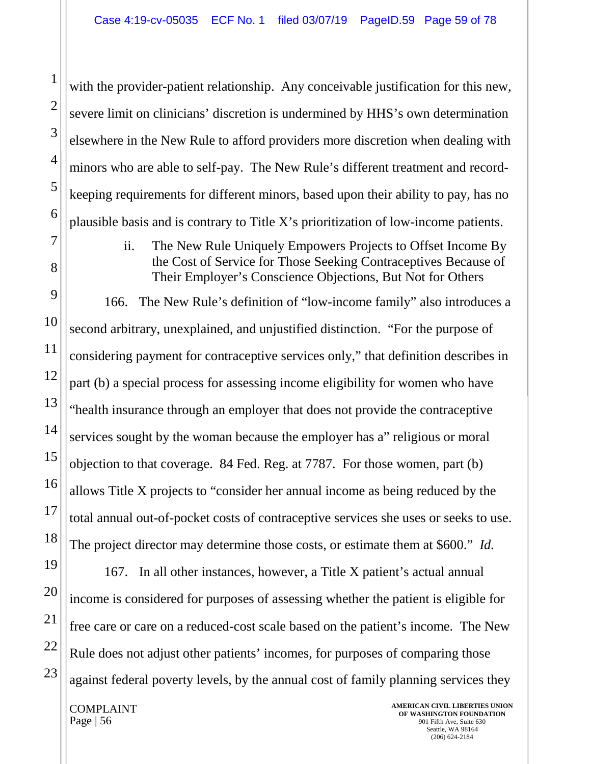with the provider-patient relationship. Any conceivable justification for this new, severe limit on clinicians' discretion is undermined by HHS's own determination elsewhere in the New Rule to afford providers more discretion when dealing with minors who are able to self-pay. The New Rule's different treatment and recordkeeping requirements for different minors, based upon their ability to pay, has no plausible basis and is contrary to Title X's prioritization of low-income patients.

## ii. The New Rule Uniquely Empowers Projects to Offset Income By the Cost of Service for Those Seeking Contraceptives Because of Their Employer's Conscience Objections, But Not for Others

166. The New Rule's definition of "low-income family" also introduces a second arbitrary, unexplained, and unjustified distinction. "For the purpose of considering payment for contraceptive services only," that definition describes in part (b) a special process for assessing income eligibility for women who have "health insurance through an employer that does not provide the contraceptive services sought by the woman because the employer has a" religious or moral objection to that coverage. 84 Fed. Reg. at 7787. For those women, part (b) allows Title X projects to "consider her annual income as being reduced by the total annual out-of-pocket costs of contraceptive services she uses or seeks to use. The project director may determine those costs, or estimate them at \$600." *Id.*

167. In all other instances, however, a Title X patient's actual annual income is considered for purposes of assessing whether the patient is eligible for free care or care on a reduced-cost scale based on the patient's income. The New Rule does not adjust other patients' incomes, for purposes of comparing those against federal poverty levels, by the annual cost of family planning services they

COMPLAINT Page  $\vert 56 \vert$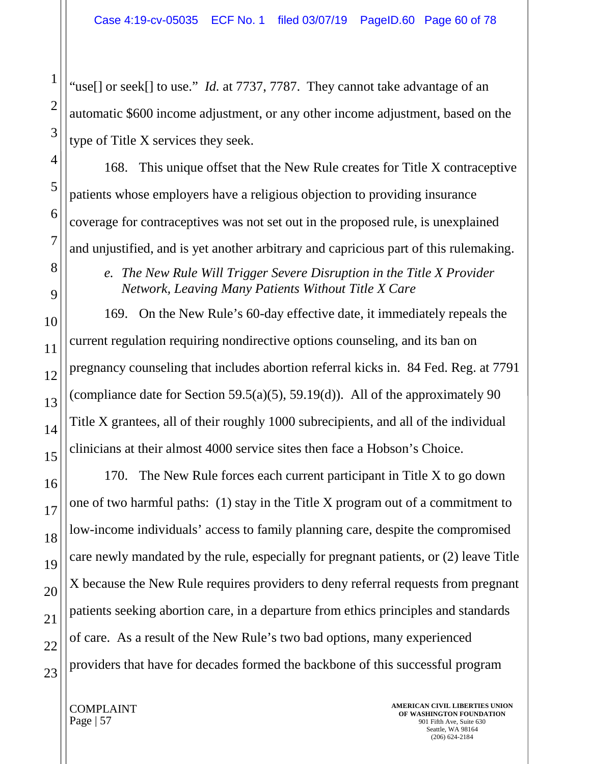"use[] or seek[] to use." *Id.* at 7737, 7787. They cannot take advantage of an automatic \$600 income adjustment, or any other income adjustment, based on the type of Title X services they seek.

168. This unique offset that the New Rule creates for Title X contraceptive patients whose employers have a religious objection to providing insurance coverage for contraceptives was not set out in the proposed rule, is unexplained and unjustified, and is yet another arbitrary and capricious part of this rulemaking.

*e. The New Rule Will Trigger Severe Disruption in the Title X Provider Network, Leaving Many Patients Without Title X Care* 

169. On the New Rule's 60-day effective date, it immediately repeals the current regulation requiring nondirective options counseling, and its ban on pregnancy counseling that includes abortion referral kicks in. 84 Fed. Reg. at 7791 (compliance date for Section 59.5(a)(5), 59.19(d)). All of the approximately 90 Title X grantees, all of their roughly 1000 subrecipients, and all of the individual clinicians at their almost 4000 service sites then face a Hobson's Choice.

170. The New Rule forces each current participant in Title X to go down one of two harmful paths: (1) stay in the Title X program out of a commitment to low-income individuals' access to family planning care, despite the compromised care newly mandated by the rule, especially for pregnant patients, or (2) leave Title X because the New Rule requires providers to deny referral requests from pregnant patients seeking abortion care, in a departure from ethics principles and standards of care. As a result of the New Rule's two bad options, many experienced providers that have for decades formed the backbone of this successful program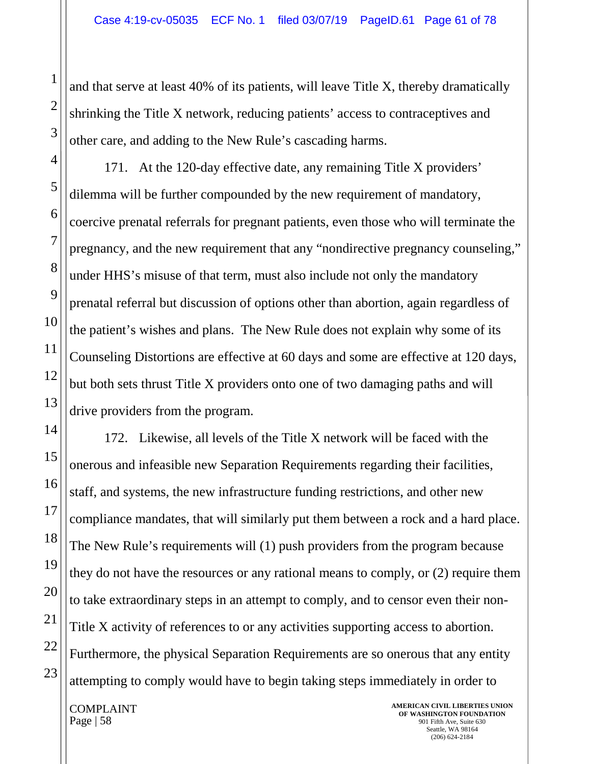and that serve at least 40% of its patients, will leave Title X, thereby dramatically shrinking the Title X network, reducing patients' access to contraceptives and other care, and adding to the New Rule's cascading harms.

171. At the 120-day effective date, any remaining Title X providers' dilemma will be further compounded by the new requirement of mandatory, coercive prenatal referrals for pregnant patients, even those who will terminate the pregnancy, and the new requirement that any "nondirective pregnancy counseling," under HHS's misuse of that term, must also include not only the mandatory prenatal referral but discussion of options other than abortion, again regardless of the patient's wishes and plans. The New Rule does not explain why some of its Counseling Distortions are effective at 60 days and some are effective at 120 days, but both sets thrust Title X providers onto one of two damaging paths and will drive providers from the program.

172. Likewise, all levels of the Title X network will be faced with the onerous and infeasible new Separation Requirements regarding their facilities, staff, and systems, the new infrastructure funding restrictions, and other new compliance mandates, that will similarly put them between a rock and a hard place. The New Rule's requirements will (1) push providers from the program because they do not have the resources or any rational means to comply, or (2) require them to take extraordinary steps in an attempt to comply, and to censor even their non-Title X activity of references to or any activities supporting access to abortion. Furthermore, the physical Separation Requirements are so onerous that any entity attempting to comply would have to begin taking steps immediately in order to

COMPLAINT Page  $\vert 58 \vert$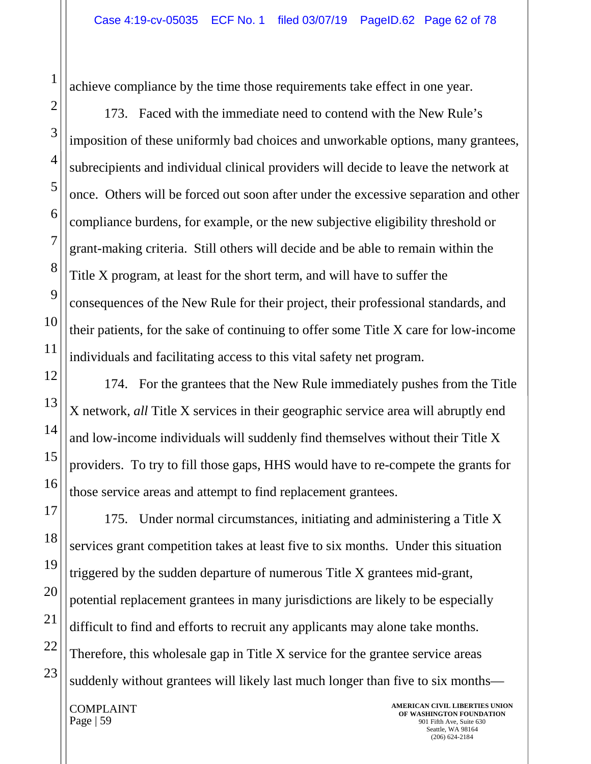achieve compliance by the time those requirements take effect in one year.

173. Faced with the immediate need to contend with the New Rule's imposition of these uniformly bad choices and unworkable options, many grantees, subrecipients and individual clinical providers will decide to leave the network at once. Others will be forced out soon after under the excessive separation and other compliance burdens, for example, or the new subjective eligibility threshold or grant-making criteria. Still others will decide and be able to remain within the Title X program, at least for the short term, and will have to suffer the consequences of the New Rule for their project, their professional standards, and their patients, for the sake of continuing to offer some Title X care for low-income individuals and facilitating access to this vital safety net program.

174. For the grantees that the New Rule immediately pushes from the Title X network, *all* Title X services in their geographic service area will abruptly end and low-income individuals will suddenly find themselves without their Title X providers. To try to fill those gaps, HHS would have to re-compete the grants for those service areas and attempt to find replacement grantees.

175. Under normal circumstances, initiating and administering a Title X services grant competition takes at least five to six months. Under this situation triggered by the sudden departure of numerous Title X grantees mid-grant, potential replacement grantees in many jurisdictions are likely to be especially difficult to find and efforts to recruit any applicants may alone take months. Therefore, this wholesale gap in Title X service for the grantee service areas suddenly without grantees will likely last much longer than five to six months—

COMPLAINT Page  $\vert 59 \vert$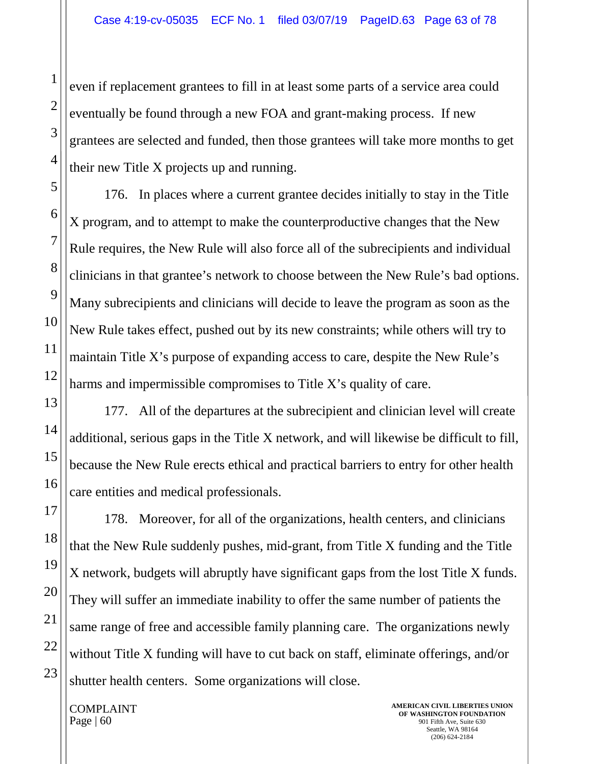even if replacement grantees to fill in at least some parts of a service area could eventually be found through a new FOA and grant-making process. If new grantees are selected and funded, then those grantees will take more months to get their new Title X projects up and running.

176. In places where a current grantee decides initially to stay in the Title X program, and to attempt to make the counterproductive changes that the New Rule requires, the New Rule will also force all of the subrecipients and individual clinicians in that grantee's network to choose between the New Rule's bad options. Many subrecipients and clinicians will decide to leave the program as soon as the New Rule takes effect, pushed out by its new constraints; while others will try to maintain Title X's purpose of expanding access to care, despite the New Rule's harms and impermissible compromises to Title X's quality of care.

177. All of the departures at the subrecipient and clinician level will create additional, serious gaps in the Title X network, and will likewise be difficult to fill, because the New Rule erects ethical and practical barriers to entry for other health care entities and medical professionals.

178. Moreover, for all of the organizations, health centers, and clinicians that the New Rule suddenly pushes, mid-grant, from Title X funding and the Title X network, budgets will abruptly have significant gaps from the lost Title X funds. They will suffer an immediate inability to offer the same number of patients the same range of free and accessible family planning care. The organizations newly without Title X funding will have to cut back on staff, eliminate offerings, and/or shutter health centers. Some organizations will close.

COMPLAINT Page | 60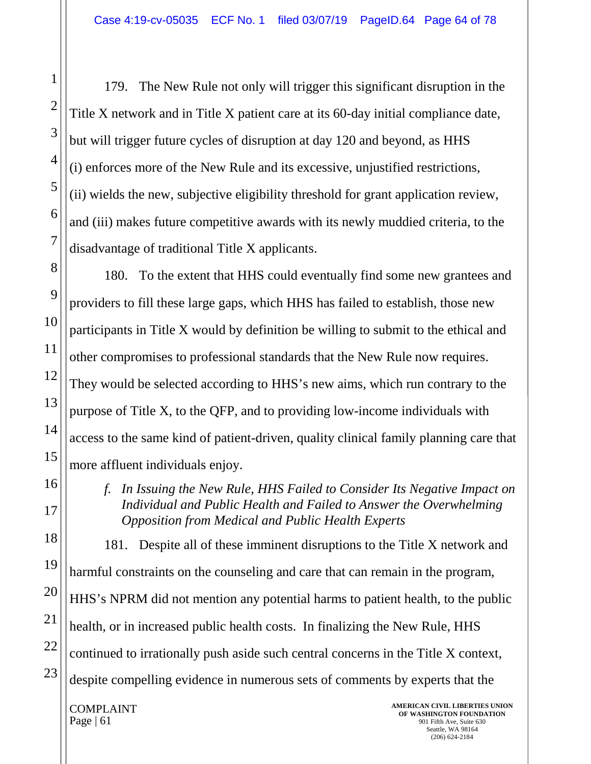179. The New Rule not only will trigger this significant disruption in the Title X network and in Title X patient care at its 60-day initial compliance date, but will trigger future cycles of disruption at day 120 and beyond, as HHS (i) enforces more of the New Rule and its excessive, unjustified restrictions, (ii) wields the new, subjective eligibility threshold for grant application review, and (iii) makes future competitive awards with its newly muddied criteria, to the disadvantage of traditional Title X applicants.

180. To the extent that HHS could eventually find some new grantees and providers to fill these large gaps, which HHS has failed to establish, those new participants in Title X would by definition be willing to submit to the ethical and other compromises to professional standards that the New Rule now requires. They would be selected according to HHS's new aims, which run contrary to the purpose of Title X, to the QFP, and to providing low-income individuals with access to the same kind of patient-driven, quality clinical family planning care that more affluent individuals enjoy.

*f. In Issuing the New Rule, HHS Failed to Consider Its Negative Impact on Individual and Public Health and Failed to Answer the Overwhelming Opposition from Medical and Public Health Experts* 

181. Despite all of these imminent disruptions to the Title X network and harmful constraints on the counseling and care that can remain in the program, HHS's NPRM did not mention any potential harms to patient health, to the public health, or in increased public health costs. In finalizing the New Rule, HHS continued to irrationally push aside such central concerns in the Title X context, despite compelling evidence in numerous sets of comments by experts that the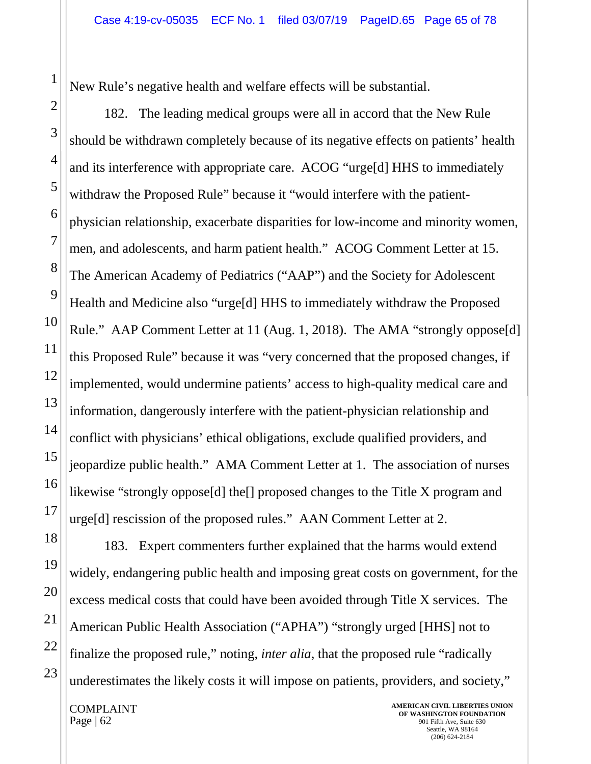New Rule's negative health and welfare effects will be substantial.

182. The leading medical groups were all in accord that the New Rule should be withdrawn completely because of its negative effects on patients' health and its interference with appropriate care. ACOG "urge[d] HHS to immediately withdraw the Proposed Rule" because it "would interfere with the patientphysician relationship, exacerbate disparities for low-income and minority women, men, and adolescents, and harm patient health." ACOG Comment Letter at 15. The American Academy of Pediatrics ("AAP") and the Society for Adolescent Health and Medicine also "urge[d] HHS to immediately withdraw the Proposed Rule." AAP Comment Letter at 11 (Aug. 1, 2018). The AMA "strongly oppose[d] this Proposed Rule" because it was "very concerned that the proposed changes, if implemented, would undermine patients' access to high-quality medical care and information, dangerously interfere with the patient-physician relationship and conflict with physicians' ethical obligations, exclude qualified providers, and jeopardize public health." AMA Comment Letter at 1. The association of nurses likewise "strongly oppose[d] the[] proposed changes to the Title X program and urge[d] rescission of the proposed rules." AAN Comment Letter at 2.

183. Expert commenters further explained that the harms would extend widely, endangering public health and imposing great costs on government, for the excess medical costs that could have been avoided through Title X services. The American Public Health Association ("APHA") "strongly urged [HHS] not to finalize the proposed rule," noting, *inter alia*, that the proposed rule "radically underestimates the likely costs it will impose on patients, providers, and society,"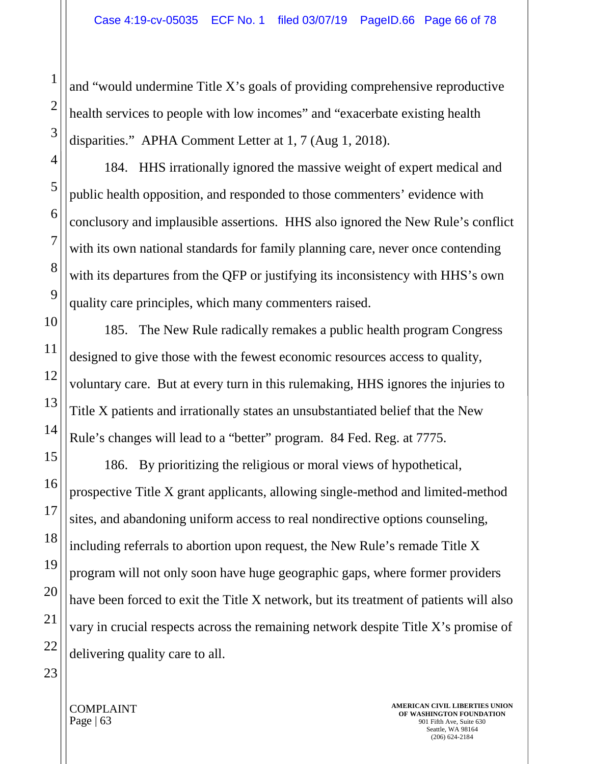and "would undermine Title X's goals of providing comprehensive reproductive health services to people with low incomes" and "exacerbate existing health disparities." APHA Comment Letter at 1, 7 (Aug 1, 2018).

184. HHS irrationally ignored the massive weight of expert medical and public health opposition, and responded to those commenters' evidence with conclusory and implausible assertions. HHS also ignored the New Rule's conflict with its own national standards for family planning care, never once contending with its departures from the QFP or justifying its inconsistency with HHS's own quality care principles, which many commenters raised.

185. The New Rule radically remakes a public health program Congress designed to give those with the fewest economic resources access to quality, voluntary care. But at every turn in this rulemaking, HHS ignores the injuries to Title X patients and irrationally states an unsubstantiated belief that the New Rule's changes will lead to a "better" program. 84 Fed. Reg. at 7775.

186. By prioritizing the religious or moral views of hypothetical, prospective Title X grant applicants, allowing single-method and limited-method sites, and abandoning uniform access to real nondirective options counseling, including referrals to abortion upon request, the New Rule's remade Title X program will not only soon have huge geographic gaps, where former providers have been forced to exit the Title X network, but its treatment of patients will also vary in crucial respects across the remaining network despite Title X's promise of delivering quality care to all.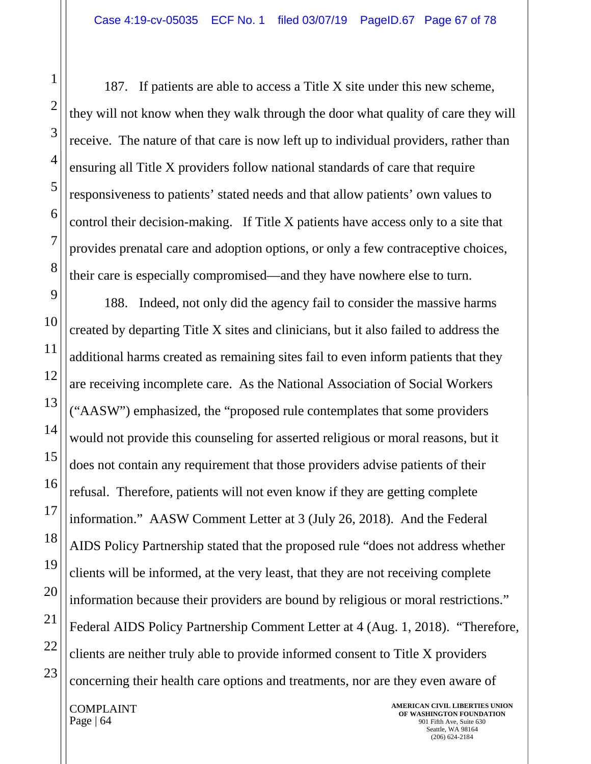187. If patients are able to access a Title X site under this new scheme, they will not know when they walk through the door what quality of care they will receive. The nature of that care is now left up to individual providers, rather than ensuring all Title X providers follow national standards of care that require responsiveness to patients' stated needs and that allow patients' own values to control their decision-making. If Title X patients have access only to a site that provides prenatal care and adoption options, or only a few contraceptive choices, their care is especially compromised—and they have nowhere else to turn.

188. Indeed, not only did the agency fail to consider the massive harms created by departing Title X sites and clinicians, but it also failed to address the additional harms created as remaining sites fail to even inform patients that they are receiving incomplete care. As the National Association of Social Workers ("AASW") emphasized, the "proposed rule contemplates that some providers would not provide this counseling for asserted religious or moral reasons, but it does not contain any requirement that those providers advise patients of their refusal. Therefore, patients will not even know if they are getting complete information." AASW Comment Letter at 3 (July 26, 2018). And the Federal AIDS Policy Partnership stated that the proposed rule "does not address whether clients will be informed, at the very least, that they are not receiving complete information because their providers are bound by religious or moral restrictions." Federal AIDS Policy Partnership Comment Letter at 4 (Aug. 1, 2018). "Therefore, clients are neither truly able to provide informed consent to Title X providers concerning their health care options and treatments, nor are they even aware of

1

2

3

4

5

6

7

8

9

10

11

12

13

14

15

16

17

18

19

20

21

22

23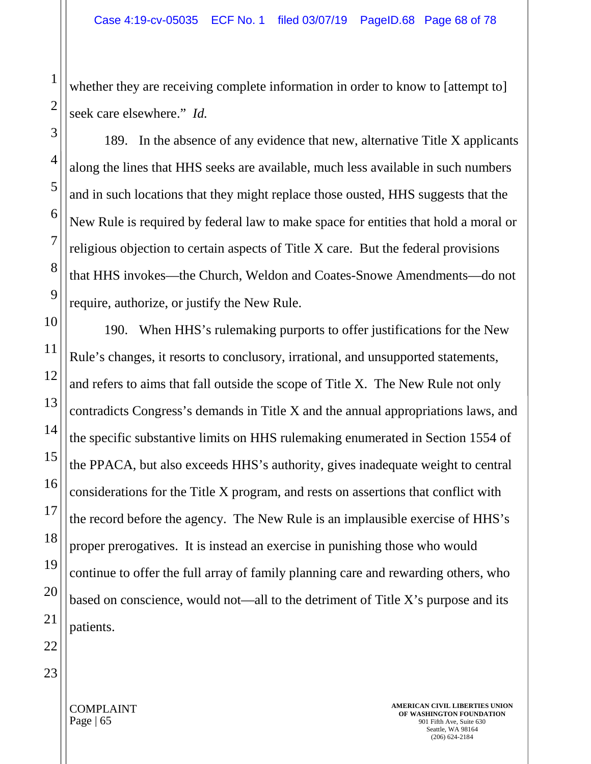whether they are receiving complete information in order to know to [attempt to] seek care elsewhere." *Id.*

189. In the absence of any evidence that new, alternative Title X applicants along the lines that HHS seeks are available, much less available in such numbers and in such locations that they might replace those ousted, HHS suggests that the New Rule is required by federal law to make space for entities that hold a moral or religious objection to certain aspects of Title X care. But the federal provisions that HHS invokes—the Church, Weldon and Coates-Snowe Amendments—do not require, authorize, or justify the New Rule.

190. When HHS's rulemaking purports to offer justifications for the New Rule's changes, it resorts to conclusory, irrational, and unsupported statements, and refers to aims that fall outside the scope of Title X. The New Rule not only contradicts Congress's demands in Title X and the annual appropriations laws, and the specific substantive limits on HHS rulemaking enumerated in Section 1554 of the PPACA, but also exceeds HHS's authority, gives inadequate weight to central considerations for the Title X program, and rests on assertions that conflict with the record before the agency. The New Rule is an implausible exercise of HHS's proper prerogatives. It is instead an exercise in punishing those who would continue to offer the full array of family planning care and rewarding others, who based on conscience, would not—all to the detriment of Title X's purpose and its patients.

1

2

COMPLAINT Page  $\vert 65 \vert$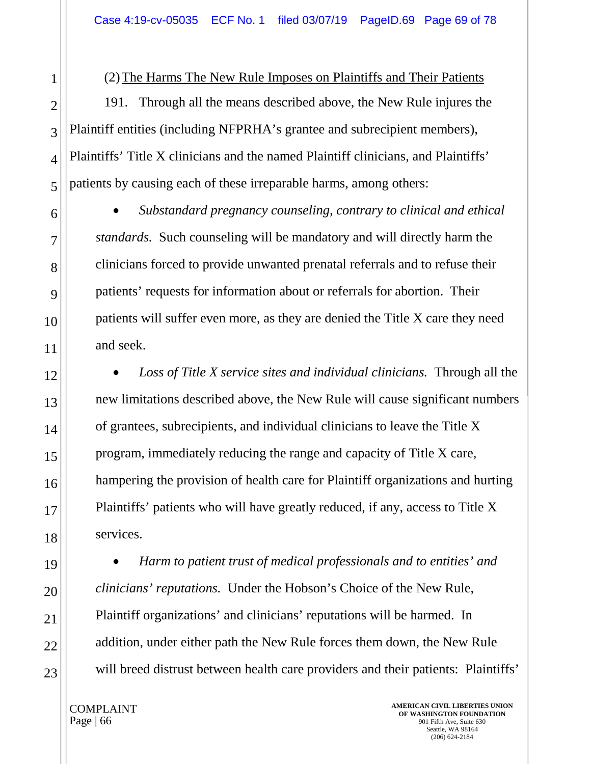(2)The Harms The New Rule Imposes on Plaintiffs and Their Patients

191. Through all the means described above, the New Rule injures the Plaintiff entities (including NFPRHA's grantee and subrecipient members), Plaintiffs' Title X clinicians and the named Plaintiff clinicians, and Plaintiffs' patients by causing each of these irreparable harms, among others:

• *Substandard pregnancy counseling, contrary to clinical and ethical standards.* Such counseling will be mandatory and will directly harm the clinicians forced to provide unwanted prenatal referrals and to refuse their patients' requests for information about or referrals for abortion. Their patients will suffer even more, as they are denied the Title X care they need and seek.

• *Loss of Title X service sites and individual clinicians.* Through all the new limitations described above, the New Rule will cause significant numbers of grantees, subrecipients, and individual clinicians to leave the Title X program, immediately reducing the range and capacity of Title X care, hampering the provision of health care for Plaintiff organizations and hurting Plaintiffs' patients who will have greatly reduced, if any, access to Title X services.

• *Harm to patient trust of medical professionals and to entities' and clinicians' reputations.* Under the Hobson's Choice of the New Rule, Plaintiff organizations' and clinicians' reputations will be harmed. In addition, under either path the New Rule forces them down, the New Rule will breed distrust between health care providers and their patients: Plaintiffs'

COMPLAINT Page | 66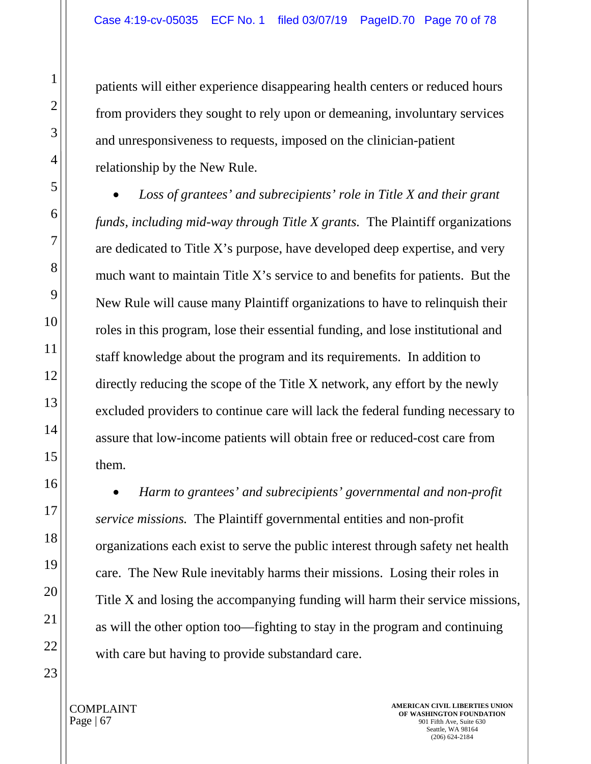patients will either experience disappearing health centers or reduced hours from providers they sought to rely upon or demeaning, involuntary services and unresponsiveness to requests, imposed on the clinician-patient relationship by the New Rule.

• *Loss of grantees' and subrecipients' role in Title X and their grant funds, including mid-way through Title X grants.* The Plaintiff organizations are dedicated to Title X's purpose, have developed deep expertise, and very much want to maintain Title X's service to and benefits for patients. But the New Rule will cause many Plaintiff organizations to have to relinquish their roles in this program, lose their essential funding, and lose institutional and staff knowledge about the program and its requirements. In addition to directly reducing the scope of the Title X network, any effort by the newly excluded providers to continue care will lack the federal funding necessary to assure that low-income patients will obtain free or reduced-cost care from them.

• *Harm to grantees' and subrecipients' governmental and non-profit service missions.* The Plaintiff governmental entities and non-profit organizations each exist to serve the public interest through safety net health care. The New Rule inevitably harms their missions. Losing their roles in Title X and losing the accompanying funding will harm their service missions, as will the other option too—fighting to stay in the program and continuing with care but having to provide substandard care.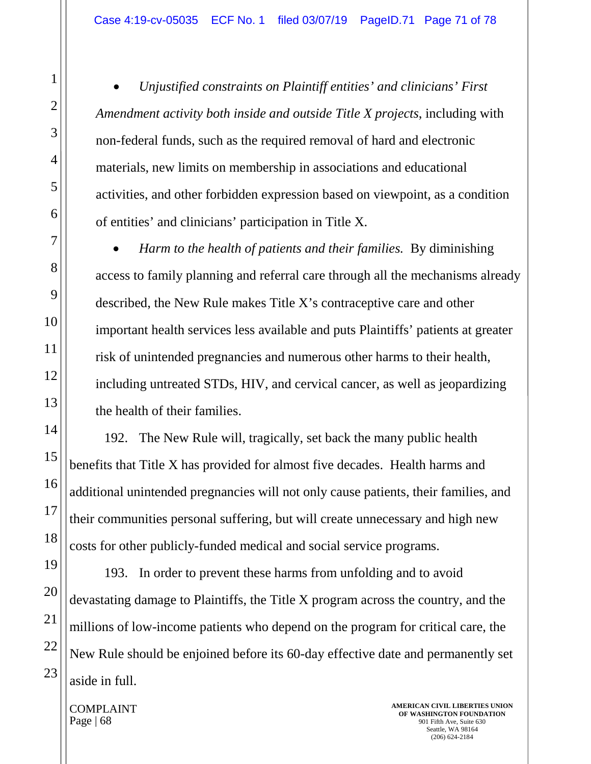• *Unjustified constraints on Plaintiff entities' and clinicians' First Amendment activity both inside and outside Title X projects*, including with non-federal funds, such as the required removal of hard and electronic materials, new limits on membership in associations and educational activities, and other forbidden expression based on viewpoint, as a condition of entities' and clinicians' participation in Title X.

• *Harm to the health of patients and their families.* By diminishing access to family planning and referral care through all the mechanisms already described, the New Rule makes Title X's contraceptive care and other important health services less available and puts Plaintiffs' patients at greater risk of unintended pregnancies and numerous other harms to their health, including untreated STDs, HIV, and cervical cancer, as well as jeopardizing the health of their families.

192. The New Rule will, tragically, set back the many public health benefits that Title X has provided for almost five decades. Health harms and additional unintended pregnancies will not only cause patients, their families, and their communities personal suffering, but will create unnecessary and high new costs for other publicly-funded medical and social service programs.

193. In order to prevent these harms from unfolding and to avoid devastating damage to Plaintiffs, the Title X program across the country, and the millions of low-income patients who depend on the program for critical care, the New Rule should be enjoined before its 60-day effective date and permanently set aside in full.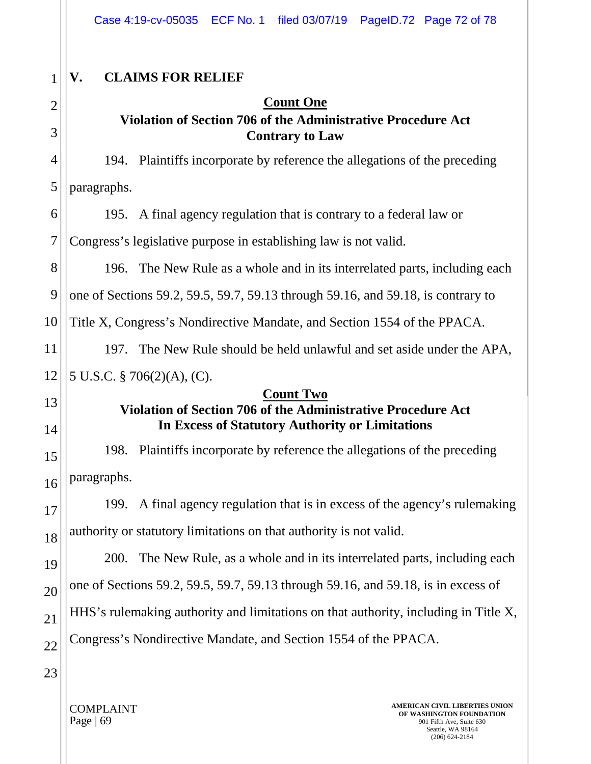| 1              | <b>CLAIMS FOR RELIEF</b><br>V.                                                                                                                 |
|----------------|------------------------------------------------------------------------------------------------------------------------------------------------|
| $\overline{2}$ | <b>Count One</b>                                                                                                                               |
| 3              | Violation of Section 706 of the Administrative Procedure Act<br><b>Contrary to Law</b>                                                         |
| 4              | 194. Plaintiffs incorporate by reference the allegations of the preceding                                                                      |
| 5              | paragraphs.                                                                                                                                    |
| 6              | 195. A final agency regulation that is contrary to a federal law or                                                                            |
| $\overline{7}$ | Congress's legislative purpose in establishing law is not valid.                                                                               |
| 8              | 196. The New Rule as a whole and in its interrelated parts, including each                                                                     |
| 9              | one of Sections 59.2, 59.5, 59.7, 59.13 through 59.16, and 59.18, is contrary to                                                               |
| 10             | Title X, Congress's Nondirective Mandate, and Section 1554 of the PPACA.                                                                       |
| 11             | The New Rule should be held unlawful and set aside under the APA,<br>197.                                                                      |
| 12             | 5 U.S.C. $\S$ 706(2)(A), (C).                                                                                                                  |
| 13             | <b>Count Two</b><br><b>Violation of Section 706 of the Administrative Procedure Act</b>                                                        |
| 14             | <b>In Excess of Statutory Authority or Limitations</b>                                                                                         |
| 15             | 198. Plaintiffs incorporate by reference the allegations of the preceding                                                                      |
| 16             | paragraphs.                                                                                                                                    |
| 17             | A final agency regulation that is in excess of the agency's rulemaking<br>199.                                                                 |
| 18             | authority or statutory limitations on that authority is not valid.                                                                             |
| 19             | The New Rule, as a whole and in its interrelated parts, including each<br><b>200.</b>                                                          |
| 20             | one of Sections 59.2, 59.5, 59.7, 59.13 through 59.16, and 59.18, is in excess of                                                              |
| 21             | HHS's rulemaking authority and limitations on that authority, including in Title X,                                                            |
| 22             | Congress's Nondirective Mandate, and Section 1554 of the PPACA.                                                                                |
| 23             |                                                                                                                                                |
|                | AMERICAN CIVIL LIBERTIES UNION<br><b>COMPLAINT</b><br>OF WASHINGTON FOUNDATION<br>Page   $69$<br>901 Fifth Ave, Suite 630<br>Seattle, WA 98164 |

(206) 624-2184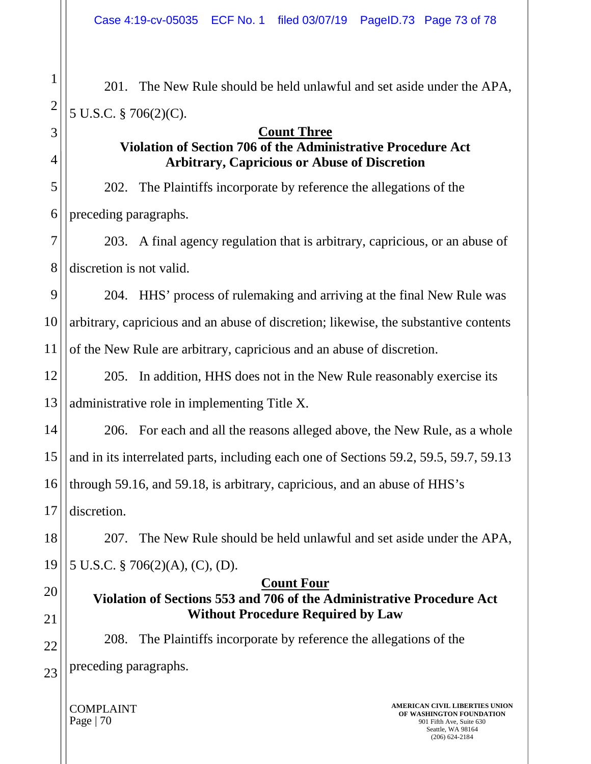201. The New Rule should be held unlawful and set aside under the APA, 5 U.S.C. § 706(2)(C).

### **Count Three**

### **Violation of Section 706 of the Administrative Procedure Act Arbitrary, Capricious or Abuse of Discretion**

202. The Plaintiffs incorporate by reference the allegations of the preceding paragraphs.

203. A final agency regulation that is arbitrary, capricious, or an abuse of discretion is not valid.

9 204. HHS' process of rulemaking and arriving at the final New Rule was arbitrary, capricious and an abuse of discretion; likewise, the substantive contents of the New Rule are arbitrary, capricious and an abuse of discretion.

205. In addition, HHS does not in the New Rule reasonably exercise its administrative role in implementing Title X.

206. For each and all the reasons alleged above, the New Rule, as a whole and in its interrelated parts, including each one of Sections 59.2, 59.5, 59.7, 59.13 through 59.16, and 59.18, is arbitrary, capricious, and an abuse of HHS's discretion.

207. The New Rule should be held unlawful and set aside under the APA, 5 U.S.C. § 706(2)(A), (C), (D).

# **Count Four**

### **Violation of Sections 553 and 706 of the Administrative Procedure Act Without Procedure Required by Law**

208. The Plaintiffs incorporate by reference the allegations of the preceding paragraphs.

COMPLAINT Page | 70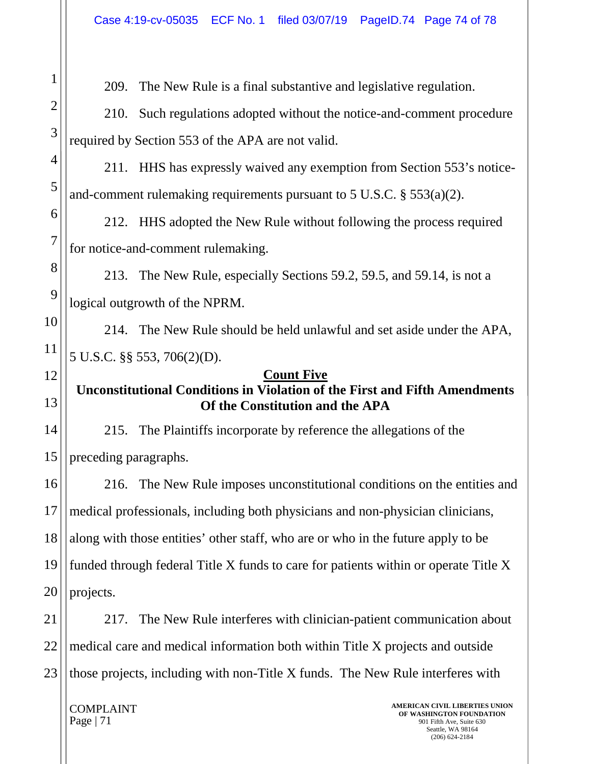209. The New Rule is a final substantive and legislative regulation.

210. Such regulations adopted without the notice-and-comment procedure required by Section 553 of the APA are not valid.

211. HHS has expressly waived any exemption from Section 553's noticeand-comment rulemaking requirements pursuant to 5 U.S.C. § 553(a)(2).

212. HHS adopted the New Rule without following the process required for notice-and-comment rulemaking.

213. The New Rule, especially Sections 59.2, 59.5, and 59.14, is not a logical outgrowth of the NPRM.

214. The New Rule should be held unlawful and set aside under the APA, 5 U.S.C. §§ 553, 706(2)(D).

#### **Count Five**

## **Unconstitutional Conditions in Violation of the First and Fifth Amendments Of the Constitution and the APA**

215. The Plaintiffs incorporate by reference the allegations of the preceding paragraphs.

16 17 18 19 20 216. The New Rule imposes unconstitutional conditions on the entities and medical professionals, including both physicians and non-physician clinicians, along with those entities' other staff, who are or who in the future apply to be funded through federal Title X funds to care for patients within or operate Title X projects.

21 22 23 217. The New Rule interferes with clinician-patient communication about medical care and medical information both within Title X projects and outside those projects, including with non-Title X funds. The New Rule interferes with

COMPLAINT Page | 71

1

2

3

4

5

6

7

8

9

10

11

12

13

14

15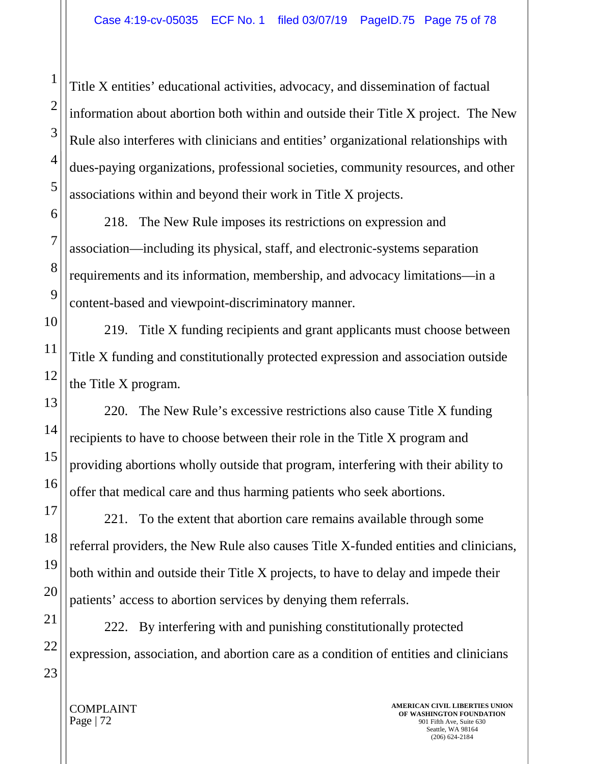Title X entities' educational activities, advocacy, and dissemination of factual information about abortion both within and outside their Title X project. The New Rule also interferes with clinicians and entities' organizational relationships with dues-paying organizations, professional societies, community resources, and other associations within and beyond their work in Title X projects.

218. The New Rule imposes its restrictions on expression and association—including its physical, staff, and electronic-systems separation requirements and its information, membership, and advocacy limitations—in a content-based and viewpoint-discriminatory manner.

219. Title X funding recipients and grant applicants must choose between Title X funding and constitutionally protected expression and association outside the Title X program.

220. The New Rule's excessive restrictions also cause Title X funding recipients to have to choose between their role in the Title X program and providing abortions wholly outside that program, interfering with their ability to offer that medical care and thus harming patients who seek abortions.

221. To the extent that abortion care remains available through some referral providers, the New Rule also causes Title X-funded entities and clinicians, both within and outside their Title X projects, to have to delay and impede their patients' access to abortion services by denying them referrals.

222. By interfering with and punishing constitutionally protected expression, association, and abortion care as a condition of entities and clinicians

1

COMPLAINT Page | 72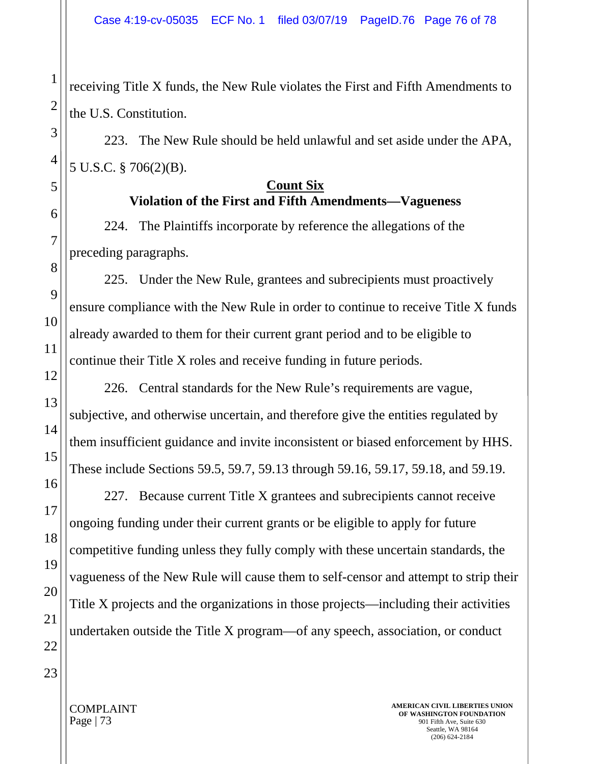receiving Title X funds, the New Rule violates the First and Fifth Amendments to the U.S. Constitution.

223. The New Rule should be held unlawful and set aside under the APA, 5 U.S.C. § 706(2)(B).

### **Count Six Violation of the First and Fifth Amendments—Vagueness**

224. The Plaintiffs incorporate by reference the allegations of the preceding paragraphs.

225. Under the New Rule, grantees and subrecipients must proactively ensure compliance with the New Rule in order to continue to receive Title X funds already awarded to them for their current grant period and to be eligible to continue their Title X roles and receive funding in future periods.

226. Central standards for the New Rule's requirements are vague, subjective, and otherwise uncertain, and therefore give the entities regulated by them insufficient guidance and invite inconsistent or biased enforcement by HHS. These include Sections 59.5, 59.7, 59.13 through 59.16, 59.17, 59.18, and 59.19.

227. Because current Title X grantees and subrecipients cannot receive ongoing funding under their current grants or be eligible to apply for future competitive funding unless they fully comply with these uncertain standards, the vagueness of the New Rule will cause them to self-censor and attempt to strip their Title X projects and the organizations in those projects—including their activities undertaken outside the Title X program—of any speech, association, or conduct

1

COMPLAINT Page | 73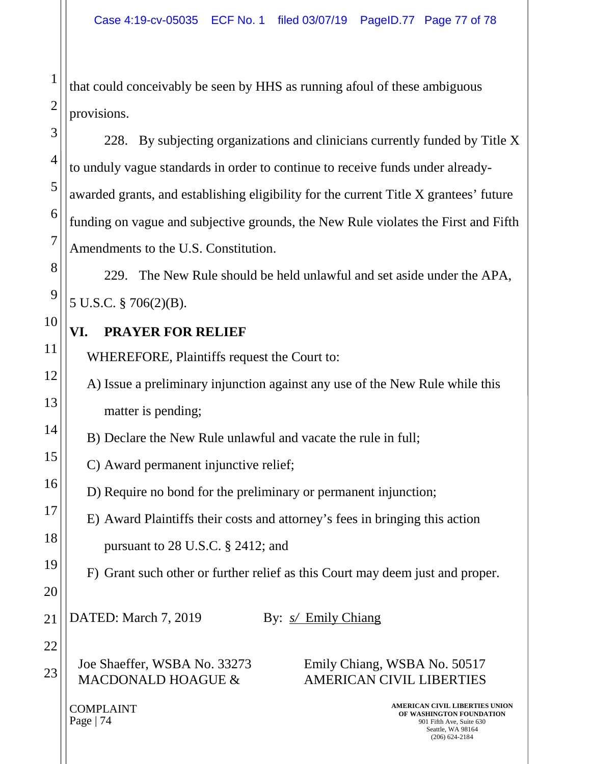that could conceivably be seen by HHS as running afoul of these ambiguous provisions.

228. By subjecting organizations and clinicians currently funded by Title X to unduly vague standards in order to continue to receive funds under alreadyawarded grants, and establishing eligibility for the current Title X grantees' future funding on vague and subjective grounds, the New Rule violates the First and Fifth Amendments to the U.S. Constitution.

229. The New Rule should be held unlawful and set aside under the APA, 5 U.S.C. § 706(2)(B).

## **VI. PRAYER FOR RELIEF**

WHEREFORE, Plaintiffs request the Court to:

A) Issue a preliminary injunction against any use of the New Rule while this matter is pending;

B) Declare the New Rule unlawful and vacate the rule in full;

C) Award permanent injunctive relief;

D) Require no bond for the preliminary or permanent injunction;

E) Award Plaintiffs their costs and attorney's fees in bringing this action pursuant to 28 U.S.C. § 2412; and

F) Grant such other or further relief as this Court may deem just and proper.

DATED: March 7, 2019 By: *s*/ *Emily Chiang* 

Joe Shaeffer, WSBA No. 33273 MACDONALD HOAGUE &

Emily Chiang, WSBA No. 50517 AMERICAN CIVIL LIBERTIES

COMPLAINT Page | 74

**AMERICAN CIVIL LIBERTIES UNION OF WASHINGTON FOUNDATION** 901 Fifth Ave, Suite 630 Seattle, WA 98164 (206) 624-2184